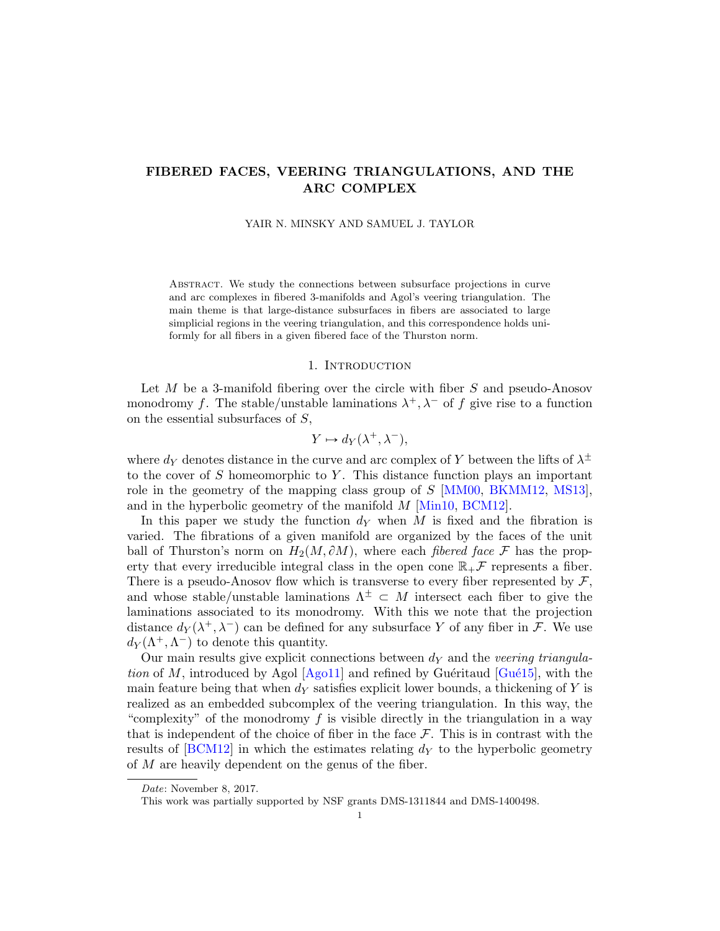# FIBERED FACES, VEERING TRIANGULATIONS, AND THE ARC COMPLEX

#### YAIR N. MINSKY AND SAMUEL J. TAYLOR

Abstract. We study the connections between subsurface projections in curve and arc complexes in fibered 3-manifolds and Agol's veering triangulation. The main theme is that large-distance subsurfaces in fibers are associated to large simplicial regions in the veering triangulation, and this correspondence holds uniformly for all fibers in a given fibered face of the Thurston norm.

#### 1. INTRODUCTION

Let  $M$  be a 3-manifold fibering over the circle with fiber  $S$  and pseudo-Anosov monodromy f. The stable/unstable laminations  $\lambda^+, \lambda^-$  of f give rise to a function on the essential subsurfaces of  $S$ ,

$$
Y \mapsto d_Y(\lambda^+, \lambda^-),
$$

where  $d_Y$  denotes distance in the curve and arc complex of Y between the lifts of  $\lambda^{\pm}$ to the cover of  $S$  homeomorphic to  $Y$ . This distance function plays an important role in the geometry of the mapping class group of  $S$  [\[MM00,](#page-45-0) [BKMM12,](#page-44-0) [MS13\]](#page-45-1), and in the hyperbolic geometry of the manifold  $M$  [\[Min10,](#page-45-2) [BCM12\]](#page-44-1).

In this paper we study the function  $d<sub>Y</sub>$  when M is fixed and the fibration is varied. The fibrations of a given manifold are organized by the faces of the unit ball of Thurston's norm on  $H_2(M, \partial M)$ , where each *fibered face* F has the property that every irreducible integral class in the open cone  $\mathbb{R}_+$  F represents a fiber. There is a pseudo-Anosov flow which is transverse to every fiber represented by  $\mathcal{F},$ and whose stable/unstable laminations  $\Lambda^{\pm} \subset M$  intersect each fiber to give the laminations associated to its monodromy. With this we note that the projection distance  $d_Y(\lambda^+, \lambda^-)$  can be defined for any subsurface Y of any fiber in F. We use  $d_Y(\Lambda^+, \Lambda^-)$  to denote this quantity.

Our main results give explicit connections between  $d<sub>Y</sub>$  and the veering triangulation of M, introduced by Agol  $[Aq011]$  and refined by Guéritaud  $[Gu\acute{e}15]$ , with the main feature being that when  $dy$  satisfies explicit lower bounds, a thickening of Y is realized as an embedded subcomplex of the veering triangulation. In this way, the "complexity" of the monodromy f is visible directly in the triangulation in a way that is independent of the choice of fiber in the face  $\mathcal F$ . This is in contrast with the results of  $[BCM12]$  in which the estimates relating  $d<sub>Y</sub>$  to the hyperbolic geometry of M are heavily dependent on the genus of the fiber.

Date: November 8, 2017.

This work was partially supported by NSF grants DMS-1311844 and DMS-1400498.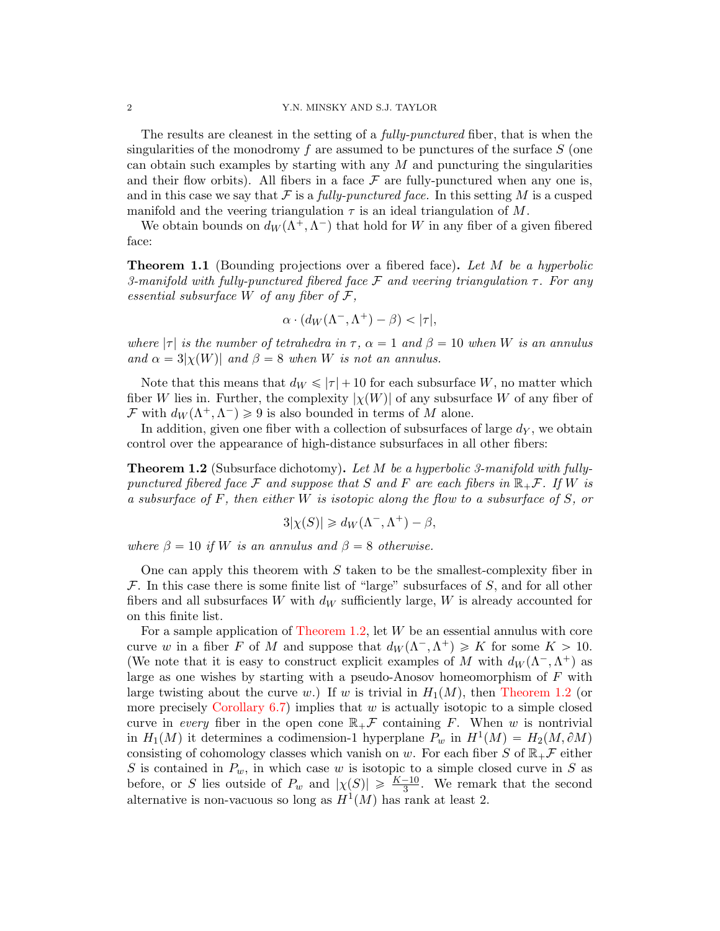The results are cleanest in the setting of a *fully-punctured* fiber, that is when the singularities of the monodromy f are assumed to be punctures of the surface  $S$  (one can obtain such examples by starting with any  $M$  and puncturing the singularities and their flow orbits). All fibers in a face  $\mathcal F$  are fully-punctured when any one is, and in this case we say that  $\mathcal F$  is a fully-punctured face. In this setting M is a cusped manifold and the veering triangulation  $\tau$  is an ideal triangulation of M.

We obtain bounds on  $d_W(\Lambda^+, \Lambda^-)$  that hold for W in any fiber of a given fibered face:

<span id="page-1-1"></span>**Theorem 1.1** (Bounding projections over a fibered face). Let M be a hyperbolic 3-manifold with fully-punctured fibered face F and veering triangulation  $\tau$ . For any essential subsurface W of any fiber of  $\mathcal{F}$ ,

$$
\alpha \cdot (d_W(\Lambda^-,\Lambda^+) - \beta) < |\tau|,
$$

where  $|\tau|$  is the number of tetrahedra in  $\tau$ ,  $\alpha = 1$  and  $\beta = 10$  when W is an annulus and  $\alpha = 3|\chi(W)|$  and  $\beta = 8$  when W is not an annulus.

Note that this means that  $d_W \le | \tau | + 10$  for each subsurface W, no matter which fiber W lies in. Further, the complexity  $|\chi(W)|$  of any subsurface W of any fiber of  $\mathcal F$  with  $d_W(\Lambda^+,\Lambda^-) \geq 9$  is also bounded in terms of M alone.

In addition, given one fiber with a collection of subsurfaces of large  $d<sub>Y</sub>$ , we obtain control over the appearance of high-distance subsurfaces in all other fibers:

<span id="page-1-0"></span>**Theorem 1.2** (Subsurface dichotomy). Let M be a hyperbolic 3-manifold with fullypunctured fibered face F and suppose that S and F are each fibers in  $\mathbb{R}_+$ F. If W is a subsurface of F, then either W is isotopic along the flow to a subsurface of S, or

$$
3|\chi(S)| \ge d_W(\Lambda^-, \Lambda^+) - \beta,
$$

where  $\beta = 10$  if W is an annulus and  $\beta = 8$  otherwise.

One can apply this theorem with  $S$  taken to be the smallest-complexity fiber in  $\mathcal F$ . In this case there is some finite list of "large" subsurfaces of S, and for all other fibers and all subsurfaces W with  $d_W$  sufficiently large, W is already accounted for on this finite list.

For a sample application of [Theorem 1.2,](#page-1-0) let W be an essential annulus with core curve w in a fiber F of M and suppose that  $d_W(\Lambda^-, \Lambda^+) \geq K$  for some  $K > 10$ . (We note that it is easy to construct explicit examples of M with  $d_W(\Lambda^-, \Lambda^+)$  as large as one wishes by starting with a pseudo-Anosov homeomorphism of  $F$  with large twisting about the curve w.) If w is trivial in  $H_1(M)$ , then [Theorem 1.2](#page-1-0) (or more precisely [Corollary 6.7\)](#page-44-4) implies that  $w$  is actually isotopic to a simple closed curve in every fiber in the open cone  $\mathbb{R}_+$  Gontaining F. When w is nontrivial in  $H_1(M)$  it determines a codimension-1 hyperplane  $P_w$  in  $H^1(M) = H_2(M, \partial M)$ consisting of cohomology classes which vanish on w. For each fiber S of  $\mathbb{R}_+$  f either S is contained in  $P_w$ , in which case w is isotopic to a simple closed curve in S as before, or S lies outside of  $P_w$  and  $|\chi(S)| \geq \frac{K-10}{3}$ . We remark that the second alternative is non-vacuous so long as  $H^1(M)$  has rank at least 2.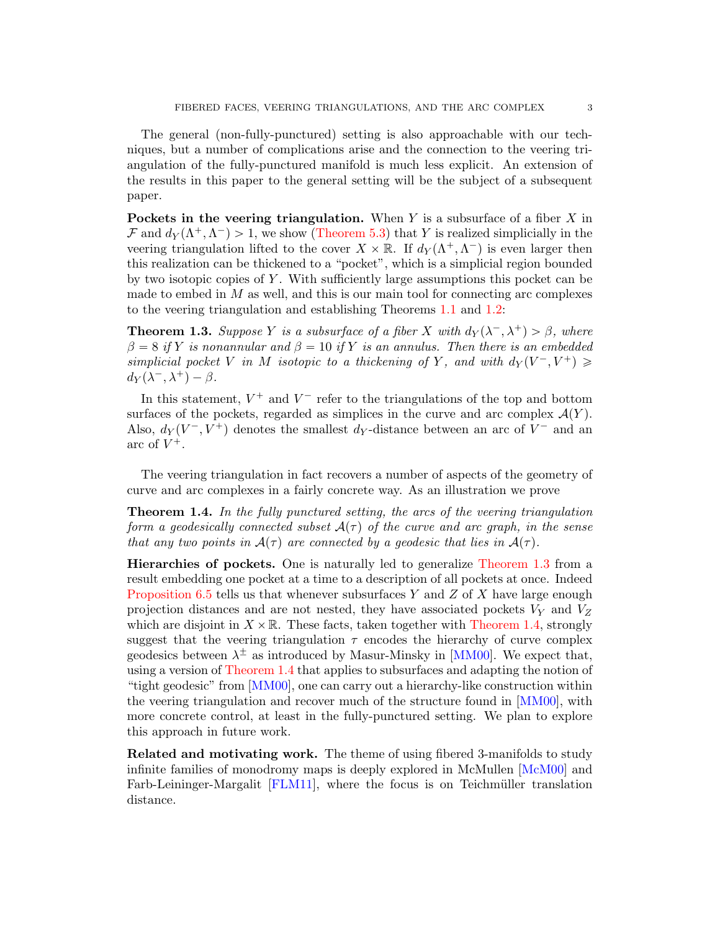The general (non-fully-punctured) setting is also approachable with our techniques, but a number of complications arise and the connection to the veering triangulation of the fully-punctured manifold is much less explicit. An extension of the results in this paper to the general setting will be the subject of a subsequent paper.

Pockets in the veering triangulation. When  $Y$  is a subsurface of a fiber  $X$  in  $\mathcal F$  and  $d_Y(\Lambda^+, \Lambda^-) > 1$ , we show [\(Theorem 5.3\)](#page-32-0) that Y is realized simplicially in the veering triangulation lifted to the cover  $X \times \mathbb{R}$ . If  $d_Y(\Lambda^+, \Lambda^-)$  is even larger then this realization can be thickened to a "pocket", which is a simplicial region bounded by two isotopic copies of Y. With sufficiently large assumptions this pocket can be made to embed in  $M$  as well, and this is our main tool for connecting arc complexes to the veering triangulation and establishing Theorems [1.1](#page-1-1) and [1.2:](#page-1-0)

<span id="page-2-0"></span>**Theorem 1.3.** Suppose Y is a subsurface of a fiber X with  $d_Y(\lambda^-, \lambda^+) > \beta$ , where  $\beta = 8$  if Y is nonannular and  $\beta = 10$  if Y is an annulus. Then there is an embedded simplicial pocket V in M isotopic to a thickening of Y, and with  $d_Y(V^-, V^+) \geq$  $d_Y(\lambda^-,\lambda^+)-\beta.$ 

In this statement,  $V^+$  and  $V^-$  refer to the triangulations of the top and bottom surfaces of the pockets, regarded as simplices in the curve and arc complex  $\mathcal{A}(Y)$ . Also,  $d_Y(V^-, V^+)$  denotes the smallest  $d_Y$ -distance between an arc of  $V^-$  and an arc of  $V^+$ .

The veering triangulation in fact recovers a number of aspects of the geometry of curve and arc complexes in a fairly concrete way. As an illustration we prove

<span id="page-2-1"></span>Theorem 1.4. In the fully punctured setting, the arcs of the veering triangulation form a geodesically connected subset  $A(\tau)$  of the curve and arc graph, in the sense that any two points in  $A(\tau)$  are connected by a geodesic that lies in  $A(\tau)$ .

Hierarchies of pockets. One is naturally led to generalize [Theorem 1.3](#page-2-0) from a result embedding one pocket at a time to a description of all pockets at once. Indeed [Proposition 6.5](#page-40-0) tells us that whenever subsurfaces Y and Z of X have large enough projection distances and are not nested, they have associated pockets  $V_Y$  and  $V_Z$ which are disjoint in  $X \times \mathbb{R}$ . These facts, taken together with [Theorem 1.4,](#page-2-1) strongly suggest that the veering triangulation  $\tau$  encodes the hierarchy of curve complex geodesics between  $\lambda^{\pm}$  as introduced by Masur-Minsky in [\[MM00\]](#page-45-0). We expect that, using a version of [Theorem 1.4](#page-2-1) that applies to subsurfaces and adapting the notion of "tight geodesic" from [\[MM00\]](#page-45-0), one can carry out a hierarchy-like construction within the veering triangulation and recover much of the structure found in [\[MM00\]](#page-45-0), with more concrete control, at least in the fully-punctured setting. We plan to explore this approach in future work.

Related and motivating work. The theme of using fibered 3-manifolds to study infinite families of monodromy maps is deeply explored in McMullen [\[McM00\]](#page-45-3) and Farb-Leininger-Margalit [\[FLM11\]](#page-44-5), where the focus is on Teichmüller translation distance.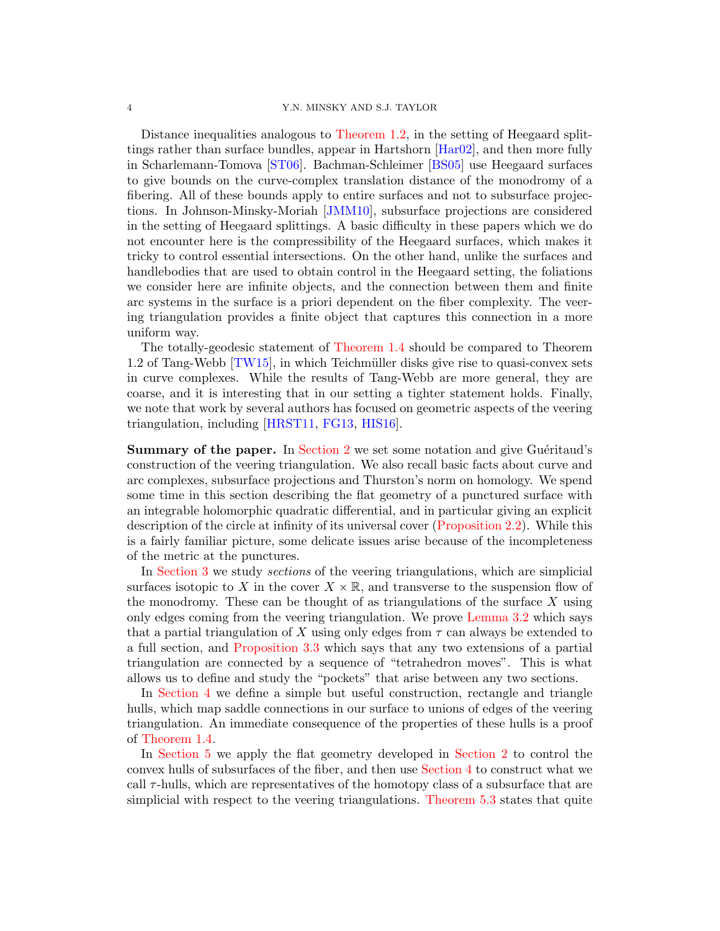Distance inequalities analogous to [Theorem 1.2,](#page-1-0) in the setting of Heegaard splittings rather than surface bundles, appear in Hartshorn [\[Har02\]](#page-44-6), and then more fully in Scharlemann-Tomova [\[ST06\]](#page-45-4). Bachman-Schleimer [\[BS05\]](#page-44-7) use Heegaard surfaces to give bounds on the curve-complex translation distance of the monodromy of a fibering. All of these bounds apply to entire surfaces and not to subsurface projections. In Johnson-Minsky-Moriah [\[JMM10\]](#page-45-5), subsurface projections are considered in the setting of Heegaard splittings. A basic difficulty in these papers which we do not encounter here is the compressibility of the Heegaard surfaces, which makes it tricky to control essential intersections. On the other hand, unlike the surfaces and handlebodies that are used to obtain control in the Heegaard setting, the foliations we consider here are infinite objects, and the connection between them and finite arc systems in the surface is a priori dependent on the fiber complexity. The veering triangulation provides a finite object that captures this connection in a more uniform way.

The totally-geodesic statement of [Theorem 1.4](#page-2-1) should be compared to Theorem 1.2 of Tang-Webb [\[TW15\]](#page-45-6), in which Teichm¨uller disks give rise to quasi-convex sets in curve complexes. While the results of Tang-Webb are more general, they are coarse, and it is interesting that in our setting a tighter statement holds. Finally, we note that work by several authors has focused on geometric aspects of the veering triangulation, including [\[HRST11,](#page-44-8) [FG13,](#page-44-9) [HIS16\]](#page-44-10).

**Summary of the paper.** In [Section 2](#page-4-0) we set some notation and give Guéritaud's construction of the veering triangulation. We also recall basic facts about curve and arc complexes, subsurface projections and Thurston's norm on homology. We spend some time in this section describing the flat geometry of a punctured surface with an integrable holomorphic quadratic differential, and in particular giving an explicit description of the circle at infinity of its universal cover [\(Proposition 2.2\)](#page-8-0). While this is a fairly familiar picture, some delicate issues arise because of the incompleteness of the metric at the punctures.

In [Section 3](#page-17-0) we study sections of the veering triangulations, which are simplicial surfaces isotopic to X in the cover  $X \times \mathbb{R}$ , and transverse to the suspension flow of the monodromy. These can be thought of as triangulations of the surface  $X$  using only edges coming from the veering triangulation. We prove [Lemma 3.2](#page-18-0) which says that a partial triangulation of X using only edges from  $\tau$  can always be extended to a full section, and [Proposition 3.3](#page-18-1) which says that any two extensions of a partial triangulation are connected by a sequence of "tetrahedron moves". This is what allows us to define and study the "pockets" that arise between any two sections.

In [Section 4](#page-21-0) we define a simple but useful construction, rectangle and triangle hulls, which map saddle connections in our surface to unions of edges of the veering triangulation. An immediate consequence of the properties of these hulls is a proof of [Theorem 1.4.](#page-2-1)

In [Section 5](#page-26-0) we apply the flat geometry developed in [Section 2](#page-4-0) to control the convex hulls of subsurfaces of the fiber, and then use [Section 4](#page-21-0) to construct what we call  $\tau$ -hulls, which are representatives of the homotopy class of a subsurface that are simplicial with respect to the veering triangulations. [Theorem 5.3](#page-32-0) states that quite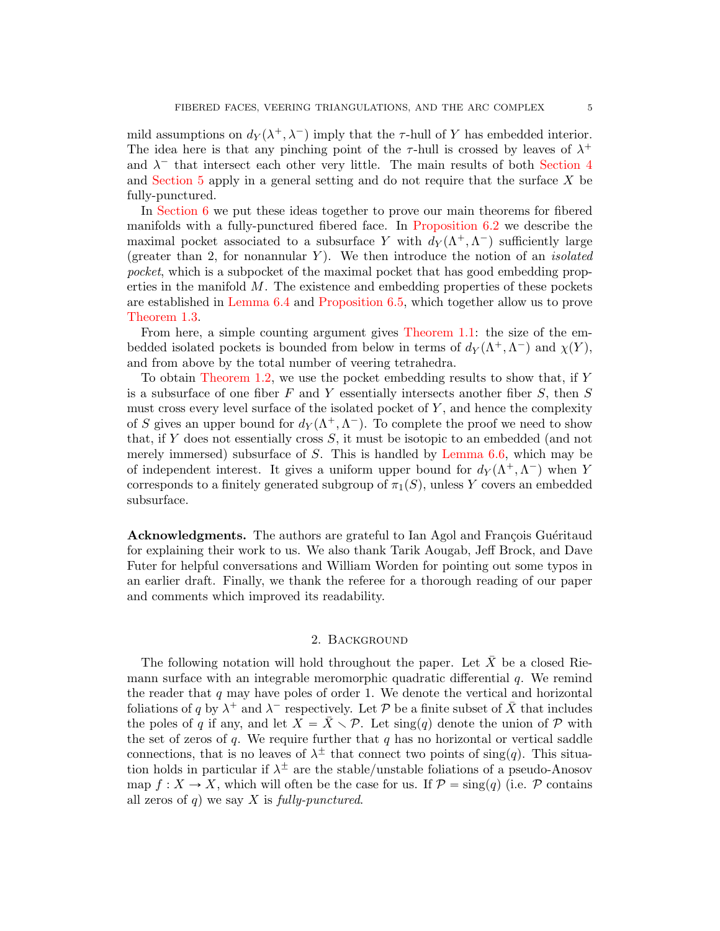mild assumptions on  $d_Y(\lambda^+, \lambda^-)$  imply that the  $\tau$ -hull of Y has embedded interior. The idea here is that any pinching point of the  $\tau$ -hull is crossed by leaves of  $\lambda^+$ and  $\lambda^-$  that intersect each other very little. The main results of both [Section 4](#page-21-0) and [Section 5](#page-26-0) apply in a general setting and do not require that the surface X be fully-punctured.

In [Section 6](#page-35-0) we put these ideas together to prove our main theorems for fibered manifolds with a fully-punctured fibered face. In [Proposition 6.2](#page-36-0) we describe the maximal pocket associated to a subsurface Y with  $d_Y(\Lambda^+,\Lambda^-)$  sufficiently large (greater than 2, for nonannular Y). We then introduce the notion of an *isolated* pocket, which is a subpocket of the maximal pocket that has good embedding properties in the manifold  $M$ . The existence and embedding properties of these pockets are established in [Lemma 6.4](#page-39-0) and [Proposition 6.5,](#page-40-0) which together allow us to prove [Theorem 1.3.](#page-2-0)

From here, a simple counting argument gives [Theorem 1.1:](#page-1-1) the size of the embedded isolated pockets is bounded from below in terms of  $d_Y(\Lambda^+, \Lambda^-)$  and  $\chi(Y)$ , and from above by the total number of veering tetrahedra.

To obtain [Theorem 1.2,](#page-1-0) we use the pocket embedding results to show that, if Y is a subsurface of one fiber  $F$  and  $Y$  essentially intersects another fiber  $S$ , then  $S$ must cross every level surface of the isolated pocket of  $Y$ , and hence the complexity of S gives an upper bound for  $d_Y(\Lambda^+, \Lambda^-)$ . To complete the proof we need to show that, if Y does not essentially cross S, it must be isotopic to an embedded (and not merely immersed) subsurface of  $S$ . This is handled by [Lemma 6.6,](#page-42-0) which may be of independent interest. It gives a uniform upper bound for  $d_Y(\Lambda^+,\Lambda^-)$  when Y corresponds to a finitely generated subgroup of  $\pi_1(S)$ , unless Y covers an embedded subsurface.

Acknowledgments. The authors are grateful to Ian Agol and François Guéritaud for explaining their work to us. We also thank Tarik Aougab, Jeff Brock, and Dave Futer for helpful conversations and William Worden for pointing out some typos in an earlier draft. Finally, we thank the referee for a thorough reading of our paper and comments which improved its readability.

## 2. Background

<span id="page-4-0"></span>The following notation will hold throughout the paper. Let  $\bar{X}$  be a closed Riemann surface with an integrable meromorphic quadratic differential  $q$ . We remind the reader that  $q$  may have poles of order 1. We denote the vertical and horizontal foliations of q by  $\lambda^+$  and  $\lambda^-$  respectively. Let P be a finite subset of  $\bar{X}$  that includes the poles of q if any, and let  $X = \overline{X} \setminus \mathcal{P}$ . Let sing(q) denote the union of  $\mathcal P$  with the set of zeros of  $q$ . We require further that  $q$  has no horizontal or vertical saddle connections, that is no leaves of  $\lambda^{\pm}$  that connect two points of sing(q). This situation holds in particular if  $\lambda^{\pm}$  are the stable/unstable foliations of a pseudo-Anosov map  $f: X \to X$ , which will often be the case for us. If  $\mathcal{P} = \text{sing}(q)$  (i.e. P contains all zeros of q) we say  $X$  is fully-punctured.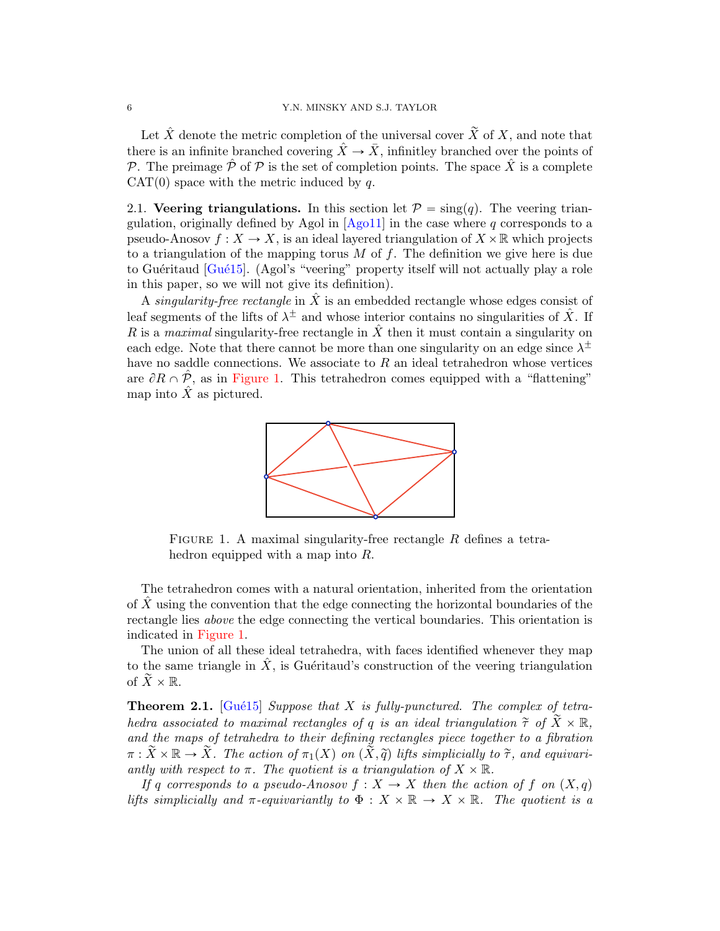Let  $\hat{X}$  denote the metric completion of the universal cover  $\tilde{X}$  of X, and note that there is an infinite branched covering  $\hat{X} \to \bar{X}$ , infinitley branched over the points of P. The preimage  $\hat{\mathcal{P}}$  of P is the set of completion points. The space  $\hat{X}$  is a complete  $CAT(0)$  space with the metric induced by q.

<span id="page-5-1"></span>2.1. Veering triangulations. In this section let  $\mathcal{P} = \text{sing}(q)$ . The veering triangulation, originally defined by Agol in  $[Aq011]$  in the case where q corresponds to a pseudo-Anosov  $f: X \to X$ , is an ideal layered triangulation of  $X \times \mathbb{R}$  which projects to a triangulation of the mapping torus  $M$  of  $f$ . The definition we give here is due to Guéritaud  $[Gu\&15]$ . (Agol's "veering" property itself will not actually play a role in this paper, so we will not give its definition).

A *singularity-free rectangle* in  $\ddot{X}$  is an embedded rectangle whose edges consist of leaf segments of the lifts of  $\lambda^{\pm}$  and whose interior contains no singularities of  $\hat{X}$ . If R is a maximal singularity-free rectangle in  $\hat{X}$  then it must contain a singularity on each edge. Note that there cannot be more than one singularity on an edge since  $\lambda^{\pm}$ have no saddle connections. We associate to  $R$  an ideal tetrahedron whose vertices are  $\partial R \cap \hat{\mathcal{P}}$ , as in [Figure 1.](#page-5-0) This tetrahedron comes equipped with a "flattening" map into  $\hat{X}$  as pictured.



<span id="page-5-0"></span>FIGURE 1. A maximal singularity-free rectangle R defines a tetrahedron equipped with a map into R.

The tetrahedron comes with a natural orientation, inherited from the orientation of  $X$  using the convention that the edge connecting the horizontal boundaries of the rectangle lies above the edge connecting the vertical boundaries. This orientation is indicated in [Figure 1.](#page-5-0)

The union of all these ideal tetrahedra, with faces identified whenever they map to the same triangle in  $\hat{X}$ , is Guéritaud's construction of the veering triangulation of  $\widetilde{X}\times\mathbb{R}$ .

<span id="page-5-2"></span>**Theorem 2.1.** [Gué15] Suppose that X is fully-punctured. The complex of tetrahedra associated to maximal rectangles of q is an ideal triangulation  $\tilde{\tau}$  of  $\tilde{X}\times\mathbb{R}$ , and the maps of tetrahedra to their defining rectangles piece together to a fibration  $\pi : \tilde{X} \times \mathbb{R} \to \tilde{X}$ . The action of  $\pi_1(X)$  on  $(\tilde{\tilde{X}}, \tilde{q})$  lifts simplicially to  $\tilde{\tau}$ , and equivariantly with respect to  $\pi$ . The quotient is a triangulation of  $X \times \mathbb{R}$ .

If q corresponds to a pseudo-Anosov  $f: X \to X$  then the action of f on  $(X, q)$ lifts simplicially and  $\pi$ -equivariantly to  $\Phi: X \times \mathbb{R} \to X \times \mathbb{R}$ . The quotient is a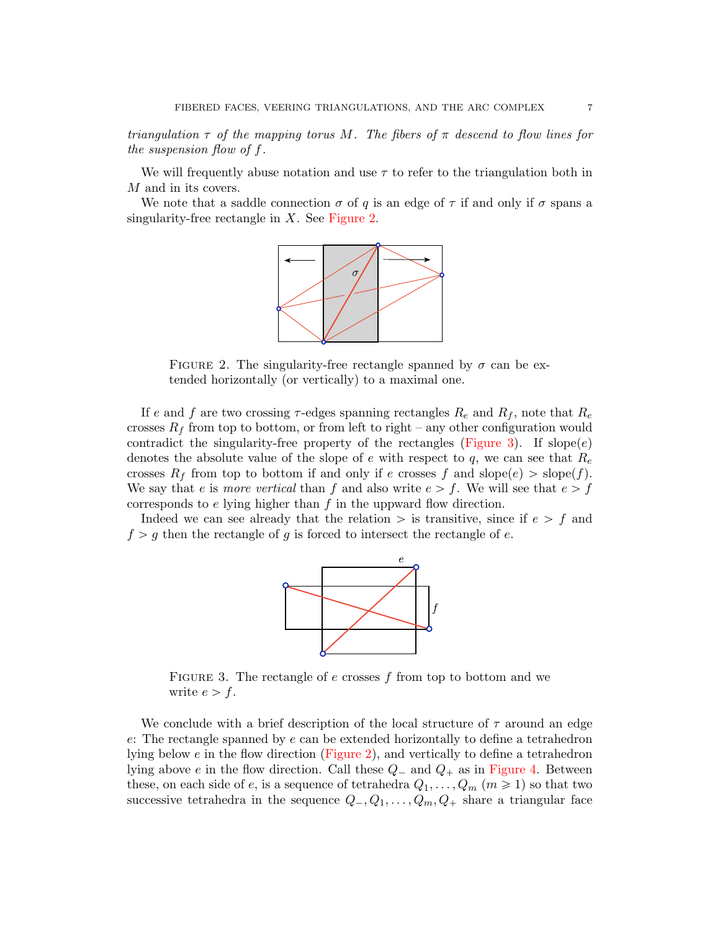triangulation  $\tau$  of the mapping torus M. The fibers of  $\pi$  descend to flow lines for the suspension flow of f.

We will frequently abuse notation and use  $\tau$  to refer to the triangulation both in M and in its covers.

We note that a saddle connection  $\sigma$  of q is an edge of  $\tau$  if and only if  $\sigma$  spans a singularity-free rectangle in  $X$ . See [Figure 2.](#page-6-0)



<span id="page-6-0"></span>FIGURE 2. The singularity-free rectangle spanned by  $\sigma$  can be extended horizontally (or vertically) to a maximal one.

If e and f are two crossing  $\tau$ -edges spanning rectangles  $R_e$  and  $R_f$ , note that  $R_e$ crosses  $R_f$  from top to bottom, or from left to right – any other configuration would contradict the singularity-free property of the rectangles [\(Figure 3\)](#page-6-1). If slope $(e)$ denotes the absolute value of the slope of e with respect to q, we can see that  $R_e$ crosses  $R_f$  from top to bottom if and only if e crosses f and slope $(e) >$  slope $(f)$ . We say that e is more vertical than f and also write  $e > f$ . We will see that  $e > f$ corresponds to  $e$  lying higher than  $f$  in the uppward flow direction.

Indeed we can see already that the relation  $\geq$  is transitive, since if  $e \geq f$  and  $f > g$  then the rectangle of g is forced to intersect the rectangle of e.



<span id="page-6-1"></span>FIGURE 3. The rectangle of  $e$  crosses  $f$  from top to bottom and we write  $e > f$ .

We conclude with a brief description of the local structure of  $\tau$  around an edge e: The rectangle spanned by e can be extended horizontally to define a tetrahedron lying below e in the flow direction [\(Figure 2\)](#page-6-0), and vertically to define a tetrahedron lying above e in the flow direction. Call these  $Q_-$  and  $Q_+$  as in [Figure 4.](#page-7-0) Between these, on each side of e, is a sequence of tetrahedra  $Q_1, \ldots, Q_m$   $(m \ge 1)$  so that two successive tetrahedra in the sequence  $Q_-, Q_1, \ldots, Q_m, Q_+$  share a triangular face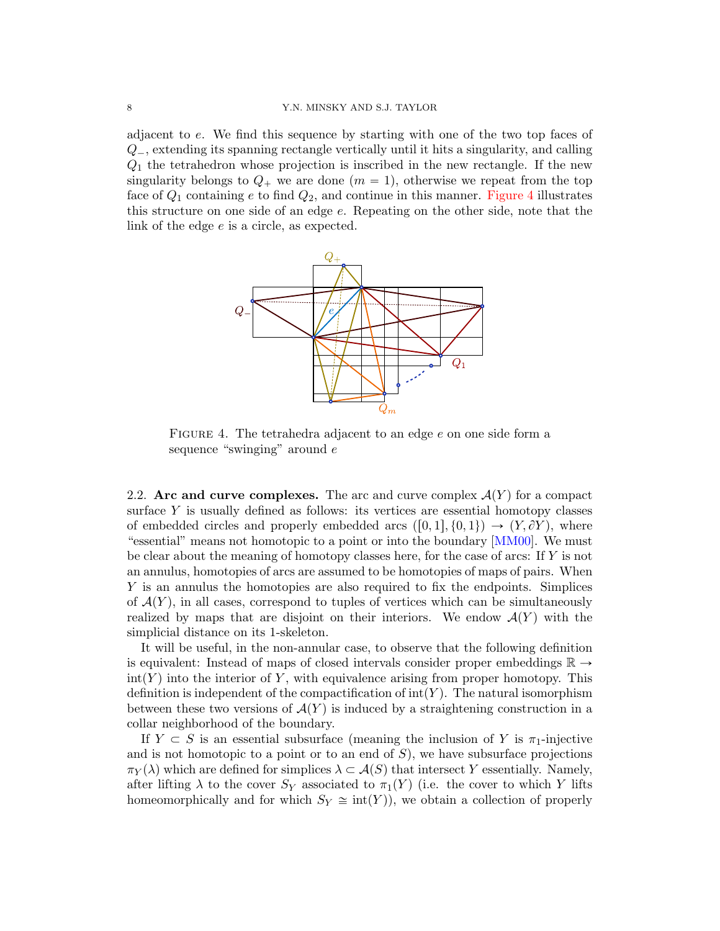adjacent to e. We find this sequence by starting with one of the two top faces of  $Q_{-}$ , extending its spanning rectangle vertically until it hits a singularity, and calling  $Q_1$  the tetrahedron whose projection is inscribed in the new rectangle. If the new singularity belongs to  $Q_+$  we are done  $(m = 1)$ , otherwise we repeat from the top face of  $Q_1$  containing e to find  $Q_2$ , and continue in this manner. [Figure 4](#page-7-0) illustrates this structure on one side of an edge e. Repeating on the other side, note that the link of the edge e is a circle, as expected.



<span id="page-7-0"></span>FIGURE 4. The tetrahedra adjacent to an edge e on one side form a sequence "swinging" around  $e$ 

<span id="page-7-1"></span>2.2. Arc and curve complexes. The arc and curve complex  $\mathcal{A}(Y)$  for a compact surface Y is usually defined as follows: its vertices are essential homotopy classes of embedded circles and properly embedded arcs  $([0, 1], \{0, 1\}) \rightarrow (Y, \partial Y)$ , where "essential" means not homotopic to a point or into the boundary [\[MM00\]](#page-45-0). We must be clear about the meaning of homotopy classes here, for the case of arcs: If Y is not an annulus, homotopies of arcs are assumed to be homotopies of maps of pairs. When Y is an annulus the homotopies are also required to fix the endpoints. Simplices of  $\mathcal{A}(Y)$ , in all cases, correspond to tuples of vertices which can be simultaneously realized by maps that are disjoint on their interiors. We endow  $\mathcal{A}(Y)$  with the simplicial distance on its 1-skeleton.

It will be useful, in the non-annular case, to observe that the following definition is equivalent: Instead of maps of closed intervals consider proper embeddings  $\mathbb{R} \rightarrow$  $\text{int}(Y)$  into the interior of Y, with equivalence arising from proper homotopy. This definition is independent of the compactification of  $\text{int}(Y)$ . The natural isomorphism between these two versions of  $A(Y)$  is induced by a straightening construction in a collar neighborhood of the boundary.

If  $Y \subset S$  is an essential subsurface (meaning the inclusion of Y is  $\pi_1$ -injective and is not homotopic to a point or to an end of  $S$ ), we have subsurface projections  $\pi_Y(\lambda)$  which are defined for simplices  $\lambda \subset \mathcal{A}(S)$  that intersect Y essentially. Namely, after lifting  $\lambda$  to the cover  $S_Y$  associated to  $\pi_1(Y)$  (i.e. the cover to which Y lifts homeomorphically and for which  $S_Y \cong \text{int}(Y)$ , we obtain a collection of properly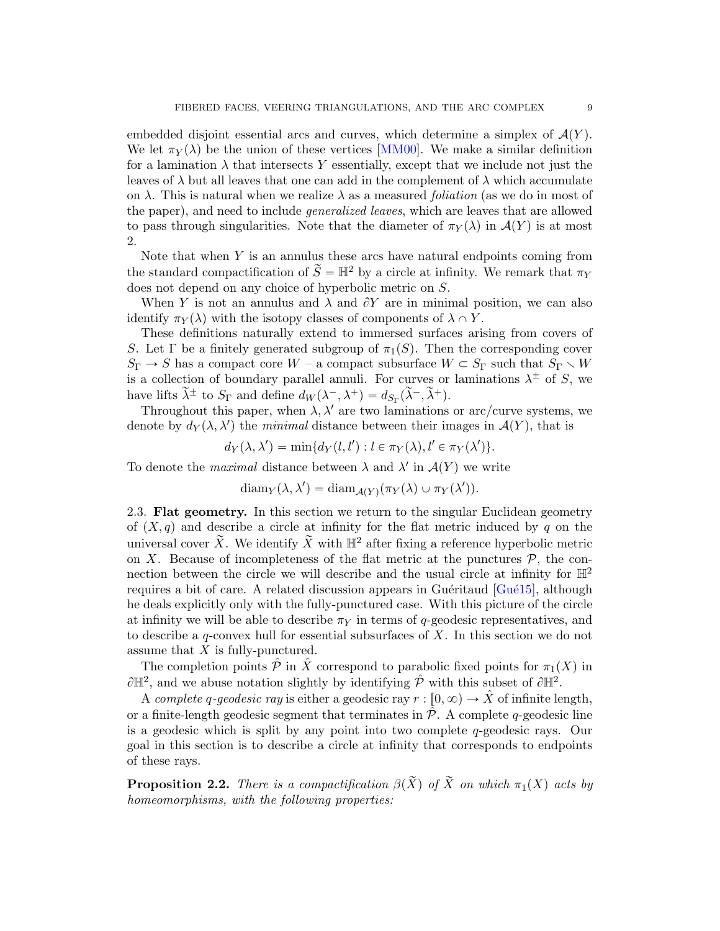embedded disjoint essential arcs and curves, which determine a simplex of  $\mathcal{A}(Y)$ . We let  $\pi_Y(\lambda)$  be the union of these vertices [\[MM00\]](#page-45-0). We make a similar definition for a lamination  $\lambda$  that intersects Y essentially, except that we include not just the leaves of  $\lambda$  but all leaves that one can add in the complement of  $\lambda$  which accumulate on  $\lambda$ . This is natural when we realize  $\lambda$  as a measured *foliation* (as we do in most of the paper), and need to include *generalized leaves*, which are leaves that are allowed to pass through singularities. Note that the diameter of  $\pi_Y(\lambda)$  in  $\mathcal{A}(Y)$  is at most 2.

Note that when  $Y$  is an annulus these arcs have natural endpoints coming from the standard compactification of  $\widetilde{S} = \mathbb{H}^2$  by a circle at infinity. We remark that  $\pi_Y$ does not depend on any choice of hyperbolic metric on S.

When Y is not an annulus and  $\lambda$  and  $\partial Y$  are in minimal position, we can also identify  $\pi_Y(\lambda)$  with the isotopy classes of components of  $\lambda \cap Y$ .

These definitions naturally extend to immersed surfaces arising from covers of S. Let  $\Gamma$  be a finitely generated subgroup of  $\pi_1(S)$ . Then the corresponding cover  $S_{\Gamma} \to S$  has a compact core W – a compact subsurface  $W \subset S_{\Gamma}$  such that  $S_{\Gamma} \setminus W$ is a collection of boundary parallel annuli. For curves or laminations  $\lambda^{\pm}$  of S, we have lifts  $\tilde{\lambda}^{\pm}$  to  $S_{\Gamma}$  and define  $d_W(\lambda^-,\lambda^+) = d_{S_{\Gamma}}(\tilde{\lambda}^-,\tilde{\lambda}^+)$ .

Throughout this paper, when  $\lambda$ ,  $\lambda'$  are two laminations or arc/curve systems, we denote by  $d_Y(\lambda, \lambda')$  the minimal distance between their images in  $\mathcal{A}(Y)$ , that is

$$
d_Y(\lambda, \lambda') = \min\{d_Y(l, l'): l \in \pi_Y(\lambda), l' \in \pi_Y(\lambda')\}.
$$

To denote the *maximal* distance between  $\lambda$  and  $\lambda'$  in  $\mathcal{A}(Y)$  we write

$$
diam_Y(\lambda, \lambda') = diam_{\mathcal{A}(Y)}(\pi_Y(\lambda) \cup \pi_Y(\lambda')).
$$

<span id="page-8-1"></span>2.3. Flat geometry. In this section we return to the singular Euclidean geometry of  $(X, q)$  and describe a circle at infinity for the flat metric induced by q on the universal cover  $\widetilde{X}$ . We identify  $\widetilde{X}$  with  $\mathbb{H}^2$  after fixing a reference hyperbolic metric on X. Because of incompleteness of the flat metric at the punctures  $P$ , the connection between the circle we will describe and the usual circle at infinity for  $\mathbb{H}^2$ requires a bit of care. A related discussion appears in Guéritaud  $[Gu\acute{e}15]$ , although he deals explicitly only with the fully-punctured case. With this picture of the circle at infinity we will be able to describe  $\pi_Y$  in terms of q-geodesic representatives, and to describe a  $q$ -convex hull for essential subsurfaces of  $X$ . In this section we do not assume that  $X$  is fully-punctured.

The completion points  $\hat{\mathcal{P}}$  in  $\hat{X}$  correspond to parabolic fixed points for  $\pi_1(X)$  in  $\partial \mathbb{H}^2$ , and we abuse notation slightly by identifying  $\hat{\mathcal{P}}$  with this subset of  $\partial \mathbb{H}^2$ .

A complete q-geodesic ray is either a geodesic ray  $r : [0, \infty) \to \hat{X}$  of infinite length, or a finite-length geodesic segment that terminates in  $\mathcal{P}$ . A complete q-geodesic line is a geodesic which is split by any point into two complete  $q$ -geodesic rays. Our goal in this section is to describe a circle at infinity that corresponds to endpoints of these rays.

<span id="page-8-0"></span>**Proposition 2.2.** There is a compactification  $\beta(\tilde{X})$  of  $\tilde{X}$  on which  $\pi_1(X)$  acts by homeomorphisms, with the following properties: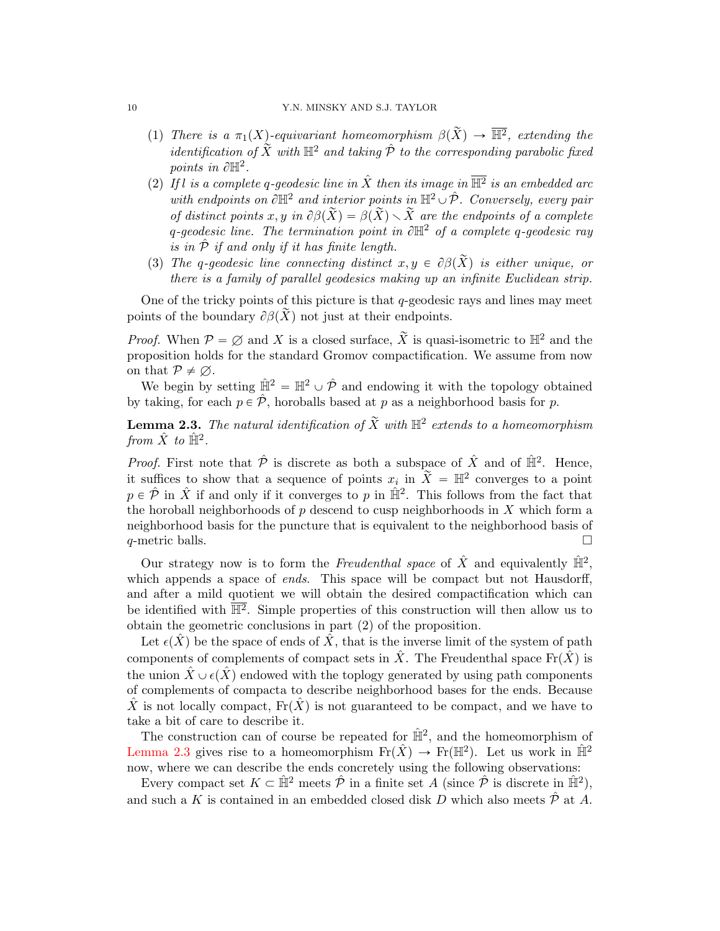- (1) There is a  $\pi_1(X)$ -equivariant homeomorphism  $\beta(\tilde{X}) \to \overline{\mathbb{H}^2}$ , extending the identification of  $\widetilde{X}$  with  $\mathbb{H}^2$  and taking  $\hat{\mathcal{P}}$  to the corresponding parabolic fixed points in  $\partial \mathbb{H}^2$ .
- (2) If l is a complete q-geodesic line in  $\hat{X}$  then its image in  $\overline{\mathbb{H}^2}$  is an embedded arc with endpoints on  $\partial \mathbb{H}^2$  and interior points in  $\mathbb{H}^2 \cup \hat{\mathcal{P}}$ . Conversely, every pair of distinct points x, y in  $\partial \beta(\tilde{X}) = \beta(\tilde{X}) \setminus \tilde{X}$  are the endpoints of a complete q-geodesic line. The termination point in  $\partial \mathbb{H}^2$  of a complete q-geodesic ray is in  $\hat{\mathcal{P}}$  if and only if it has finite length.
- (3) The q-qeodesic line connecting distinct  $x, y \in \partial \beta(\tilde{X})$  is either unique, or there is a family of parallel geodesics making up an infinite Euclidean strip.

One of the tricky points of this picture is that  $q$ -geodesic rays and lines may meet points of the boundary  $\partial \beta(\tilde{X})$  not just at their endpoints.

*Proof.* When  $P = \emptyset$  and X is a closed surface,  $\widetilde{X}$  is quasi-isometric to  $\mathbb{H}^2$  and the proposition holds for the standard Gromov compactification. We assume from now on that  $P \neq \emptyset$ .

We begin by setting  $\hat{\mathbb{H}}^2 = \mathbb{H}^2 \cup \hat{\mathcal{P}}$  and endowing it with the topology obtained by taking, for each  $p \in \hat{\mathcal{P}}$ , horoballs based at p as a neighborhood basis for p.

<span id="page-9-0"></span>**Lemma 2.3.** The natural identification of  $\widetilde{X}$  with  $\mathbb{H}^2$  extends to a homeomorphism from  $\hat{X}$  to  $\hat{\mathbb{H}}^2$ .

*Proof.* First note that  $\hat{\mathcal{P}}$  is discrete as both a subspace of  $\hat{X}$  and of  $\hat{\mathbb{H}}^2$ . Hence, it suffices to show that a sequence of points  $x_i$  in  $\widetilde{X} = \mathbb{H}^2$  converges to a point  $p \in \hat{\mathcal{P}}$  in  $\hat{X}$  if and only if it converges to p in  $\hat{\mathbb{H}}^2$ . This follows from the fact that the horoball neighborhoods of  $p$  descend to cusp neighborhoods in  $X$  which form a neighborhood basis for the puncture that is equivalent to the neighborhood basis of q-metric balls.  $\Box$ 

Our strategy now is to form the Freudenthal space of  $\hat{X}$  and equivalently  $\hat{\mathbb{H}}^2$ , which appends a space of *ends*. This space will be compact but not Hausdorff, and after a mild quotient we will obtain the desired compactification which can be identified with  $\mathbb{H}^2$ . Simple properties of this construction will then allow us to obtain the geometric conclusions in part (2) of the proposition.

Let  $\epsilon(X)$  be the space of ends of X, that is the inverse limit of the system of path components of complements of compact sets in  $\hat{X}$ . The Freudenthal space  $\text{Fr}(\hat{X})$  is the union  $\hat{X} \cup \epsilon(\hat{X})$  endowed with the toplogy generated by using path components of complements of compacta to describe neighborhood bases for the ends. Because X is not locally compact,  $\text{Fr}(\tilde{X})$  is not guaranteed to be compact, and we have to take a bit of care to describe it.

The construction can of course be repeated for  $\hat{\mathbb{H}}^2$ , and the homeomorphism of [Lemma 2.3](#page-9-0) gives rise to a homeomorphism  $\mathrm{Fr}(\hat{X}) \to \mathrm{Fr}(\mathbb{H}^2)$ . Let us work in  $\hat{\mathbb{H}}^2$ now, where we can describe the ends concretely using the following observations:

Every compact set  $K \subset \hat{\mathbb{H}}^2$  meets  $\hat{\mathcal{P}}$  in a finite set A (since  $\hat{\mathcal{P}}$  is discrete in  $\hat{\mathbb{H}}^2$ ), and such a K is contained in an embedded closed disk D which also meets  $\hat{\mathcal{P}}$  at A.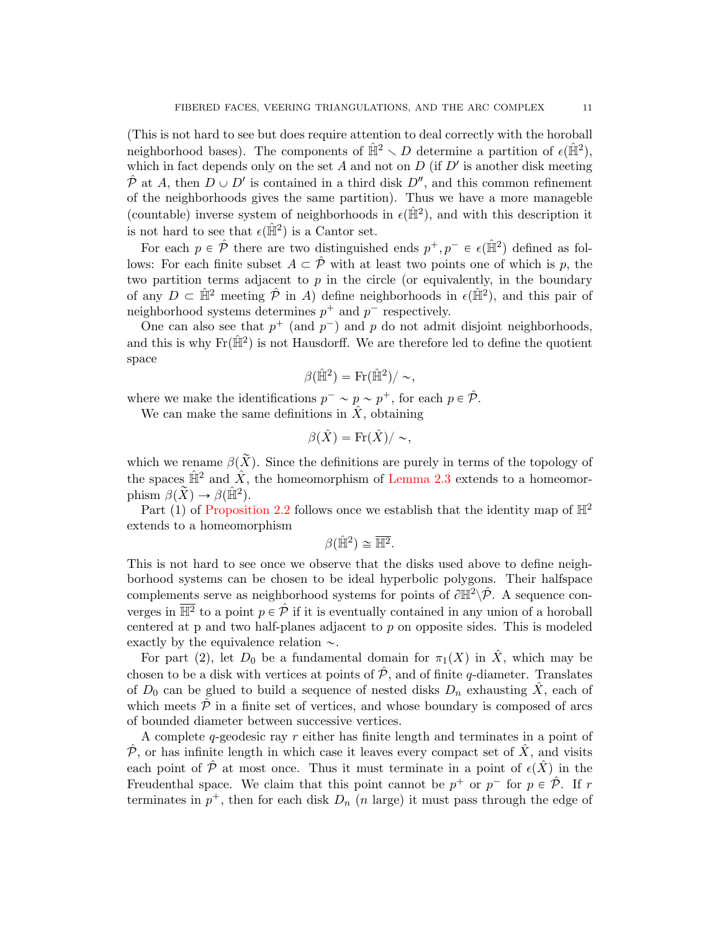(This is not hard to see but does require attention to deal correctly with the horoball neighborhood bases). The components of  $\hat{H}^2 \setminus D$  determine a partition of  $\epsilon(\hat{H}^2)$ , which in fact depends only on the set  $A$  and not on  $D$  (if  $D'$  is another disk meeting  $\hat{\mathcal{P}}$  at A, then  $D \cup D'$  is contained in a third disk  $D''$ , and this common refinement of the neighborhoods gives the same partition). Thus we have a more manageble (countable) inverse system of neighborhoods in  $\epsilon(\hat{\mathbb{H}}^2)$ , and with this description it is not hard to see that  $\epsilon(\hat{\mathbb{H}}^2)$  is a Cantor set.

For each  $p \in \hat{\mathcal{P}}$  there are two distinguished ends  $p^+, p^- \in \epsilon(\hat{\mathbb{H}}^2)$  defined as follows: For each finite subset  $A \subset \hat{\mathcal{P}}$  with at least two points one of which is p, the two partition terms adjacent to  $p$  in the circle (or equivalently, in the boundary of any  $D \subset \hat{\mathbb{H}}^2$  meeting  $\hat{\mathcal{P}}$  in A) define neighborhoods in  $\epsilon(\hat{\mathbb{H}}^2)$ , and this pair of neighborhood systems determines  $p^+$  and  $p^-$  respectively.

One can also see that  $p^+$  (and  $p^-$ ) and p do not admit disjoint neighborhoods, and this is why  $\text{Fr}(\hat{\mathbb{H}}^2)$  is not Hausdorff. We are therefore led to define the quotient space

$$
\beta(\hat{\mathbb{H}}^2) = \text{Fr}(\hat{\mathbb{H}}^2) / \sim,
$$

where we make the identifications  $p^- \sim p \sim p^+$ , for each  $p \in \hat{\mathcal{P}}$ .

We can make the same definitions in  $\hat{X}$ , obtaining

$$
\beta(\hat{X}) = \text{Fr}(\hat{X}) / \sim,
$$

which we rename  $\beta(\tilde{X})$ . Since the definitions are purely in terms of the topology of the spaces  $\hat{\mathbb{H}}^2$  and  $\hat{X}$ , the homeomorphism of [Lemma 2.3](#page-9-0) extends to a homeomorphism  $\beta(\widetilde{X}) \to \beta(\hat{\mathbb{H}}^2)$ .

Part (1) of [Proposition 2.2](#page-8-0) follows once we establish that the identity map of  $\mathbb{H}^2$ extends to a homeomorphism

$$
\beta(\hat{\mathbb{H}}^2) \cong \overline{\mathbb{H}^2}.
$$

This is not hard to see once we observe that the disks used above to define neighborhood systems can be chosen to be ideal hyperbolic polygons. Their halfspace complements serve as neighborhood systems for points of  $\partial \mathbb{H}^2 \backslash \hat{\mathcal{P}}$ . A sequence converges in  $\overline{\mathbb{H}^2}$  to a point  $p \in \hat{\mathcal{P}}$  if it is eventually contained in any union of a horoball centered at  $p$  and two half-planes adjacent to  $p$  on opposite sides. This is modeled exactly by the equivalence relation  $\sim$ .

For part (2), let  $D_0$  be a fundamental domain for  $\pi_1(X)$  in  $\hat{X}$ , which may be chosen to be a disk with vertices at points of  $\hat{\mathcal{P}}$ , and of finite q-diameter. Translates of  $D_0$  can be glued to build a sequence of nested disks  $D_n$  exhausting  $\hat{X}$ , each of which meets  $\hat{\mathcal{P}}$  in a finite set of vertices, and whose boundary is composed of arcs of bounded diameter between successive vertices.

A complete  $q$ -geodesic ray  $r$  either has finite length and terminates in a point of  $\hat{\mathcal{P}}$ , or has infinite length in which case it leaves every compact set of  $\hat{X}$ , and visits each point of  $\hat{\mathcal{P}}$  at most once. Thus it must terminate in a point of  $\epsilon(\hat{X})$  in the Freudenthal space. We claim that this point cannot be  $p^+$  or  $p^-$  for  $p \in \hat{\mathcal{P}}$ . If r terminates in  $p^+$ , then for each disk  $D_n$  (n large) it must pass through the edge of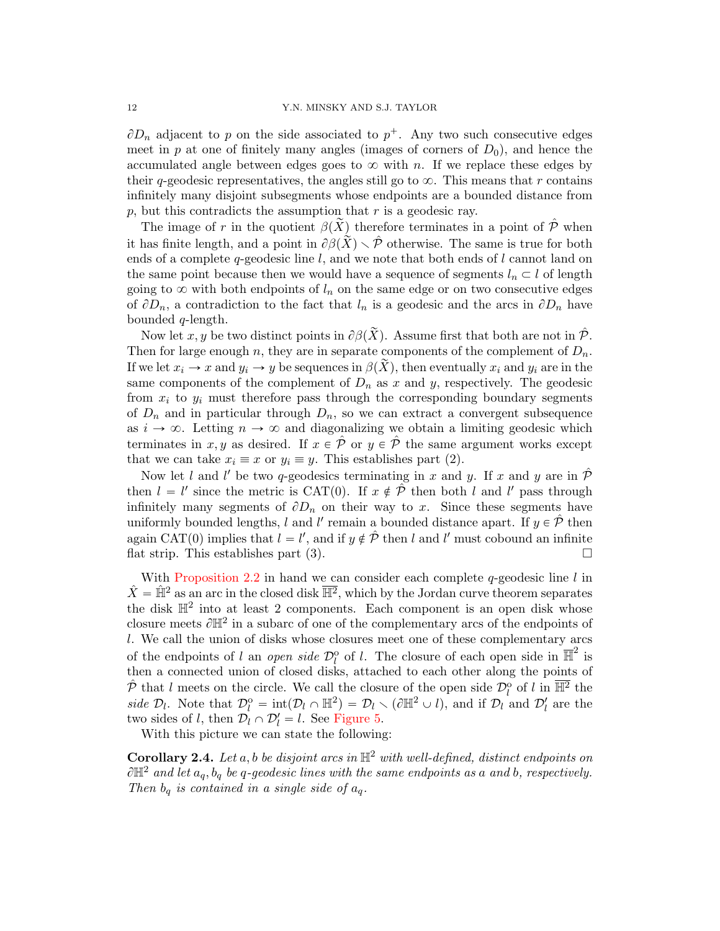$\partial D_n$  adjacent to p on the side associated to  $p^+$ . Any two such consecutive edges meet in p at one of finitely many angles (images of corners of  $D_0$ ), and hence the accumulated angle between edges goes to  $\infty$  with n. If we replace these edges by their q-geodesic representatives, the angles still go to  $\infty$ . This means that r contains infinitely many disjoint subsegments whose endpoints are a bounded distance from  $p$ , but this contradicts the assumption that  $r$  is a geodesic ray.

The image of r in the quotient  $\beta(\tilde{X})$  therefore terminates in a point of  $\hat{\mathcal{P}}$  when it has finite length, and a point in  $\partial \beta(\tilde{X}) \setminus \hat{\mathcal{P}}$  otherwise. The same is true for both ends of a complete  $q$ -geodesic line l, and we note that both ends of l cannot land on the same point because then we would have a sequence of segments  $l_n \subset l$  of length going to  $\infty$  with both endpoints of  $l_n$  on the same edge or on two consecutive edges of  $\partial D_n$ , a contradiction to the fact that  $l_n$  is a geodesic and the arcs in  $\partial D_n$  have bounded q-length.

Now let x, y be two distinct points in  $\partial \beta(\tilde{X})$ . Assume first that both are not in  $\hat{\mathcal{P}}$ . Then for large enough n, they are in separate components of the complement of  $D_n$ . If we let  $x_i \to x$  and  $y_i \to y$  be sequences in  $\beta(X)$ , then eventually  $x_i$  and  $y_i$  are in the same components of the complement of  $D_n$  as x and y, respectively. The geodesic from  $x_i$  to  $y_i$  must therefore pass through the corresponding boundary segments of  $D_n$  and in particular through  $D_n$ , so we can extract a convergent subsequence as  $i \to \infty$ . Letting  $n \to \infty$  and diagonalizing we obtain a limiting geodesic which terminates in x, y as desired. If  $x \in \hat{\mathcal{P}}$  or  $y \in \hat{\mathcal{P}}$  the same argument works except that we can take  $x_i \equiv x$  or  $y_i \equiv y$ . This establishes part (2).

Now let l and l' be two q-geodesics terminating in x and y. If x and y are in  $\hat{\mathcal{P}}$ then  $l = l'$  since the metric is CAT(0). If  $x \notin \hat{\mathcal{P}}$  then both l and l' pass through infinitely many segments of  $\partial D_n$  on their way to x. Since these segments have uniformly bounded lengths, l and l' remain a bounded distance apart. If  $y \in \hat{\mathcal{P}}$  then again CAT(0) implies that  $l = l'$ , and if  $y \notin \hat{\mathcal{P}}$  then l and l' must cobound an infinite flat strip. This establishes part (3).

With [Proposition 2.2](#page-8-0) in hand we can consider each complete  $q$ -geodesic line l in  $\hat{X} = \hat{\mathbb{H}}^2$  as an arc in the closed disk  $\overline{\mathbb{H}^2}$ , which by the Jordan curve theorem separates the disk  $\mathbb{H}^2$  into at least 2 components. Each component is an open disk whose closure meets  $\partial \mathbb{H}^2$  in a subarc of one of the complementary arcs of the endpoints of l. We call the union of disks whose closures meet one of these complementary arcs of the endpoints of l an *open side*  $\mathcal{D}_l^{\circ}$  of l. The closure of each open side in  $\overline{\mathbb{H}}^2$  is then a connected union of closed disks, attached to each other along the points of  $\hat{\mathcal{P}}$  that l meets on the circle. We call the closure of the open side  $\mathcal{D}_l^{\text{o}}$  of l in  $\overline{\mathbb{H}^2}$  the side  $\mathcal{D}_l$ . Note that  $\mathcal{D}_l^{\text{o}} = \text{int}(\mathcal{D}_l \cap \mathbb{H}^2) = \mathcal{D}_l \setminus (\partial \mathbb{H}^2 \cup l)$ , and if  $\mathcal{D}_l$  and  $\mathcal{D}'_l$  are the two sides of l, then  $\mathcal{D}_l \cap \mathcal{D}'_l = l$ . See [Figure 5.](#page-12-0)

With this picture we can state the following:

<span id="page-11-0"></span>**Corollary 2.4.** Let a, b be disjoint arcs in  $\mathbb{H}^2$  with well-defined, distinct endpoints on  $\partial \mathbb{H}^2$  and let  $a_q, b_q$  be q-geodesic lines with the same endpoints as a and b, respectively. Then  $b_q$  is contained in a single side of  $a_q$ .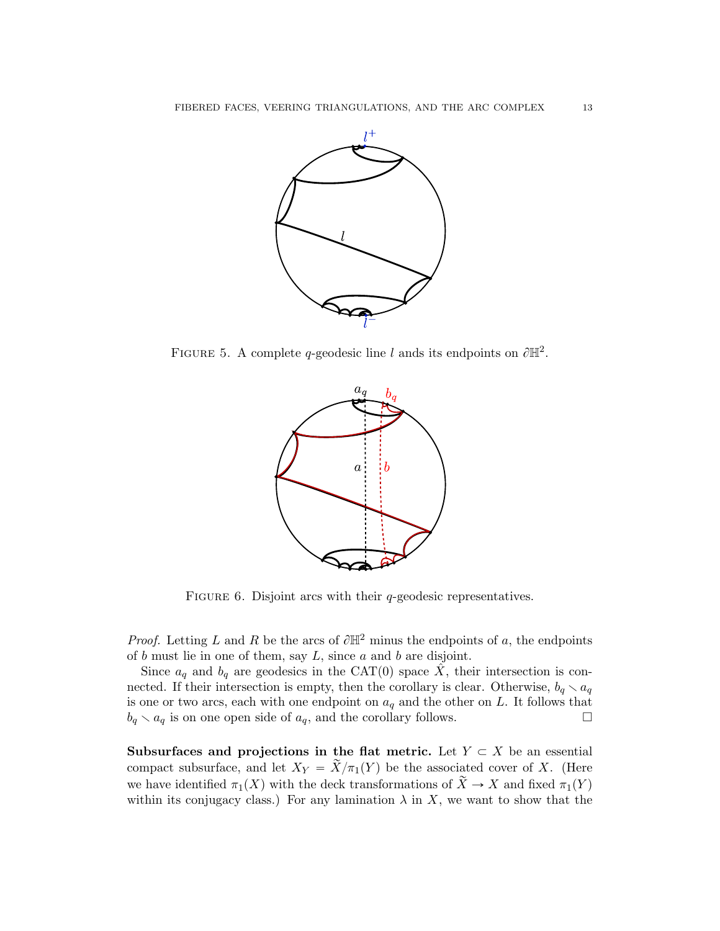

FIGURE 5. A complete q-geodesic line l ands its endpoints on  $\partial \mathbb{H}^2$ .

<span id="page-12-0"></span>

FIGURE 6. Disjoint arcs with their  $q$ -geodesic representatives.

*Proof.* Letting L and R be the arcs of  $\partial \mathbb{H}^2$  minus the endpoints of a, the endpoints of  $b$  must lie in one of them, say  $L$ , since  $a$  and  $b$  are disjoint.

Since  $a_q$  and  $b_q$  are geodesics in the CAT(0) space  $\hat{X}$ , their intersection is connected. If their intersection is empty, then the corollary is clear. Otherwise,  $b_q \nightharpoonup a_q$ is one or two arcs, each with one endpoint on  $a<sub>q</sub>$  and the other on L. It follows that  $b_q \setminus a_q$  is on one open side of  $a_q$ , and the corollary follows.

Subsurfaces and projections in the flat metric. Let  $Y \subset X$  be an essential compact subsurface, and let  $X_Y = \tilde{X}/\pi_1(Y)$  be the associated cover of X. (Here we have identified  $\pi_1(X)$  with the deck transformations of  $\widetilde{X} \to X$  and fixed  $\pi_1(Y)$ within its conjugacy class.) For any lamination  $\lambda$  in X, we want to show that the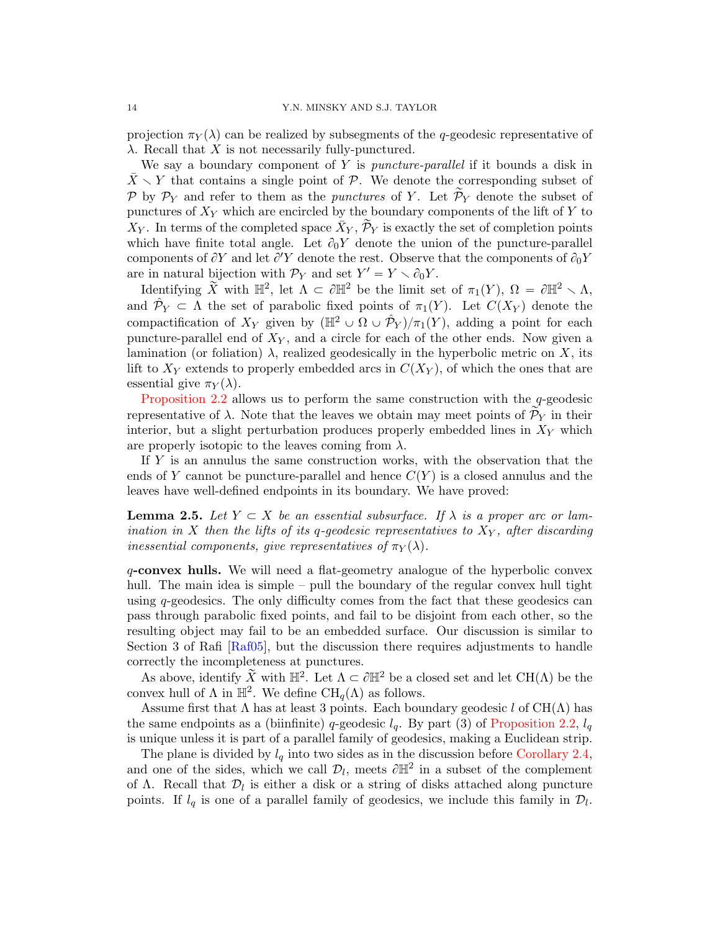projection  $\pi_Y(\lambda)$  can be realized by subsegments of the q-geodesic representative of  $\lambda$ . Recall that X is not necessarily fully-punctured.

We say a boundary component of Y is *puncture-parallel* if it bounds a disk in  $\bar{X} \setminus Y$  that contains a single point of P. We denote the corresponding subset of P by  $P_Y$  and refer to them as the *punctures* of Y. Let  $\widetilde{P}_Y$  denote the subset of punctures of  $X_Y$  which are encircled by the boundary components of the lift of Y to  $X_Y$ . In terms of the completed space  $\bar{X}_Y$ ,  $\tilde{\mathcal{P}}_Y$  is exactly the set of completion points which have finite total angle. Let  $\partial_0 Y$  denote the union of the puncture-parallel components of  $\partial Y$  and let  $\partial' Y$  denote the rest. Observe that the components of  $\partial_0 Y$ are in natural bijection with  $\mathcal{P}_Y$  and set  $Y' = Y \setminus \partial_0 Y$ .

Identifying  $\widetilde{X}$  with  $\mathbb{H}^2$ , let  $\Lambda \subset \partial \mathbb{H}^2$  be the limit set of  $\pi_1(Y)$ ,  $\Omega = \partial \mathbb{H}^2 \setminus \Lambda$ , and  $\hat{\mathcal{P}}_Y \subset \Lambda$  the set of parabolic fixed points of  $\pi_1(Y)$ . Let  $C(X_Y)$  denote the compactification of  $X_Y$  given by  $(\mathbb{H}^2 \cup \Omega \cup \hat{\mathcal{P}}_Y)/\pi_1(Y)$ , adding a point for each puncture-parallel end of  $X_Y$ , and a circle for each of the other ends. Now given a lamination (or foliation)  $\lambda$ , realized geodesically in the hyperbolic metric on X, its lift to  $X_Y$  extends to properly embedded arcs in  $C(X_Y)$ , of which the ones that are essential give  $\pi_Y(\lambda)$ .

[Proposition 2.2](#page-8-0) allows us to perform the same construction with the  $q$ -geodesic representative of  $\lambda$ . Note that the leaves we obtain may meet points of  $\mathcal{P}_Y$  in their interior, but a slight perturbation produces properly embedded lines in  $X<sub>Y</sub>$  which are properly isotopic to the leaves coming from  $\lambda$ .

If Y is an annulus the same construction works, with the observation that the ends of Y cannot be puncture-parallel and hence  $C(Y)$  is a closed annulus and the leaves have well-defined endpoints in its boundary. We have proved:

<span id="page-13-0"></span>**Lemma 2.5.** Let  $Y \subset X$  be an essential subsurface. If  $\lambda$  is a proper arc or lamination in X then the lifts of its q-geodesic representatives to  $X_Y$ , after discarding inessential components, give representatives of  $\pi_Y(\lambda)$ .

q-convex hulls. We will need a flat-geometry analogue of the hyperbolic convex hull. The main idea is simple – pull the boundary of the regular convex hull tight using  $q$ -geodesics. The only difficulty comes from the fact that these geodesics can pass through parabolic fixed points, and fail to be disjoint from each other, so the resulting object may fail to be an embedded surface. Our discussion is similar to Section 3 of Rafi [\[Raf05\]](#page-45-7), but the discussion there requires adjustments to handle correctly the incompleteness at punctures.

As above, identify  $\widetilde{X}$  with  $\mathbb{H}^2$ . Let  $\Lambda \subset \partial \mathbb{H}^2$  be a closed set and let CH( $\Lambda$ ) be the convex hull of  $\Lambda$  in  $\mathbb{H}^2$ . We define  $\text{CH}_q(\Lambda)$  as follows.

Assume first that  $\Lambda$  has at least 3 points. Each boundary geodesic l of CH( $\Lambda$ ) has the same endpoints as a (biinfinite) q-geodesic  $l_q$ . By part (3) of [Proposition 2.2,](#page-8-0)  $l_q$ is unique unless it is part of a parallel family of geodesics, making a Euclidean strip.

The plane is divided by  $l_q$  into two sides as in the discussion before [Corollary 2.4,](#page-11-0) and one of the sides, which we call  $\mathcal{D}_l$ , meets  $\partial \mathbb{H}^2$  in a subset of the complement of  $\Lambda$ . Recall that  $\mathcal{D}_l$  is either a disk or a string of disks attached along puncture points. If  $l_q$  is one of a parallel family of geodesics, we include this family in  $\mathcal{D}_l$ .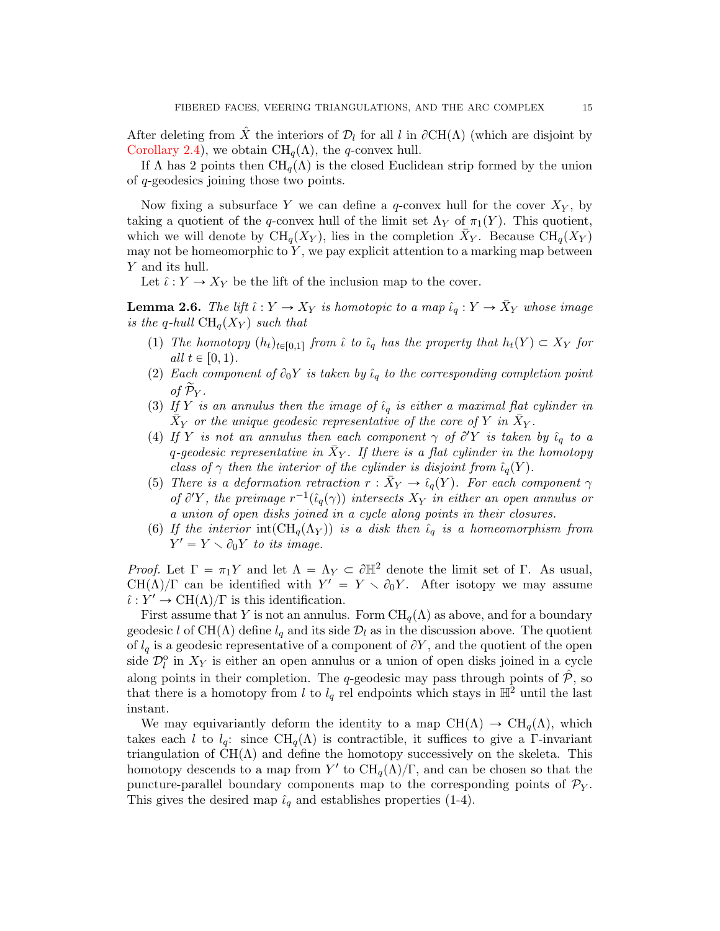After deleting from  $\hat{X}$  the interiors of  $\mathcal{D}_l$  for all l in  $\partial \text{CH}(\Lambda)$  (which are disjoint by [Corollary 2.4\)](#page-11-0), we obtain  $\text{CH}_q(\Lambda)$ , the q-convex hull.

If  $\Lambda$  has 2 points then  $\text{CH}_q(\Lambda)$  is the closed Euclidean strip formed by the union of q-geodesics joining those two points.

Now fixing a subsurface Y we can define a  $q$ -convex hull for the cover  $X_Y$ , by taking a quotient of the q-convex hull of the limit set  $\Lambda_Y$  of  $\pi_1(Y)$ . This quotient, which we will denote by  $\text{CH}_q(X_Y)$ , lies in the completion  $\bar{X}_Y$ . Because  $\text{CH}_q(X_Y)$ may not be homeomorphic to  $Y$ , we pay explicit attention to a marking map between Y and its hull.

Let  $\hat{\iota}: Y \to X_Y$  be the lift of the inclusion map to the cover.

<span id="page-14-0"></span>**Lemma 2.6.** The lift  $\hat{\iota}: Y \to X_Y$  is homotopic to a map  $\hat{\iota}_q: Y \to \bar{X}_Y$  whose image is the q-hull  $\text{CH}_q(X_Y)$  such that

- (1) The homotopy  $(h_t)_{t\in[0,1]}$  from  $\hat{\iota}$  to  $\hat{\iota}_q$  has the property that  $h_t(Y) \subset X_Y$  for all  $t \in [0, 1)$ .
- (2) Each component of  $\partial_0 Y$  is taken by  $\hat{\iota}_q$  to the corresponding completion point of  $\widetilde{\mathcal{P}}_{Y}$ .
- (3) If Y is an annulus then the image of  $\hat{\iota}_q$  is either a maximal flat cylinder in  $\bar{X}_Y$  or the unique geodesic representative of the core of Y in  $\bar{X}_Y$ .
- (4) If Y is not an annulus then each component  $\gamma$  of  $\partial' Y$  is taken by  $\hat{\iota}_q$  to a q-geodesic representative in  $\bar{X}_Y$ . If there is a flat cylinder in the homotopy class of  $\gamma$  then the interior of the cylinder is disjoint from  $\hat{\iota}_q(Y)$ .
- (5) There is a deformation retraction  $r : \bar{X}_Y \to \hat{\iota}_q(Y)$ . For each component  $\gamma$ of  $\partial'Y$ , the preimage  $r^{-1}(\hat{\iota}_q(\gamma))$  intersects  $X_Y$  in either an open annulus or a union of open disks joined in a cycle along points in their closures.
- (6) If the interior int $(\text{CH}_q(\Lambda_Y))$  is a disk then  $\hat{\iota}_q$  is a homeomorphism from  $Y' = Y \setminus \partial_0 Y$  to its image.

*Proof.* Let  $\Gamma = \pi_1 Y$  and let  $\Lambda = \Lambda_Y \subset \partial \mathbb{H}^2$  denote the limit set of Γ. As usual, CH( $\Lambda$ )/ $\Gamma$  can be identified with  $Y' = Y \setminus \partial_0 Y$ . After isotopy we may assume  $\hat{\iota}: Y' \to \mathrm{CH}(\Lambda)/\Gamma$  is this identification.

First assume that Y is not an annulus. Form  $\text{CH}_q(\Lambda)$  as above, and for a boundary geodesic l of CH( $\Lambda$ ) define  $l_q$  and its side  $\mathcal{D}_l$  as in the discussion above. The quotient of  $l_q$  is a geodesic representative of a component of  $\partial Y$ , and the quotient of the open side  $\mathcal{D}_l^{\text{o}}$  in  $X_Y$  is either an open annulus or a union of open disks joined in a cycle along points in their completion. The q-geodesic may pass through points of  $\hat{\mathcal{P}}$ , so that there is a homotopy from l to  $l_q$  rel endpoints which stays in  $\mathbb{H}^2$  until the last instant.

We may equivariantly deform the identity to a map  $CH(\Lambda) \rightarrow CH_q(\Lambda)$ , which takes each l to  $l_q$ : since CH<sub>q</sub>( $\Lambda$ ) is contractible, it suffices to give a Γ-invariant triangulation of  $CH(\Lambda)$  and define the homotopy successively on the skeleta. This homotopy descends to a map from Y' to  $\mathrm{CH}_q(\Lambda)/\Gamma$ , and can be chosen so that the puncture-parallel boundary components map to the corresponding points of  $\mathcal{P}_Y$ . This gives the desired map  $\hat{\iota}_q$  and establishes properties (1-4).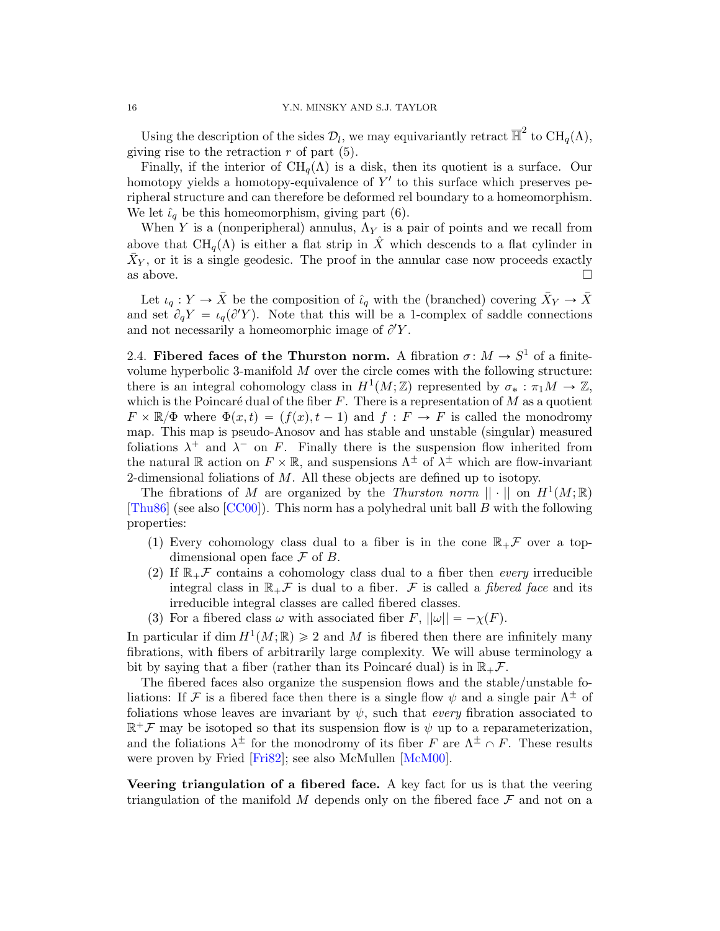Using the description of the sides  $\mathcal{D}_l$ , we may equivariantly retract  $\overline{\mathbb{H}}^2$  to  $\text{CH}_q(\Lambda)$ , giving rise to the retraction  $r$  of part  $(5)$ .

Finally, if the interior of  $\text{CH}_q(\Lambda)$  is a disk, then its quotient is a surface. Our homotopy yields a homotopy-equivalence of  $Y'$  to this surface which preserves peripheral structure and can therefore be deformed rel boundary to a homeomorphism. We let  $\hat{\iota}_q$  be this homeomorphism, giving part (6).

When Y is a (nonperipheral) annulus,  $\Lambda_Y$  is a pair of points and we recall from above that  $\text{CH}_q(\Lambda)$  is either a flat strip in X<sup> $\hat{X}$ </sup> which descends to a flat cylinder in  $\bar{X}_Y$ , or it is a single geodesic. The proof in the annular case now proceeds exactly as above.  $\square$ 

Let  $\iota_q: Y \to \bar{X}$  be the composition of  $\hat{\iota}_q$  with the (branched) covering  $\bar{X}_Y \to \bar{X}$ and set  $\partial_q Y = \iota_q(\partial Y)$ . Note that this will be a 1-complex of saddle connections and not necessarily a homeomorphic image of  $\partial Y$ .

2.4. Fibered faces of the Thurston norm. A fibration  $\sigma: M \to S^1$  of a finitevolume hyperbolic 3-manifold  $M$  over the circle comes with the following structure: there is an integral cohomology class in  $H^1(M;\mathbb{Z})$  represented by  $\sigma_* : \pi_1 M \to \mathbb{Z}$ , which is the Poincaré dual of the fiber  $F$ . There is a representation of M as a quotient  $F \times \mathbb{R}/\Phi$  where  $\Phi(x, t) = (f(x), t - 1)$  and  $f : F \to F$  is called the monodromy map. This map is pseudo-Anosov and has stable and unstable (singular) measured foliations  $\lambda^+$  and  $\lambda^-$  on F. Finally there is the suspension flow inherited from the natural R action on  $F \times \mathbb{R}$ , and suspensions  $\Lambda^{\pm}$  of  $\lambda^{\pm}$  which are flow-invariant 2-dimensional foliations of  $M$ . All these objects are defined up to isotopy.

The fibrations of M are organized by the Thurston norm  $\|\cdot\|$  on  $H^1(M;\mathbb{R})$ [\[Thu86\]](#page-45-8) (see also [\[CC00\]](#page-44-11)). This norm has a polyhedral unit ball B with the following properties:

- (1) Every cohomology class dual to a fiber is in the cone  $\mathbb{R}_+$  over a topdimensional open face  $\mathcal F$  of  $B$ .
- (2) If  $\mathbb{R}_+$  contains a cohomology class dual to a fiber then every irreducible integral class in  $\mathbb{R}_+$  is dual to a fiber. F is called a *fibered face* and its irreducible integral classes are called fibered classes.
- (3) For a fibered class  $\omega$  with associated fiber F,  $||\omega|| = -\chi(F)$ .

In particular if dim  $H^1(M; \mathbb{R}) \geq 2$  and M is fibered then there are infinitely many fibrations, with fibers of arbitrarily large complexity. We will abuse terminology a bit by saying that a fiber (rather than its Poincaré dual) is in  $\mathbb{R}_+$ .

The fibered faces also organize the suspension flows and the stable/unstable foliations: If F is a fibered face then there is a single flow  $\psi$  and a single pair  $\Lambda^{\pm}$  of foliations whose leaves are invariant by  $\psi$ , such that *every* fibration associated to  $\mathbb{R}^+\mathcal{F}$  may be isotoped so that its suspension flow is  $\psi$  up to a reparameterization, and the foliations  $\lambda^{\pm}$  for the monodromy of its fiber F are  $\Lambda^{\pm} \cap F$ . These results were proven by Fried [\[Fri82\]](#page-44-12); see also McMullen [\[McM00\]](#page-45-3).

Veering triangulation of a fibered face. A key fact for us is that the veering triangulation of the manifold  $M$  depends only on the fibered face  $\mathcal F$  and not on a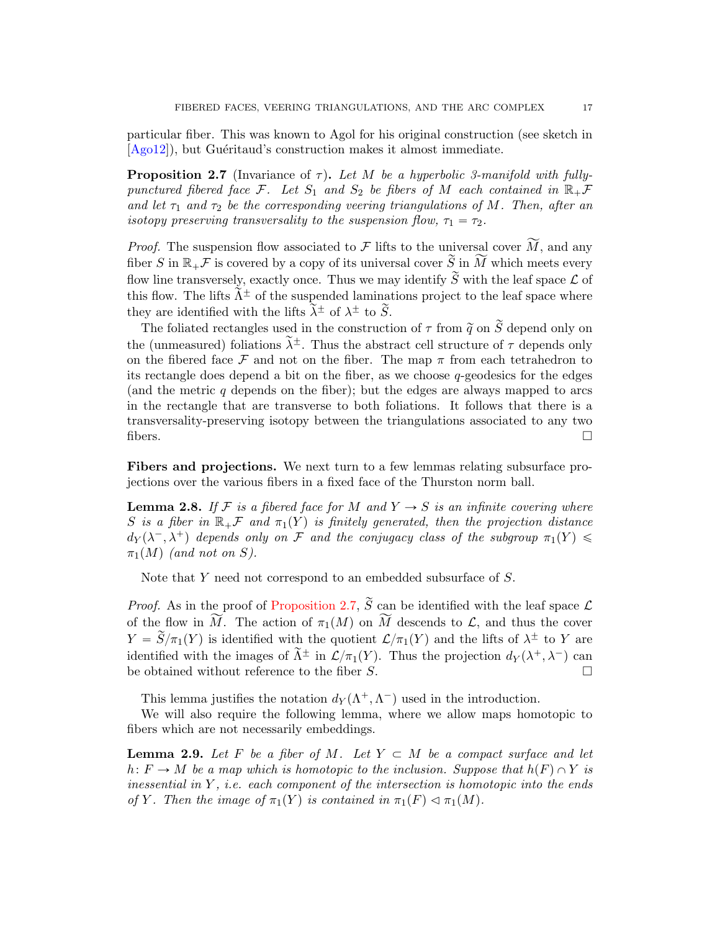particular fiber. This was known to Agol for his original construction (see sketch in [\[Ago12\]](#page-44-13)), but Guéritaud's construction makes it almost immediate.

<span id="page-16-0"></span>**Proposition 2.7** (Invariance of  $\tau$ ). Let M be a hyperbolic 3-manifold with fullypunctured fibered face F. Let  $S_1$  and  $S_2$  be fibers of M each contained in  $\mathbb{R}_+$ F and let  $\tau_1$  and  $\tau_2$  be the corresponding veering triangulations of M. Then, after an isotopy preserving transversality to the suspension flow,  $\tau_1 = \tau_2$ .

*Proof.* The suspension flow associated to F lifts to the universal cover  $\widetilde{M}$ , and any fiber S in  $\mathbb{R}_+$  is covered by a copy of its universal cover  $\widetilde{S}$  in  $\widetilde{M}$  which meets every flow line transversely, exactly once. Thus we may identify  $\widetilde{S}$  with the leaf space  $\mathcal L$  of this flow. The lifts  $\tilde{\Lambda}^{\pm}$  of the suspended laminations project to the leaf space where they are identified with the lifts  $\tilde{\lambda}^{\pm}$  of  $\lambda^{\pm}$  to  $\tilde{S}$ .

The foliated rectangles used in the construction of  $\tau$  from  $\tilde{q}$  on  $\tilde{S}$  depend only on the (unmeasured) foliations  $\tilde{\lambda}^{\pm}$ . Thus the abstract cell structure of  $\tau$  depends only on the fibered face  $\mathcal F$  and not on the fiber. The map  $\pi$  from each tetrahedron to its rectangle does depend a bit on the fiber, as we choose  $q$ -geodesics for the edges (and the metric q depends on the fiber); but the edges are always mapped to arcs in the rectangle that are transverse to both foliations. It follows that there is a transversality-preserving isotopy between the triangulations associated to any two fibers.  $\square$ 

Fibers and projections. We next turn to a few lemmas relating subsurface projections over the various fibers in a fixed face of the Thurston norm ball.

<span id="page-16-1"></span>**Lemma 2.8.** If F is a fibered face for M and  $Y \rightarrow S$  is an infinite covering where S is a fiber in  $\mathbb{R}_+$  and  $\pi_1(Y)$  is finitely generated, then the projection distance  $d_Y(\lambda^-,\lambda^+)$  depends only on F and the conjugacy class of the subgroup  $\pi_1(Y) \leq$  $\pi_1(M)$  (and not on S).

Note that Y need not correspond to an embedded subsurface of S.

*Proof.* As in the proof of [Proposition 2.7,](#page-16-0)  $\widetilde{S}$  can be identified with the leaf space  $\mathcal{L}$ of the flow in  $\widetilde{M}$ . The action of  $\pi_1(M)$  on  $\widetilde{M}$  descends to  $\mathcal{L}$ , and thus the cover  $Y = \widetilde{S}/\pi_1(Y)$  is identified with the quotient  $\mathcal{L}/\pi_1(Y)$  and the lifts of  $\lambda^{\pm}$  to Y are identified with the images of  $\tilde{\Lambda}^{\pm}$  in  $\mathcal{L}/\pi_1(Y)$ . Thus the projection  $d_Y(\lambda^+, \lambda^-)$  can be obtained without reference to the fiber S.  $\Box$ 

This lemma justifies the notation  $d_Y(\Lambda^+, \Lambda^-)$  used in the introduction.

We will also require the following lemma, where we allow maps homotopic to fibers which are not necessarily embeddings.

<span id="page-16-2"></span>**Lemma 2.9.** Let F be a fiber of M. Let  $Y \subset M$  be a compact surface and let  $h: F \to M$  be a map which is homotopic to the inclusion. Suppose that  $h(F) \cap Y$  is inessential in  $Y$ , i.e. each component of the intersection is homotopic into the ends of Y. Then the image of  $\pi_1(Y)$  is contained in  $\pi_1(F) \lhd \pi_1(M)$ .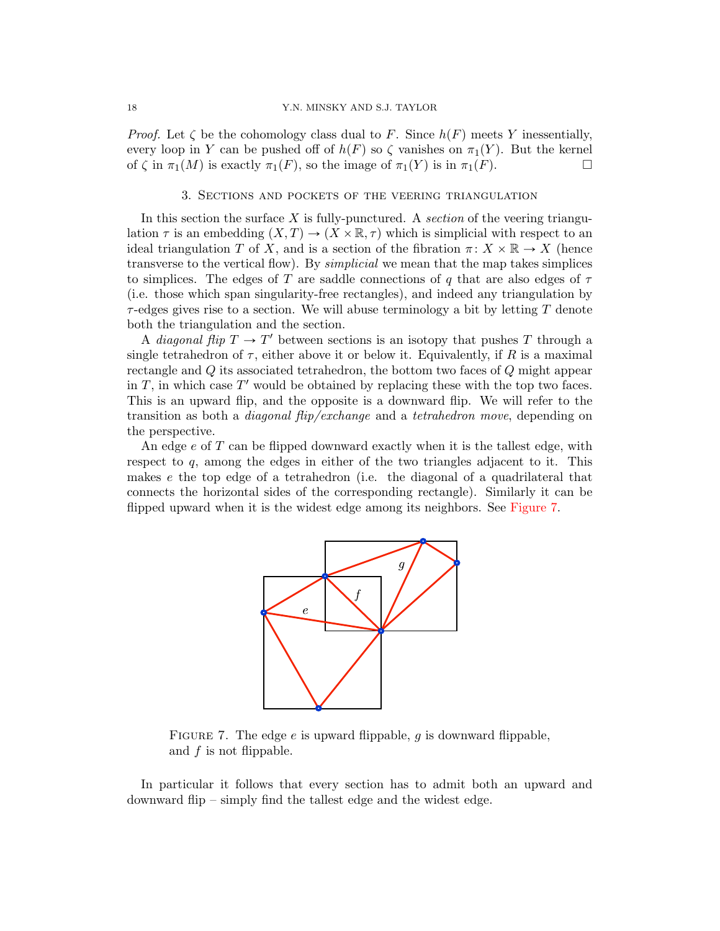*Proof.* Let  $\zeta$  be the cohomology class dual to F. Since  $h(F)$  meets Y inessentially, every loop in Y can be pushed off of  $h(F)$  so  $\zeta$  vanishes on  $\pi_1(Y)$ . But the kernel of  $\zeta$  in  $\pi_1(M)$  is exactly  $\pi_1(F)$ , so the image of  $\pi_1(Y)$  is in  $\pi_1(F)$ .

### 3. Sections and pockets of the veering triangulation

<span id="page-17-0"></span>In this section the surface  $X$  is fully-punctured. A section of the veering triangulation  $\tau$  is an embedding  $(X, T) \to (X \times \mathbb{R}, \tau)$  which is simplicial with respect to an ideal triangulation T of X, and is a section of the fibration  $\pi \colon X \times \mathbb{R} \to X$  (hence transverse to the vertical flow). By *simplicial* we mean that the map takes simplices to simplices. The edges of T are saddle connections of q that are also edges of  $\tau$ (i.e. those which span singularity-free rectangles), and indeed any triangulation by  $\tau$ -edges gives rise to a section. We will abuse terminology a bit by letting T denote both the triangulation and the section.

A *diagonal flip*  $T \to T'$  between sections is an isotopy that pushes T through a single tetrahedron of  $\tau$ , either above it or below it. Equivalently, if R is a maximal rectangle and Q its associated tetrahedron, the bottom two faces of Q might appear in  $T$ , in which case  $T'$  would be obtained by replacing these with the top two faces. This is an upward flip, and the opposite is a downward flip. We will refer to the transition as both a diagonal flip/exchange and a tetrahedron move, depending on the perspective.

An edge e of T can be flipped downward exactly when it is the tallest edge, with respect to  $q$ , among the edges in either of the two triangles adjacent to it. This makes e the top edge of a tetrahedron (i.e. the diagonal of a quadrilateral that connects the horizontal sides of the corresponding rectangle). Similarly it can be flipped upward when it is the widest edge among its neighbors. See [Figure 7.](#page-17-1)



<span id="page-17-1"></span>FIGURE 7. The edge  $e$  is upward flippable,  $g$  is downward flippable, and  $f$  is not flippable.

In particular it follows that every section has to admit both an upward and downward flip – simply find the tallest edge and the widest edge.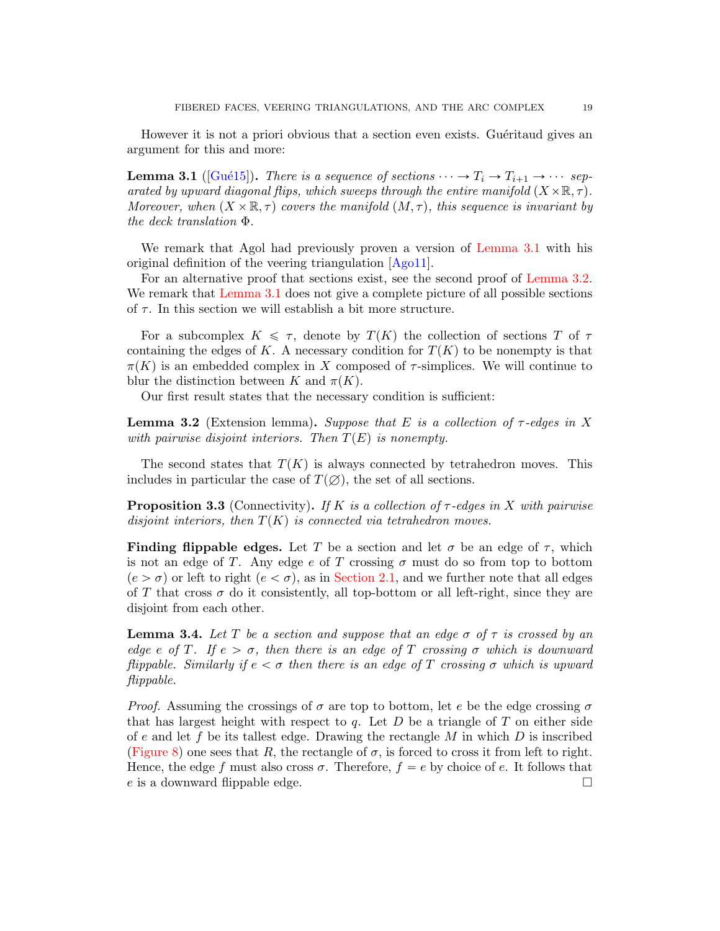However it is not a priori obvious that a section even exists. Guéritaud gives an argument for this and more:

<span id="page-18-2"></span>**Lemma 3.1** ( $[Gu\acute{e}15]$ ). There is a sequence of sections  $\cdots \rightarrow T_i \rightarrow T_{i+1} \rightarrow \cdots$  separated by upward diagonal flips, which sweeps through the entire manifold  $(X \times \mathbb{R}, \tau)$ . Moreover, when  $(X \times \mathbb{R}, \tau)$  covers the manifold  $(M, \tau)$ , this sequence is invariant by the deck translation Φ.

We remark that Agol had previously proven a version of [Lemma 3.1](#page-18-2) with his original definition of the veering triangulation [\[Ago11\]](#page-44-2).

For an alternative proof that sections exist, see the second proof of [Lemma 3.2.](#page-18-0) We remark that [Lemma 3.1](#page-18-2) does not give a complete picture of all possible sections of  $\tau$ . In this section we will establish a bit more structure.

For a subcomplex  $K \leq \tau$ , denote by  $T(K)$  the collection of sections T of  $\tau$ containing the edges of K. A necessary condition for  $T(K)$  to be nonempty is that  $\pi(K)$  is an embedded complex in X composed of  $\tau$ -simplices. We will continue to blur the distinction between K and  $\pi(K)$ .

Our first result states that the necessary condition is sufficient:

<span id="page-18-0"></span>**Lemma 3.2** (Extension lemma). Suppose that E is a collection of  $\tau$ -edges in X with pairwise disjoint interiors. Then  $T(E)$  is nonempty.

The second states that  $T(K)$  is always connected by tetrahedron moves. This includes in particular the case of  $T(\emptyset)$ , the set of all sections.

<span id="page-18-1"></span>**Proposition 3.3** (Connectivity). If K is a collection of  $\tau$ -edges in X with pairwise disjoint interiors, then  $T(K)$  is connected via tetrahedron moves.

**Finding flippable edges.** Let T be a section and let  $\sigma$  be an edge of  $\tau$ , which is not an edge of T. Any edge e of T crossing  $\sigma$  must do so from top to bottom  $(e > \sigma)$  or left to right  $(e < \sigma)$ , as in [Section 2.1,](#page-5-1) and we further note that all edges of T that cross  $\sigma$  do it consistently, all top-bottom or all left-right, since they are disjoint from each other.

<span id="page-18-3"></span>**Lemma 3.4.** Let T be a section and suppose that an edge  $\sigma$  of  $\tau$  is crossed by an edge e of T. If  $e > \sigma$ , then there is an edge of T crossing  $\sigma$  which is downward flippable. Similarly if  $e < \sigma$  then there is an edge of T crossing  $\sigma$  which is upward flippable.

*Proof.* Assuming the crossings of  $\sigma$  are top to bottom, let e be the edge crossing  $\sigma$ that has largest height with respect to q. Let  $D$  be a triangle of  $T$  on either side of e and let f be its tallest edge. Drawing the rectangle  $M$  in which  $D$  is inscribed [\(Figure 8\)](#page-19-0) one sees that R, the rectangle of  $\sigma$ , is forced to cross it from left to right. Hence, the edge f must also cross  $\sigma$ . Therefore,  $f = e$  by choice of e. It follows that e is a downward flippable edge.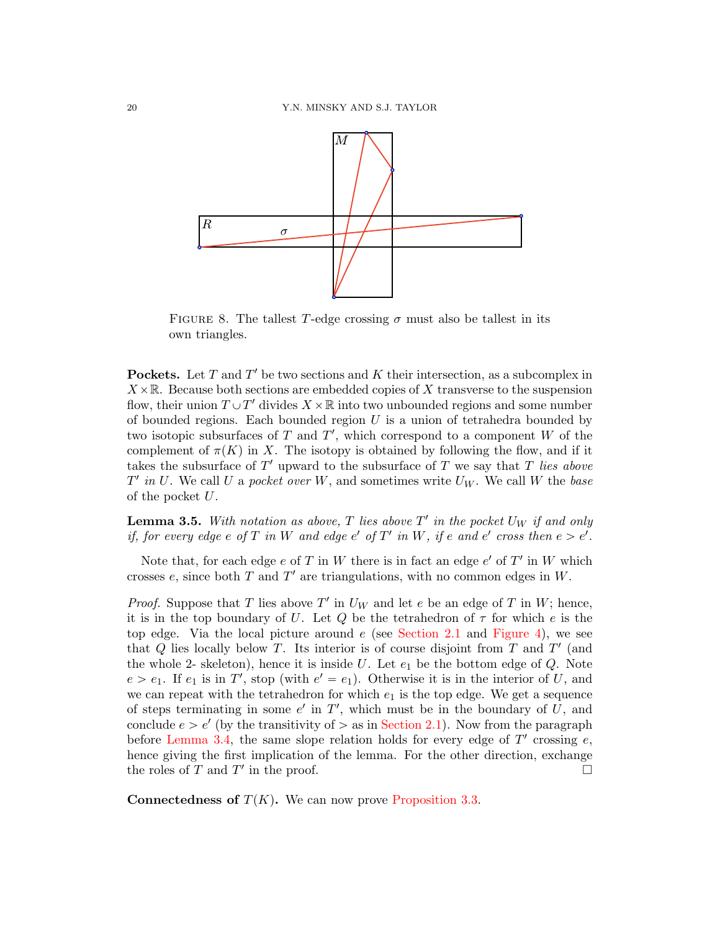

<span id="page-19-0"></span>FIGURE 8. The tallest T-edge crossing  $\sigma$  must also be tallest in its own triangles.

**Pockets.** Let  $T$  and  $T'$  be two sections and  $K$  their intersection, as a subcomplex in  $X\times\mathbb{R}$ . Because both sections are embedded copies of X transverse to the suspension flow, their union  $T \cup T'$  divides  $X \times \mathbb{R}$  into two unbounded regions and some number of bounded regions. Each bounded region  $U$  is a union of tetrahedra bounded by two isotopic subsurfaces of  $T$  and  $T'$ , which correspond to a component  $W$  of the complement of  $\pi(K)$  in X. The isotopy is obtained by following the flow, and if it takes the subsurface of  $T'$  upward to the subsurface of  $T$  we say that  $T$  lies above  $T'$  in U. We call U a pocket over W, and sometimes write  $U_W$ . We call W the base of the pocket  $U$ .

<span id="page-19-1"></span>**Lemma 3.5.** With notation as above, T lies above T' in the pocket  $U_W$  if and only if, for every edge e of T in W and edge e' of T' in W, if e and e' cross then  $e > e'$ .

Note that, for each edge  $e$  of  $T$  in  $W$  there is in fact an edge  $e'$  of  $T'$  in  $W$  which crosses  $e$ , since both  $T$  and  $T'$  are triangulations, with no common edges in  $W$ .

*Proof.* Suppose that T lies above  $T'$  in  $U_W$  and let e be an edge of T in W; hence, it is in the top boundary of U. Let Q be the tetrahedron of  $\tau$  for which e is the top edge. Via the local picture around  $e$  (see [Section 2.1](#page-5-1) and [Figure 4\)](#page-7-0), we see that  $Q$  lies locally below  $T$ . Its interior is of course disjoint from  $T$  and  $T'$  (and the whole 2- skeleton), hence it is inside U. Let  $e_1$  be the bottom edge of Q. Note  $e > e_1$ . If  $e_1$  is in T', stop (with  $e' = e_1$ ). Otherwise it is in the interior of U, and we can repeat with the tetrahedron for which  $e_1$  is the top edge. We get a sequence of steps terminating in some  $e'$  in  $T'$ , which must be in the boundary of U, and conclude  $e > e'$  (by the transitivity of  $\ge$  as in [Section 2.1\)](#page-5-1). Now from the paragraph before [Lemma 3.4,](#page-18-3) the same slope relation holds for every edge of  $T'$  crossing  $e$ , hence giving the first implication of the lemma. For the other direction, exchange the roles of  $T$  and  $T'$  in the proof.

**Connectedness of**  $T(K)$ . We can now prove [Proposition 3.3.](#page-18-1)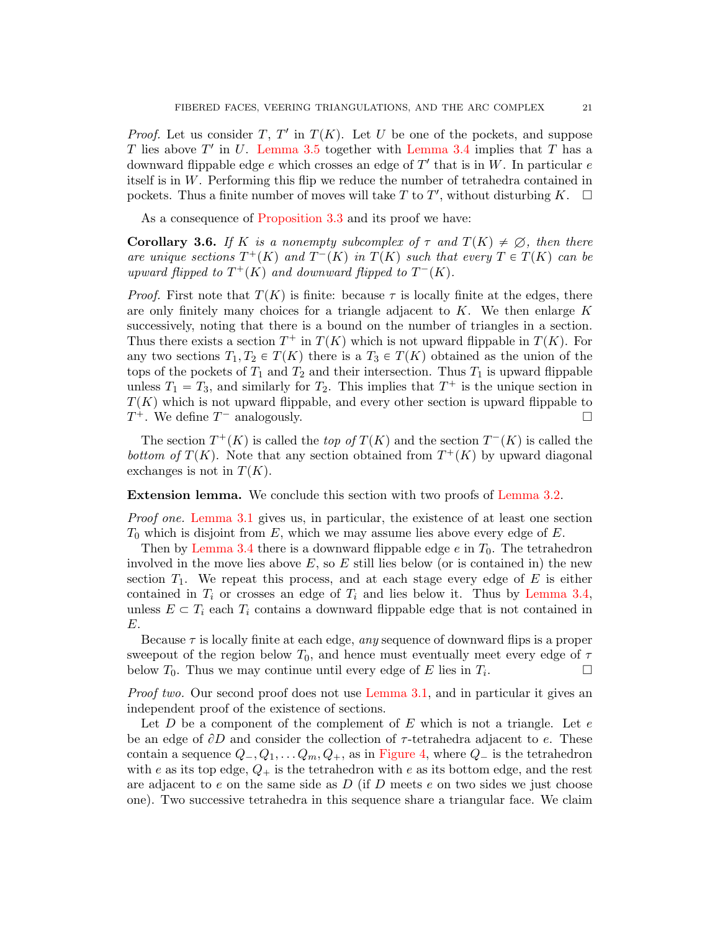*Proof.* Let us consider T, T' in  $T(K)$ . Let U be one of the pockets, and suppose T lies above  $T'$  in U. [Lemma 3.5](#page-19-1) together with [Lemma 3.4](#page-18-3) implies that T has a downward flippable edge  $e$  which crosses an edge of  $T'$  that is in W. In particular  $e$ itself is in W. Performing this flip we reduce the number of tetrahedra contained in pockets. Thus a finite number of moves will take T to T', without disturbing K.  $\Box$ 

As a consequence of [Proposition 3.3](#page-18-1) and its proof we have:

<span id="page-20-0"></span>**Corollary 3.6.** If K is a nonempty subcomplex of  $\tau$  and  $T(K) \neq \emptyset$ , then there are unique sections  $T^+(K)$  and  $T^-(K)$  in  $T(K)$  such that every  $T \in T(K)$  can be upward flipped to  $T^+(K)$  and downward flipped to  $T^-(K)$ .

*Proof.* First note that  $T(K)$  is finite: because  $\tau$  is locally finite at the edges, there are only finitely many choices for a triangle adjacent to  $K$ . We then enlarge  $K$ successively, noting that there is a bound on the number of triangles in a section. Thus there exists a section  $T^+$  in  $T(K)$  which is not upward flippable in  $T(K)$ . For any two sections  $T_1, T_2 \in T(K)$  there is a  $T_3 \in T(K)$  obtained as the union of the tops of the pockets of  $T_1$  and  $T_2$  and their intersection. Thus  $T_1$  is upward flippable unless  $T_1 = T_3$ , and similarly for  $T_2$ . This implies that  $T^+$  is the unique section in  $T(K)$  which is not upward flippable, and every other section is upward flippable to  $T^+$ . We define  $T^-$  analogously.

The section  $T^+(K)$  is called the top of  $T(K)$  and the section  $T^-(K)$  is called the bottom of  $T(K)$ . Note that any section obtained from  $T^+(K)$  by upward diagonal exchanges is not in  $T(K)$ .

Extension lemma. We conclude this section with two proofs of [Lemma 3.2.](#page-18-0)

Proof one. [Lemma 3.1](#page-18-2) gives us, in particular, the existence of at least one section  $T_0$  which is disjoint from  $E$ , which we may assume lies above every edge of  $E$ .

Then by [Lemma 3.4](#page-18-3) there is a downward flippable edge  $e$  in  $T_0$ . The tetrahedron involved in the move lies above  $E$ , so  $E$  still lies below (or is contained in) the new section  $T_1$ . We repeat this process, and at each stage every edge of E is either contained in  $T_i$  or crosses an edge of  $T_i$  and lies below it. Thus by [Lemma 3.4,](#page-18-3) unless  $E \subset T_i$  each  $T_i$  contains a downward flippable edge that is not contained in E.

Because  $\tau$  is locally finite at each edge, any sequence of downward flips is a proper sweepout of the region below  $T_0$ , and hence must eventually meet every edge of  $\tau$ below  $T_0$ . Thus we may continue until every edge of E lies in  $T_i$ . .

Proof two. Our second proof does not use [Lemma 3.1,](#page-18-2) and in particular it gives an independent proof of the existence of sections.

Let  $D$  be a component of the complement of  $E$  which is not a triangle. Let  $e$ be an edge of  $\partial D$  and consider the collection of  $\tau$ -tetrahedra adjacent to e. These contain a sequence  $Q_-, Q_1, \ldots Q_m, Q_+$ , as in [Figure 4,](#page-7-0) where  $Q_-$  is the tetrahedron with e as its top edge,  $Q_+$  is the tetrahedron with e as its bottom edge, and the rest are adjacent to e on the same side as  $D$  (if  $D$  meets e on two sides we just choose one). Two successive tetrahedra in this sequence share a triangular face. We claim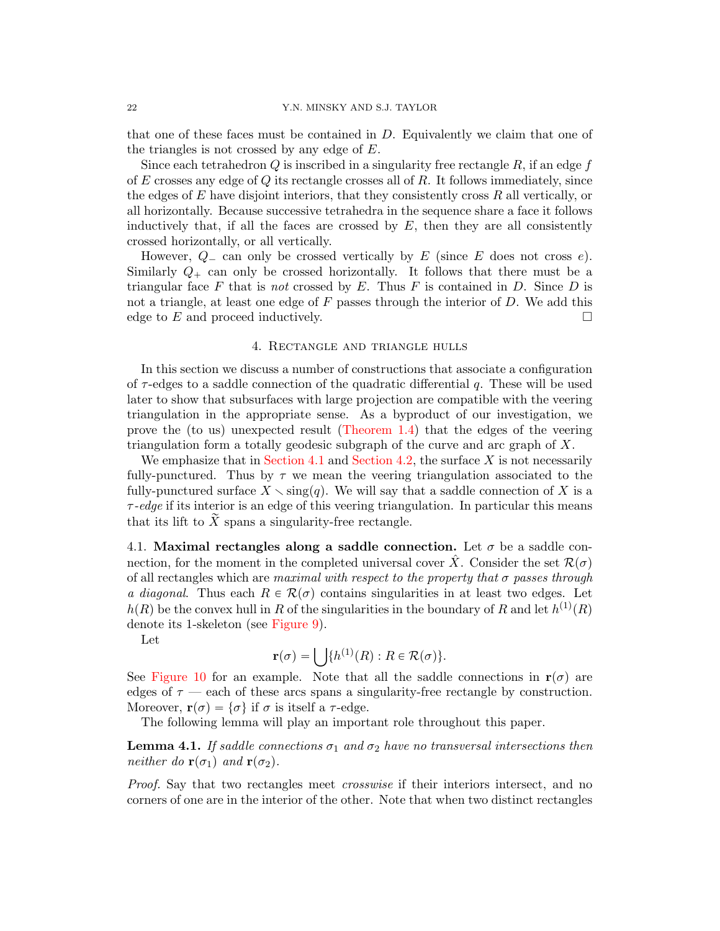that one of these faces must be contained in  $D$ . Equivalently we claim that one of the triangles is not crossed by any edge of  $E$ .

Since each tetrahedron  $Q$  is inscribed in a singularity free rectangle  $R$ , if an edge  $f$ of  $E$  crosses any edge of  $Q$  its rectangle crosses all of  $R$ . It follows immediately, since the edges of  $E$  have disjoint interiors, that they consistently cross  $R$  all vertically, or all horizontally. Because successive tetrahedra in the sequence share a face it follows inductively that, if all the faces are crossed by  $E$ , then they are all consistently crossed horizontally, or all vertically.

However,  $Q_{-}$  can only be crossed vertically by E (since E does not cross e). Similarly  $Q_+$  can only be crossed horizontally. It follows that there must be a triangular face F that is not crossed by E. Thus F is contained in D. Since D is not a triangle, at least one edge of  $F$  passes through the interior of  $D$ . We add this edge to E and proceed inductively.

### 4. Rectangle and triangle hulls

<span id="page-21-0"></span>In this section we discuss a number of constructions that associate a configuration of  $\tau$ -edges to a saddle connection of the quadratic differential q. These will be used later to show that subsurfaces with large projection are compatible with the veering triangulation in the appropriate sense. As a byproduct of our investigation, we prove the (to us) unexpected result [\(Theorem 1.4\)](#page-2-1) that the edges of the veering triangulation form a totally geodesic subgraph of the curve and arc graph of  $X$ .

We emphasize that in [Section 4.1](#page-21-1) and [Section 4.2,](#page-23-0) the surface  $X$  is not necessarily fully-punctured. Thus by  $\tau$  we mean the veering triangulation associated to the fully-punctured surface  $X \setminus \text{sing}(q)$ . We will say that a saddle connection of X is a  $\tau$ -edge if its interior is an edge of this veering triangulation. In particular this means that its lift to  $X$  spans a singularity-free rectangle.

<span id="page-21-1"></span>4.1. Maximal rectangles along a saddle connection. Let  $\sigma$  be a saddle connection, for the moment in the completed universal cover X<sup> $\dot{X}$ </sup>. Consider the set  $\mathcal{R}(\sigma)$ of all rectangles which are maximal with respect to the property that  $\sigma$  passes through a diagonal. Thus each  $R \in \mathcal{R}(\sigma)$  contains singularities in at least two edges. Let  $h(R)$  be the convex hull in R of the singularities in the boundary of R and let  $h^{(1)}(R)$ denote its 1-skeleton (see [Figure 9\)](#page-22-0).

Let

$$
\mathbf{r}(\sigma) = \bigcup \{ h^{(1)}(R) : R \in \mathcal{R}(\sigma) \}.
$$

See [Figure 10](#page-22-1) for an example. Note that all the saddle connections in  $r(\sigma)$  are edges of  $\tau$  — each of these arcs spans a singularity-free rectangle by construction. Moreover,  $\mathbf{r}(\sigma) = {\sigma}$  if  $\sigma$  is itself a  $\tau$ -edge.

The following lemma will play an important role throughout this paper.

<span id="page-21-2"></span>**Lemma 4.1.** If saddle connections  $\sigma_1$  and  $\sigma_2$  have no transversal intersections then neither do  $\mathbf{r}(\sigma_1)$  and  $\mathbf{r}(\sigma_2)$ .

Proof. Say that two rectangles meet crosswise if their interiors intersect, and no corners of one are in the interior of the other. Note that when two distinct rectangles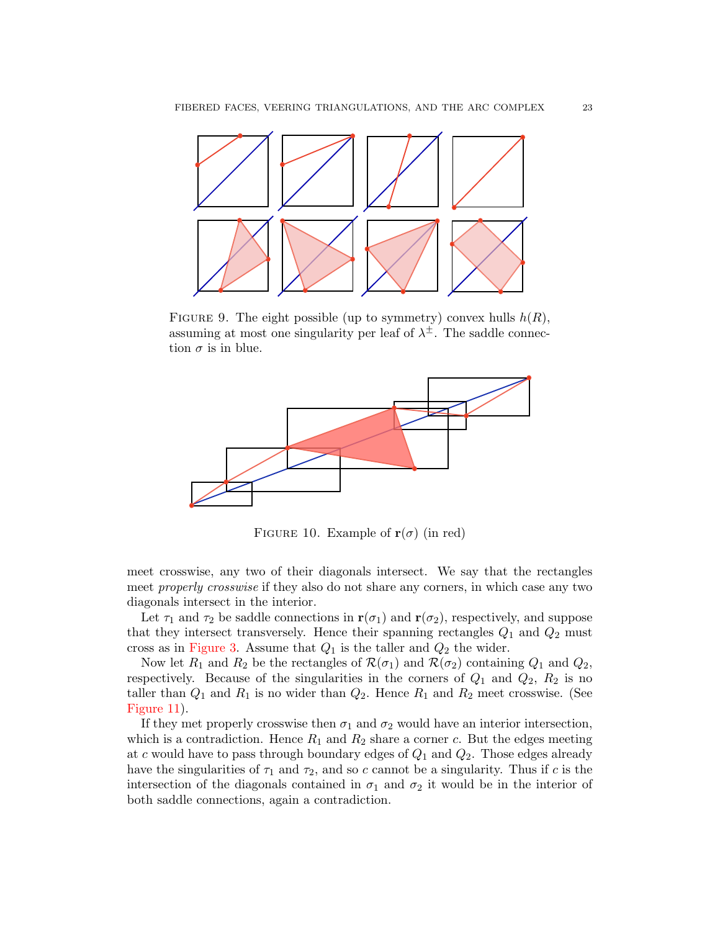

<span id="page-22-0"></span>FIGURE 9. The eight possible (up to symmetry) convex hulls  $h(R)$ , assuming at most one singularity per leaf of  $\lambda^{\pm}$ . The saddle connection  $\sigma$  is in blue.



<span id="page-22-1"></span>FIGURE 10. Example of  $r(\sigma)$  (in red)

meet crosswise, any two of their diagonals intersect. We say that the rectangles meet properly crosswise if they also do not share any corners, in which case any two diagonals intersect in the interior.

Let  $\tau_1$  and  $\tau_2$  be saddle connections in  $\mathbf{r}(\sigma_1)$  and  $\mathbf{r}(\sigma_2)$ , respectively, and suppose that they intersect transversely. Hence their spanning rectangles  $Q_1$  and  $Q_2$  must cross as in [Figure 3.](#page-6-1) Assume that  $Q_1$  is the taller and  $Q_2$  the wider.

Now let  $R_1$  and  $R_2$  be the rectangles of  $\mathcal{R}(\sigma_1)$  and  $\mathcal{R}(\sigma_2)$  containing  $Q_1$  and  $Q_2$ , respectively. Because of the singularities in the corners of  $Q_1$  and  $Q_2$ ,  $R_2$  is no taller than  $Q_1$  and  $R_1$  is no wider than  $Q_2$ . Hence  $R_1$  and  $R_2$  meet crosswise. (See [Figure 11\)](#page-23-1).

If they met properly crosswise then  $\sigma_1$  and  $\sigma_2$  would have an interior intersection, which is a contradiction. Hence  $R_1$  and  $R_2$  share a corner c. But the edges meeting at c would have to pass through boundary edges of  $Q_1$  and  $Q_2$ . Those edges already have the singularities of  $\tau_1$  and  $\tau_2$ , and so c cannot be a singularity. Thus if c is the intersection of the diagonals contained in  $\sigma_1$  and  $\sigma_2$  it would be in the interior of both saddle connections, again a contradiction.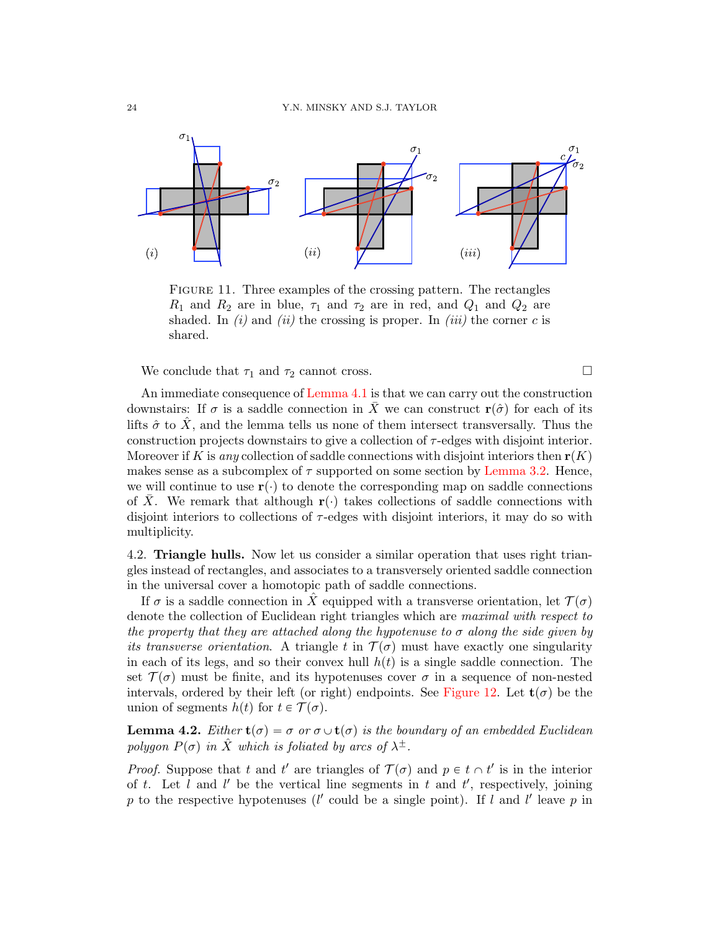

<span id="page-23-1"></span>Figure 11. Three examples of the crossing pattern. The rectangles  $R_1$  and  $R_2$  are in blue,  $\tau_1$  and  $\tau_2$  are in red, and  $Q_1$  and  $Q_2$  are shaded. In  $(i)$  and  $(ii)$  the crossing is proper. In  $(iii)$  the corner c is shared.

We conclude that  $\tau_1$  and  $\tau_2$  cannot cross.

An immediate consequence of [Lemma 4.1](#page-21-2) is that we can carry out the construction downstairs: If  $\sigma$  is a saddle connection in  $\bar{X}$  we can construct  $r(\hat{\sigma})$  for each of its lifts  $\hat{\sigma}$  to  $\hat{X}$ , and the lemma tells us none of them intersect transversally. Thus the construction projects downstairs to give a collection of  $\tau$ -edges with disjoint interior. Moreover if K is any collection of saddle connections with disjoint interiors then  $r(K)$ makes sense as a subcomplex of  $\tau$  supported on some section by [Lemma 3.2.](#page-18-0) Hence, we will continue to use  $\mathbf{r}(\cdot)$  to denote the corresponding map on saddle connections of X. We remark that although  $r(\cdot)$  takes collections of saddle connections with disjoint interiors to collections of  $\tau$ -edges with disjoint interiors, it may do so with multiplicity.

<span id="page-23-0"></span>4.2. Triangle hulls. Now let us consider a similar operation that uses right triangles instead of rectangles, and associates to a transversely oriented saddle connection in the universal cover a homotopic path of saddle connections.

If  $\sigma$  is a saddle connection in  $\hat{X}$  equipped with a transverse orientation, let  $\mathcal{T}(\sigma)$ denote the collection of Euclidean right triangles which are maximal with respect to the property that they are attached along the hypotenuse to  $\sigma$  along the side given by its transverse orientation. A triangle t in  $\mathcal{T}(\sigma)$  must have exactly one singularity in each of its legs, and so their convex hull  $h(t)$  is a single saddle connection. The set  $\mathcal{T}(\sigma)$  must be finite, and its hypotenuses cover  $\sigma$  in a sequence of non-nested intervals, ordered by their left (or right) endpoints. See [Figure 12.](#page-24-0) Let  $t(\sigma)$  be the union of segments  $h(t)$  for  $t \in \mathcal{T}(\sigma)$ .

<span id="page-23-2"></span>**Lemma 4.2.** Either  $t(\sigma) = \sigma$  or  $\sigma \cup t(\sigma)$  is the boundary of an embedded Euclidean polygon  $P(\sigma)$  in  $\hat{X}$  which is foliated by arcs of  $\lambda^{\pm}$ .

*Proof.* Suppose that t and t' are triangles of  $\mathcal{T}(\sigma)$  and  $p \in t \cap t'$  is in the interior of t. Let l and l' be the vertical line segments in t and  $t'$ , respectively, joining p to the respective hypotenuses ( $l'$  could be a single point). If l and l' leave p in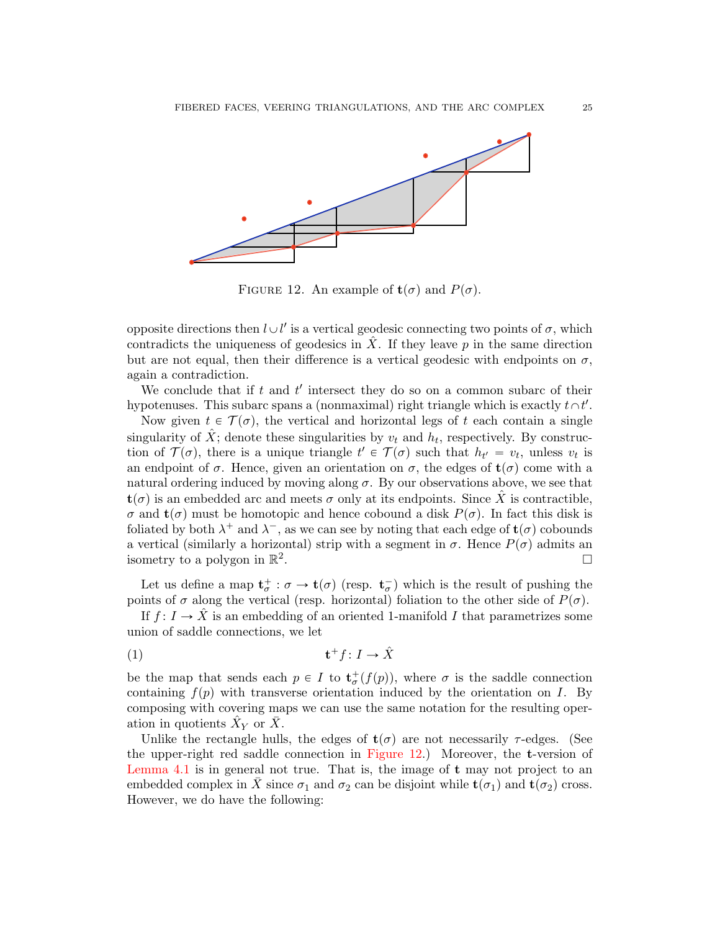

<span id="page-24-0"></span>FIGURE 12. An example of  $t(\sigma)$  and  $P(\sigma)$ .

opposite directions then  $l \cup l'$  is a vertical geodesic connecting two points of  $\sigma$ , which contradicts the uniqueness of geodesics in X. If they leave  $p$  in the same direction but are not equal, then their difference is a vertical geodesic with endpoints on  $\sigma$ , again a contradiction.

We conclude that if  $t$  and  $t'$  intersect they do so on a common subarc of their hypotenuses. This subarc spans a (nonmaximal) right triangle which is exactly  $t \wedge t'$ .

Now given  $t \in \mathcal{T}(\sigma)$ , the vertical and horizontal legs of t each contain a single singularity of  $\hat{X}$ ; denote these singularities by  $v_t$  and  $h_t$ , respectively. By construction of  $\mathcal{T}(\sigma)$ , there is a unique triangle  $t' \in \mathcal{T}(\sigma)$  such that  $h_{t'} = v_t$ , unless  $v_t$  is an endpoint of  $\sigma$ . Hence, given an orientation on  $\sigma$ , the edges of  $\mathbf{t}(\sigma)$  come with a natural ordering induced by moving along  $\sigma$ . By our observations above, we see that  $\mathbf{t}(\sigma)$  is an embedded arc and meets  $\sigma$  only at its endpoints. Since X<sup> $\dot{X}$ </sup> is contractible,  $\sigma$  and  $\mathbf{t}(\sigma)$  must be homotopic and hence cobound a disk  $P(\sigma)$ . In fact this disk is foliated by both  $\lambda^+$  and  $\lambda^-$ , as we can see by noting that each edge of  $\mathbf{t}(\sigma)$  cobounds a vertical (similarly a horizontal) strip with a segment in  $\sigma$ . Hence  $P(\sigma)$  admits an isometry to a polygon in  $\mathbb{R}^2$ .

Let us define a map  $\mathbf{t}^+_\sigma : \sigma \to \mathbf{t}(\sigma)$  (resp.  $\mathbf{t}^-_\sigma$ ) which is the result of pushing the points of  $\sigma$  along the vertical (resp. horizontal) foliation to the other side of  $P(\sigma)$ .

If  $f: I \to \hat{X}$  is an embedding of an oriented 1-manifold I that parametrizes some union of saddle connections, we let

<span id="page-24-1"></span>
$$
(1) \t t+f: I \to \hat{X}
$$

be the map that sends each  $p \in I$  to  $\mathbf{t}^+_{\sigma}(f(p))$ , where  $\sigma$  is the saddle connection containing  $f(p)$  with transverse orientation induced by the orientation on I. By composing with covering maps we can use the same notation for the resulting operation in quotients  $\hat{X}_Y$  or  $\bar{X}$ .

<span id="page-24-2"></span>Unlike the rectangle hulls, the edges of  $t(\sigma)$  are not necessarily  $\tau$ -edges. (See the upper-right red saddle connection in [Figure 12.](#page-24-0)) Moreover, the t-version of [Lemma 4.1](#page-21-2) is in general not true. That is, the image of t may not project to an embedded complex in X since  $\sigma_1$  and  $\sigma_2$  can be disjoint while  $t(\sigma_1)$  and  $t(\sigma_2)$  cross. However, we do have the following: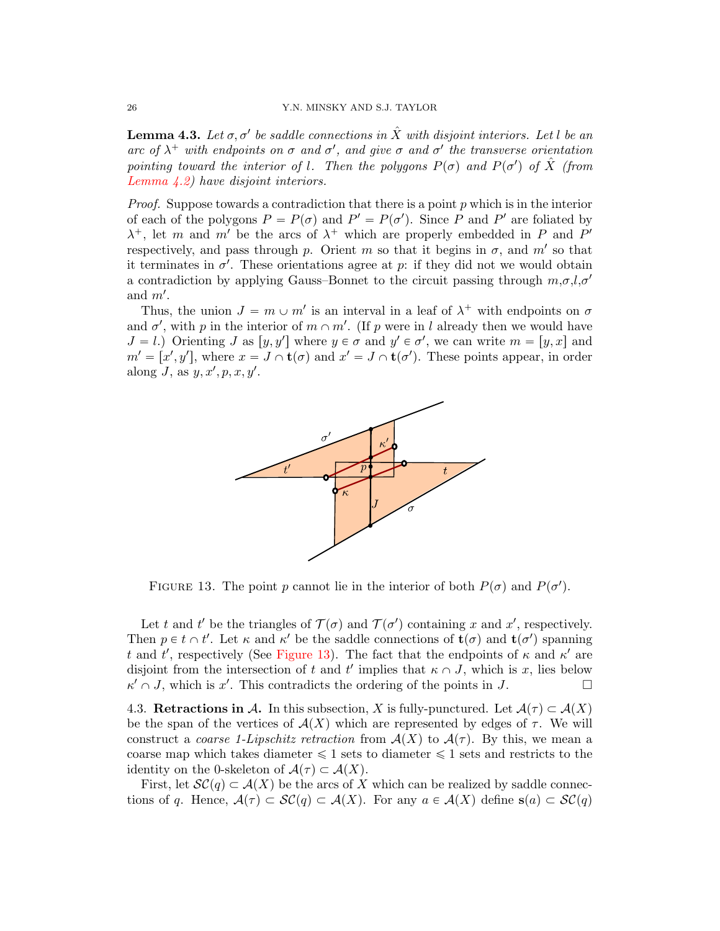**Lemma 4.3.** Let  $\sigma, \sigma'$  be saddle connections in  $\hat{X}$  with disjoint interiors. Let l be an arc of  $\lambda^+$  with endpoints on  $\sigma$  and  $\sigma'$ , and give  $\sigma$  and  $\sigma'$  the transverse orientation pointing toward the interior of l. Then the polygons  $P(\sigma)$  and  $P(\sigma')$  of  $\hat{X}$  (from [Lemma 4.2\)](#page-23-2) have disjoint interiors.

*Proof.* Suppose towards a contradiction that there is a point  $p$  which is in the interior of each of the polygons  $P = P(\sigma)$  and  $P' = P(\sigma')$ . Since P and P' are foliated by  $\lambda^+$ , let m and m' be the arcs of  $\lambda^+$  which are properly embedded in P and P' respectively, and pass through p. Orient m so that it begins in  $\sigma$ , and m' so that it terminates in  $\sigma'$ . These orientations agree at p: if they did not we would obtain a contradiction by applying Gauss-Bonnet to the circuit passing through  $m, \sigma, l, \sigma'$ and  $m'$ .

Thus, the union  $J = m \cup m'$  is an interval in a leaf of  $\lambda^+$  with endpoints on  $\sigma$ and  $\sigma'$ , with p in the interior of  $m \cap m'$ . (If p were in l already then we would have  $J = l$ .) Orienting J as  $[y, y']$  where  $y \in \sigma$  and  $y' \in \sigma'$ , we can write  $m = [y, x]$  and  $m' = [x', y'],$  where  $x = J \cap \mathbf{t}(\sigma)$  and  $x' = J \cap \mathbf{t}(\sigma')$ . These points appear, in order along J, as  $y, x', p, x, y'$ .



<span id="page-25-0"></span>FIGURE 13. The point p cannot lie in the interior of both  $P(\sigma)$  and  $P(\sigma')$ .

Let t and t' be the triangles of  $\mathcal{T}(\sigma)$  and  $\mathcal{T}(\sigma')$  containing x and x', respectively. Then  $p \in t \cap t'$ . Let  $\kappa$  and  $\kappa'$  be the saddle connections of  $\mathbf{t}(\sigma)$  and  $\mathbf{t}(\sigma')$  spanning t and t', respectively (See [Figure 13\)](#page-25-0). The fact that the endpoints of  $\kappa$  and  $\kappa'$  are disjoint from the intersection of t and t' implies that  $\kappa \cap J$ , which is x, lies below  $\kappa' \cap J$ , which is x'. This contradicts the ordering of the points in J.

4.3. Retractions in A. In this subsection, X is fully-punctured. Let  $\mathcal{A}(\tau) \subset \mathcal{A}(X)$ be the span of the vertices of  $A(X)$  which are represented by edges of  $\tau$ . We will construct a *coarse 1-Lipschitz retraction* from  $A(X)$  to  $A(\tau)$ . By this, we mean a coarse map which takes diameter  $\leq 1$  sets to diameter  $\leq 1$  sets and restricts to the identity on the 0-skeleton of  $\mathcal{A}(\tau) \subset \mathcal{A}(X)$ .

First, let  $\mathcal{SC}(q) \subset \mathcal{A}(X)$  be the arcs of X which can be realized by saddle connections of q. Hence,  $\mathcal{A}(\tau) \subset \mathcal{SC}(q) \subset \mathcal{A}(X)$ . For any  $a \in \mathcal{A}(X)$  define  $s(a) \subset \mathcal{SC}(q)$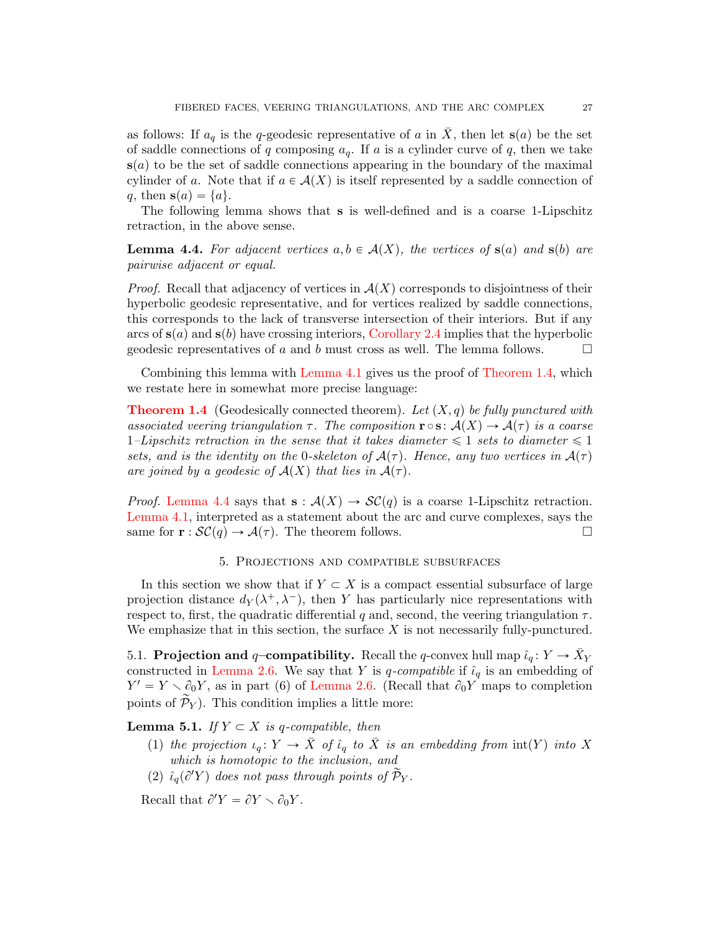as follows: If  $a_q$  is the q-geodesic representative of a in  $\overline{X}$ , then let  $s(a)$  be the set of saddle connections of q composing  $a_q$ . If a is a cylinder curve of q, then we take  $s(a)$  to be the set of saddle connections appearing in the boundary of the maximal cylinder of a. Note that if  $a \in \mathcal{A}(X)$  is itself represented by a saddle connection of q, then  $s(a) = \{a\}.$ 

The following lemma shows that s is well-defined and is a coarse 1-Lipschitz retraction, in the above sense.

<span id="page-26-1"></span>**Lemma 4.4.** For adjacent vertices  $a, b \in A(X)$ , the vertices of  $s(a)$  and  $s(b)$  are pairwise adjacent or equal.

*Proof.* Recall that adjacency of vertices in  $\mathcal{A}(X)$  corresponds to disjointness of their hyperbolic geodesic representative, and for vertices realized by saddle connections, this corresponds to the lack of transverse intersection of their interiors. But if any arcs of  $s(a)$  and  $s(b)$  have crossing interiors, [Corollary 2.4](#page-11-0) implies that the hyperbolic geodesic representatives of a and b must cross as well. The lemma follows.  $\Box$ 

Combining this lemma with [Lemma 4.1](#page-21-2) gives us the proof of [Theorem 1.4,](#page-2-1) which we restate here in somewhat more precise language:

**[Theorem 1.4](#page-2-1)** (Geodesically connected theorem). Let  $(X, q)$  be fully punctured with associated veering triangulation  $\tau$ . The composition  $\mathbf{r} \circ \mathbf{s}: A(X) \to A(\tau)$  is a coarse 1–Lipschitz retraction in the sense that it takes diameter  $\leq 1$  sets to diameter  $\leq 1$ sets, and is the identity on the 0-skeleton of  $A(\tau)$ . Hence, any two vertices in  $A(\tau)$ are joined by a geodesic of  $A(X)$  that lies in  $A(\tau)$ .

*Proof.* [Lemma 4.4](#page-26-1) says that  $s : \mathcal{A}(X) \to \mathcal{SC}(q)$  is a coarse 1-Lipschitz retraction. [Lemma 4.1,](#page-21-2) interpreted as a statement about the arc and curve complexes, says the same for  $\mathbf{r} : \mathcal{SC}(q) \to \mathcal{A}(\tau)$ . The theorem follows.

## 5. Projections and compatible subsurfaces

<span id="page-26-0"></span>In this section we show that if  $Y \subset X$  is a compact essential subsurface of large projection distance  $d_Y(\lambda^+, \lambda^-)$ , then Y has particularly nice representations with respect to, first, the quadratic differential q and, second, the veering triangulation  $\tau$ . We emphasize that in this section, the surface  $X$  is not necessarily fully-punctured.

5.1. Projection and q-compatibility. Recall the q-convex hull map  $\hat{\iota}_q: Y \to \bar{X}_Y$ constructed in [Lemma 2.6.](#page-14-0) We say that Y is q-compatible if  $\hat{\iota}_q$  is an embedding of  $Y' = Y \setminus \partial_0 Y$ , as in part (6) of [Lemma 2.6.](#page-14-0) (Recall that  $\partial_0 Y$  maps to completion points of  $\widetilde{\mathcal{P}}_Y$ ). This condition implies a little more:

<span id="page-26-2"></span>**Lemma 5.1.** If  $Y \subset X$  is q-compatible, then

- (1) the projection  $\iota_q: Y \to \overline{X}$  of  $\hat{\iota}_q$  to  $\overline{X}$  is an embedding from  $\text{int}(Y)$  into X which is homotopic to the inclusion, and
- (2)  $\hat{\iota}_q(\partial'Y)$  does not pass through points of  $\mathcal{P}_Y$ .

Recall that  $\partial' Y = \partial Y \setminus \partial_0 Y$ .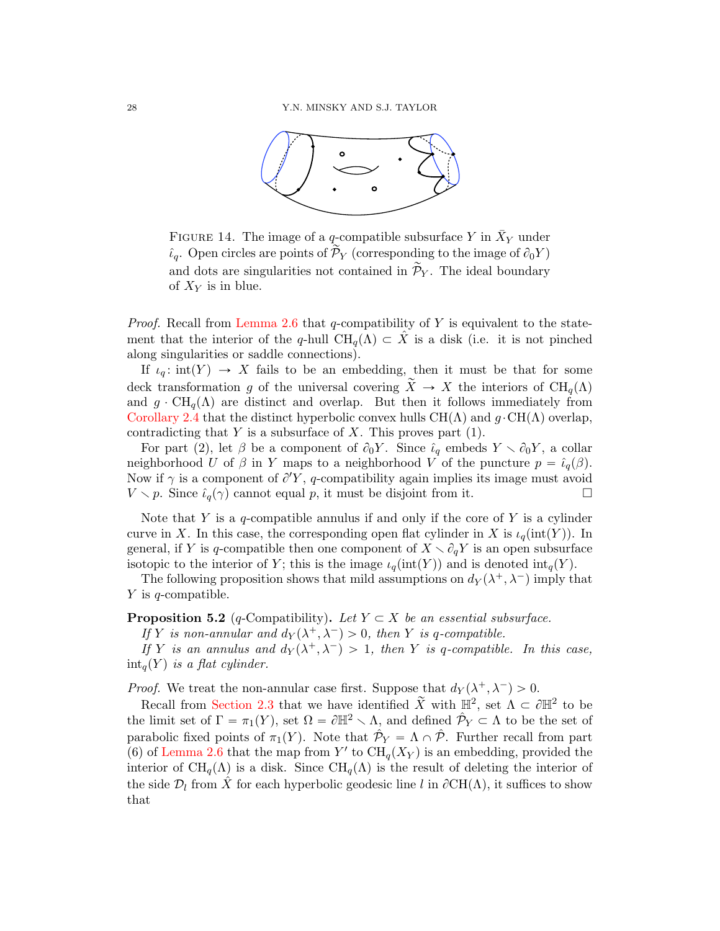

FIGURE 14. The image of a q-compatible subsurface Y in  $\bar{X}_Y$  under  $\hat{\iota}_q$ . Open circles are points of  $\mathcal{P}_Y$  (corresponding to the image of  $\partial_0 Y$ ) and dots are singularities not contained in  $\mathcal{P}_Y$ . The ideal boundary of  $X_Y$  is in blue.

*Proof.* Recall from [Lemma 2.6](#page-14-0) that  $q$ -compatibility of Y is equivalent to the statement that the interior of the q-hull  $\text{CH}_q(\Lambda) \subset X$  is a disk (i.e. it is not pinched along singularities or saddle connections).

If  $\iota_q: \text{int}(Y) \to X$  fails to be an embedding, then it must be that for some deck transformation g of the universal covering  $\tilde{X} \to X$  the interiors of  $\text{CH}_q(\Lambda)$ and  $g \cdot \text{CH}_q(\Lambda)$  are distinct and overlap. But then it follows immediately from [Corollary 2.4](#page-11-0) that the distinct hyperbolic convex hulls  $\text{CH}(\Lambda)$  and  $q \cdot \text{CH}(\Lambda)$  overlap, contradicting that  $Y$  is a subsurface of  $X$ . This proves part (1).

For part (2), let  $\beta$  be a component of  $\partial_0 Y$ . Since  $\hat{\iota}_q$  embeds  $Y \setminus \partial_0 Y$ , a collar neighborhood U of  $\beta$  in Y maps to a neighborhood V of the puncture  $p = \hat{\iota}_q(\beta)$ . Now if  $\gamma$  is a component of  $\partial' Y$ , q-compatibility again implies its image must avoid  $V \setminus p$ . Since  $\hat{\iota}_q(\gamma)$  cannot equal p, it must be disjoint from it.

Note that Y is a q-compatible annulus if and only if the core of Y is a cylinder curve in X. In this case, the corresponding open flat cylinder in X is  $\iota_q(\text{int}(Y))$ . In general, if Y is q-compatible then one component of  $X \setminus \partial_q Y$  is an open subsurface isotopic to the interior of Y; this is the image  $\iota_q(\text{int}(Y))$  and is denoted  $\text{int}_q(Y)$ .

The following proposition shows that mild assumptions on  $d_Y(\lambda^+, \lambda^-)$  imply that  $Y$  is q-compatible.

<span id="page-27-0"></span>**Proposition 5.2** (q-Compatibility). Let  $Y \subset X$  be an essential subsurface.

If Y is non-annular and  $d_Y(\lambda^+, \lambda^-) > 0$ , then Y is q-compatible.

If Y is an annulus and  $d_Y(\lambda^+, \lambda^-) > 1$ , then Y is q-compatible. In this case,  $int_a(Y)$  is a flat cylinder.

*Proof.* We treat the non-annular case first. Suppose that  $d_Y(\lambda^+, \lambda^-) > 0$ .

Recall from [Section 2.3](#page-8-1) that we have identified  $\widetilde{X}$  with  $\mathbb{H}^2$ , set  $\Lambda \subset \partial \mathbb{H}^2$  to be the limit set of  $\Gamma = \pi_1(Y)$ , set  $\Omega = \partial \mathbb{H}^2 \setminus \Lambda$ , and defined  $\hat{\mathcal{P}}_Y \subset \Lambda$  to be the set of parabolic fixed points of  $\pi_1(Y)$ . Note that  $\hat{\mathcal{P}}_Y = \Lambda \cap \hat{\mathcal{P}}$ . Further recall from part (6) of [Lemma 2.6](#page-14-0) that the map from Y' to  $\text{CH}_q(X_Y)$  is an embedding, provided the interior of  $\text{CH}_q(\Lambda)$  is a disk. Since  $\text{CH}_q(\Lambda)$  is the result of deleting the interior of the side  $\mathcal{D}_l$  from  $\hat{X}$  for each hyperbolic geodesic line l in  $\partial \text{CH}(\Lambda)$ , it suffices to show that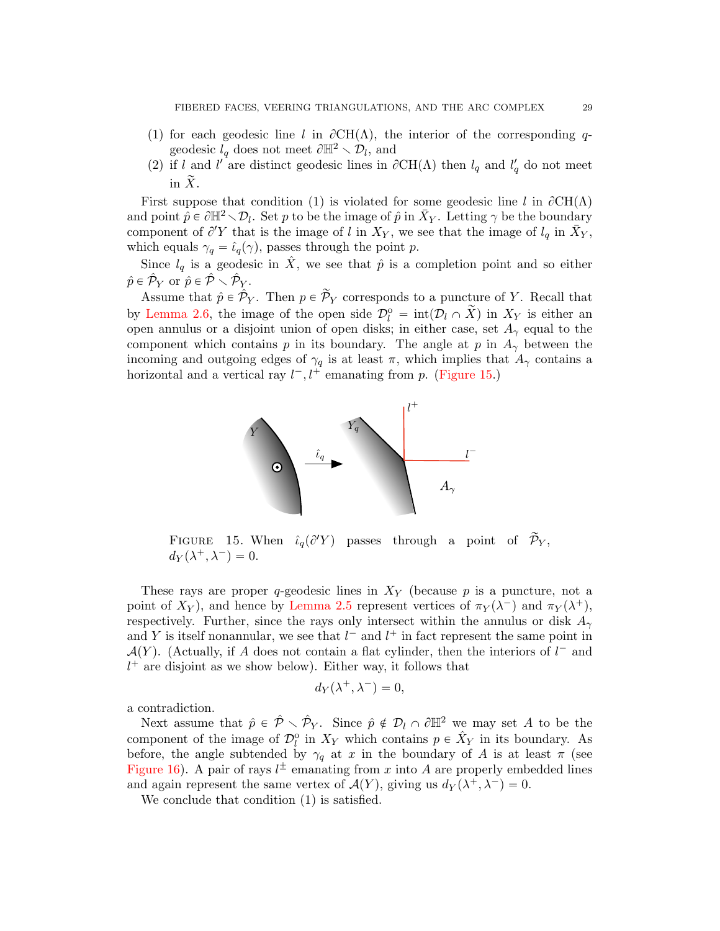- (1) for each geodesic line l in  $\partial CH(\Lambda)$ , the interior of the corresponding qgeodesic  $l_q$  does not meet  $\partial \mathbb{H}^2 \setminus \mathcal{D}_l$ , and
- (2) if l and l' are distinct geodesic lines in  $\partial CH(\Lambda)$  then  $l_q$  and  $l'_q$  do not meet in  $\widetilde{X}$ .

First suppose that condition (1) is violated for some geodesic line l in  $\partial CH(\Lambda)$ and point  $\hat{p} \in \partial \mathbb{H}^2 \setminus \mathcal{D}_l$ . Set p to be the image of  $\hat{p}$  in  $\bar{X}_Y$ . Letting  $\gamma$  be the boundary component of  $\partial' Y$  that is the image of l in  $X_Y$ , we see that the image of  $l_q$  in  $\bar{X}_Y$ , which equals  $\gamma_q = \hat{\iota}_q(\gamma)$ , passes through the point p.

Since  $l_q$  is a geodesic in  $\hat{X}$ , we see that  $\hat{p}$  is a completion point and so either  $\hat{p} \in \hat{\mathcal{P}}_Y$  or  $\hat{p} \in \hat{\mathcal{P}} \smallsetminus \hat{\mathcal{P}}_Y$ .

Assume that  $\hat{p} \in \hat{\mathcal{P}}_Y$ . Then  $p \in \tilde{\mathcal{P}}_Y$  corresponds to a puncture of Y. Recall that by [Lemma 2.6,](#page-14-0) the image of the open side  $\mathcal{D}_{l}^{o} = \text{int}(\mathcal{D}_{l} \cap \tilde{X})$  in  $X_{Y}$  is either an open annulus or a disjoint union of open disks; in either case, set  $A_{\gamma}$  equal to the component which contains p in its boundary. The angle at p in  $A_{\gamma}$  between the incoming and outgoing edges of  $\gamma_q$  is at least  $\pi$ , which implies that  $A_\gamma$  contains a horizontal and a vertical ray  $l^-, l^+$  emanating from p. [\(Figure 15.](#page-28-0))



<span id="page-28-0"></span>FIGURE 15. When  $\hat{\iota}_q(\partial Y)$  passes through a point of  $\widetilde{\mathcal{P}}_Y$ ,  $d_Y(\lambda^+, \lambda^-) = 0.$ 

These rays are proper q-geodesic lines in  $X<sub>Y</sub>$  (because p is a puncture, not a point of  $X_Y$ ), and hence by [Lemma 2.5](#page-13-0) represent vertices of  $\pi_Y(\lambda^-)$  and  $\pi_Y(\lambda^+)$ , respectively. Further, since the rays only intersect within the annulus or disk  $A_{\gamma}$ and Y is itself nonannular, we see that  $l^-$  and  $l^+$  in fact represent the same point in  $\mathcal{A}(Y)$ . (Actually, if A does not contain a flat cylinder, then the interiors of  $l^-$  and  $l^+$  are disjoint as we show below). Either way, it follows that

$$
d_Y(\lambda^+, \lambda^-) = 0,
$$

a contradiction.

Next assume that  $\hat{p} \in \hat{\mathcal{P}} \setminus \hat{\mathcal{P}}_Y$ . Since  $\hat{p} \notin \mathcal{D}_l \cap \partial \mathbb{H}^2$  we may set A to be the component of the image of  $\mathcal{D}_l^{\circ}$  in  $X_Y$  which contains  $p \in \hat{X}_Y$  in its boundary. As before, the angle subtended by  $\gamma_q$  at x in the boundary of A is at least  $\pi$  (see [Figure 16\)](#page-29-0). A pair of rays  $l^{\pm}$  emanating from x into A are properly embedded lines and again represent the same vertex of  $\mathcal{A}(Y)$ , giving us  $d_Y(\lambda^+, \lambda^-) = 0$ .

We conclude that condition  $(1)$  is satisfied.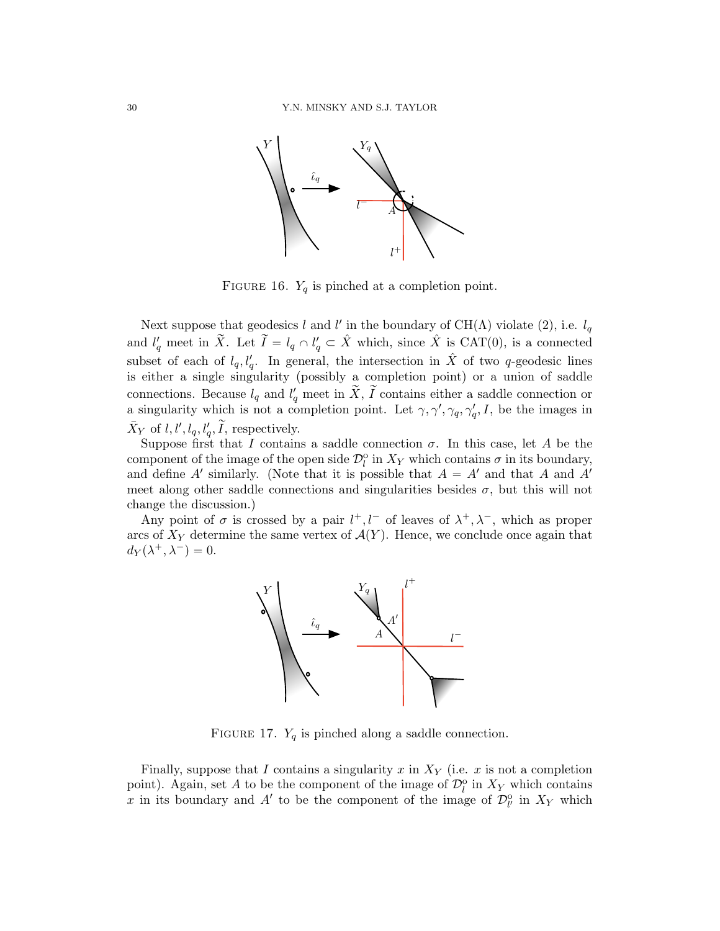

<span id="page-29-0"></span>FIGURE 16.  $Y_q$  is pinched at a completion point.

Next suppose that geodesics l and l' in the boundary of CH( $\Lambda$ ) violate (2), i.e.  $l_q$ and  $l'_q$  meet in  $\tilde{X}$ . Let  $\tilde{I} = l_q \cap l'_q \subset \hat{X}$  which, since  $\hat{X}$  is CAT(0), is a connected subset of each of  $l_q, l'_q$ . In general, the intersection in  $\hat{X}$  of two q-geodesic lines is either a single singularity (possibly a completion point) or a union of saddle connections. Because  $l_q$  and  $l'_q$  meet in  $\tilde{X}, \tilde{I}$  contains either a saddle connection or a singularity which is not a completion point. Let  $\gamma, \gamma', \gamma_q, \gamma'_q, I$ , be the images in  $\bar{X}_Y$  of  $l, l', l_q, l'_q, \tilde{I}$ , respectively.

Suppose first that I contains a saddle connection  $\sigma$ . In this case, let A be the component of the image of the open side  $\mathcal{D}_l^{\text{o}}$  in  $X_Y$  which contains  $\sigma$  in its boundary, and define A' similarly. (Note that it is possible that  $A = A'$  and that A and A' meet along other saddle connections and singularities besides  $\sigma$ , but this will not change the discussion.)

Any point of  $\sigma$  is crossed by a pair  $l^+, l^-$  of leaves of  $\lambda^+, \lambda^-,$  which as proper arcs of  $X_Y$  determine the same vertex of  $\mathcal{A}(Y)$ . Hence, we conclude once again that  $d_Y(\lambda^+, \lambda^-) = 0.$ 



FIGURE 17.  $Y_q$  is pinched along a saddle connection.

Finally, suppose that I contains a singularity x in  $X<sub>Y</sub>$  (i.e. x is not a completion point). Again, set A to be the component of the image of  $\mathcal{D}_l^{\text{o}}$  in  $X_Y$  which contains x in its boundary and A' to be the component of the image of  $\mathcal{D}_{l'}^{\text{o}}$  in  $X_Y$  which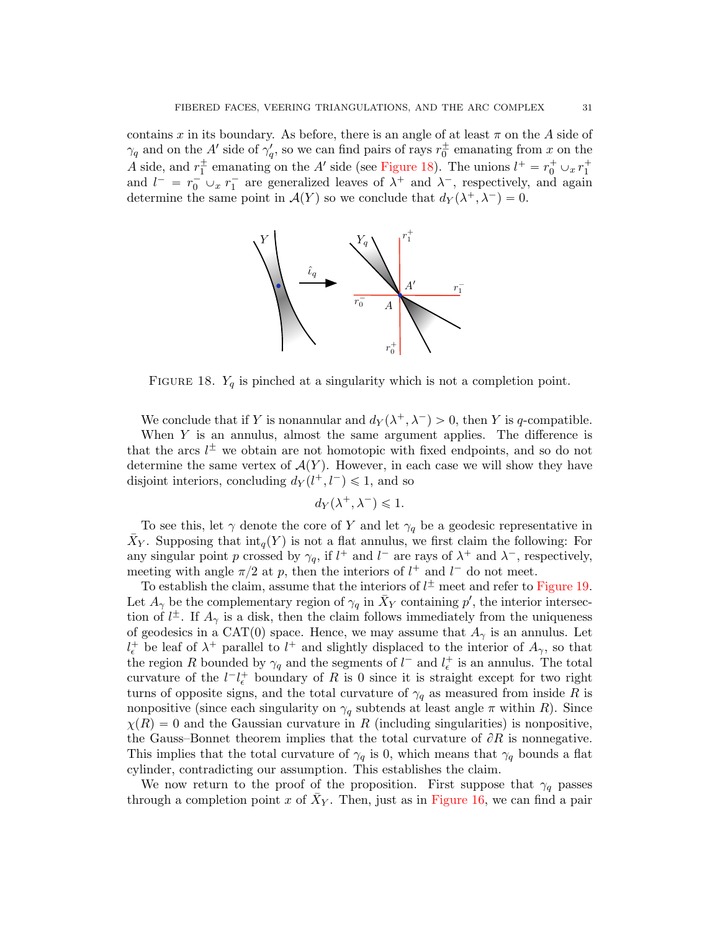contains x in its boundary. As before, there is an angle of at least  $\pi$  on the A side of  $\gamma_q$  and on the A' side of  $\gamma'_q$ , so we can find pairs of rays  $r_0^{\pm}$  emanating from x on the A side, and  $r_1^{\pm}$  emanating on the A' side (see [Figure 18\)](#page-30-0). The unions  $l^+ = r_0^+ \cup_x r_1^+$ and  $l^- = r_0^- \cup_x r_1^-$  are generalized leaves of  $\lambda^+$  and  $\lambda^-$ , respectively, and again determine the same point in  $\mathcal{A}(Y)$  so we conclude that  $d_Y(\lambda^+, \lambda^-) = 0$ .



<span id="page-30-0"></span>FIGURE 18.  $Y_q$  is pinched at a singularity which is not a completion point.

We conclude that if Y is nonannular and  $d_Y(\lambda^+, \lambda^-) > 0$ , then Y is q-compatible.

When  $Y$  is an annulus, almost the same argument applies. The difference is that the arcs  $l^{\pm}$  we obtain are not homotopic with fixed endpoints, and so do not determine the same vertex of  $\mathcal{A}(Y)$ . However, in each case we will show they have disjoint interiors, concluding  $d_Y(l^+, l^-) \leq 1$ , and so

$$
d_Y(\lambda^+, \lambda^-) \leq 1.
$$

To see this, let  $\gamma$  denote the core of Y and let  $\gamma_q$  be a geodesic representative in  $\bar{X}_Y$ . Supposing that  $\text{int}_q(Y)$  is not a flat annulus, we first claim the following: For any singular point p crossed by  $\gamma_q$ , if  $l^+$  and  $l^-$  are rays of  $\lambda^+$  and  $\lambda^-$ , respectively, meeting with angle  $\pi/2$  at p, then the interiors of  $l^+$  and  $l^-$  do not meet.

To establish the claim, assume that the interiors of  $l^{\pm}$  meet and refer to [Figure 19.](#page-31-0) Let  $A_{\gamma}$  be the complementary region of  $\gamma_q$  in  $\bar{X}_Y$  containing  $p'$ , the interior intersection of  $l^{\pm}$ . If  $A_{\gamma}$  is a disk, then the claim follows immediately from the uniqueness of geodesics in a CAT(0) space. Hence, we may assume that  $A_{\gamma}$  is an annulus. Let  $l_{\epsilon}^{+}$  be leaf of  $\lambda^{+}$  parallel to  $l^{+}$  and slightly displaced to the interior of  $A_{\gamma}$ , so that the region R bounded by  $\gamma_q$  and the segments of  $l^-$  and  $l_{\epsilon}^+$  is an annulus. The total curvature of the  $l-l_{\epsilon}^+$  boundary of R is 0 since it is straight except for two right turns of opposite signs, and the total curvature of  $\gamma_q$  as measured from inside R is nonpositive (since each singularity on  $\gamma_q$  subtends at least angle  $\pi$  within R). Since  $\chi(R) = 0$  and the Gaussian curvature in R (including singularities) is nonpositive, the Gauss–Bonnet theorem implies that the total curvature of  $\partial R$  is nonnegative. This implies that the total curvature of  $\gamma_q$  is 0, which means that  $\gamma_q$  bounds a flat cylinder, contradicting our assumption. This establishes the claim.

We now return to the proof of the proposition. First suppose that  $\gamma_q$  passes through a completion point x of  $\bar{X}_Y$ . Then, just as in [Figure 16,](#page-29-0) we can find a pair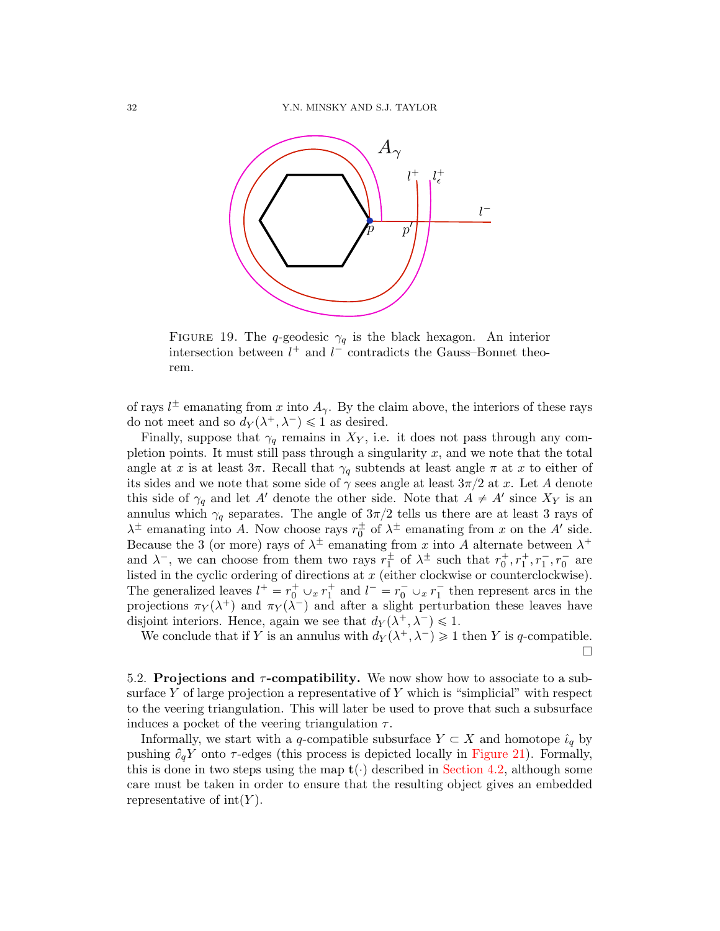

<span id="page-31-0"></span>FIGURE 19. The q-geodesic  $\gamma_q$  is the black hexagon. An interior intersection between  $l^+$  and  $l^-$  contradicts the Gauss–Bonnet theorem.

of rays  $l^{\pm}$  emanating from x into  $A_{\gamma}$ . By the claim above, the interiors of these rays do not meet and so  $d_Y(\lambda^+, \lambda^-) \leq 1$  as desired.

Finally, suppose that  $\gamma_q$  remains in  $X_Y$ , i.e. it does not pass through any completion points. It must still pass through a singularity  $x$ , and we note that the total angle at x is at least  $3\pi$ . Recall that  $\gamma_q$  subtends at least angle  $\pi$  at x to either of its sides and we note that some side of  $\gamma$  sees angle at least  $3\pi/2$  at x. Let A denote this side of  $\gamma_q$  and let A' denote the other side. Note that  $A \neq A'$  since  $X_Y$  is an annulus which  $\gamma_q$  separates. The angle of  $3\pi/2$  tells us there are at least 3 rays of  $\lambda^{\pm}$  emanating into A. Now choose rays  $r_0^{\pm}$  of  $\lambda^{\pm}$  emanating from x on the A' side. Because the 3 (or more) rays of  $\lambda^{\pm}$  emanating from x into A alternate between  $\lambda^{+}$ and  $\lambda^-$ , we can choose from them two rays  $r_1^{\pm}$  of  $\lambda^{\pm}$  such that  $r_0^+, r_1^+, r_1^-, r_0^-$  are listed in the cyclic ordering of directions at  $x$  (either clockwise or counterclockwise). The generalized leaves  $l^+ = r_0^+ \cup_x r_1^+$  and  $l^- = r_0^- \cup_x r_1^-$  then represent arcs in the projections  $\pi_Y(\lambda^+)$  and  $\pi_Y(\lambda^-)$  and after a slight perturbation these leaves have disjoint interiors. Hence, again we see that  $d_Y(\lambda^+, \lambda^-) \leq 1$ .

We conclude that if Y is an annulus with  $d_Y(\lambda^+, \lambda^-) \geq 1$  then Y is q-compatible.  $\Box$ 

5.2. Projections and  $\tau$ -compatibility. We now show how to associate to a subsurface Y of large projection a representative of Y which is "simplicial" with respect to the veering triangulation. This will later be used to prove that such a subsurface induces a pocket of the veering triangulation  $\tau$ .

Informally, we start with a q-compatible subsurface  $Y \subset X$  and homotope  $\hat{\iota}_q$  by pushing  $\partial_q Y$  onto  $\tau$ -edges (this process is depicted locally in [Figure 21\)](#page-33-0). Formally, this is done in two steps using the map  $\mathbf{t}(\cdot)$  described in [Section 4.2,](#page-23-0) although some care must be taken in order to ensure that the resulting object gives an embedded representative of  $\text{int}(Y)$ .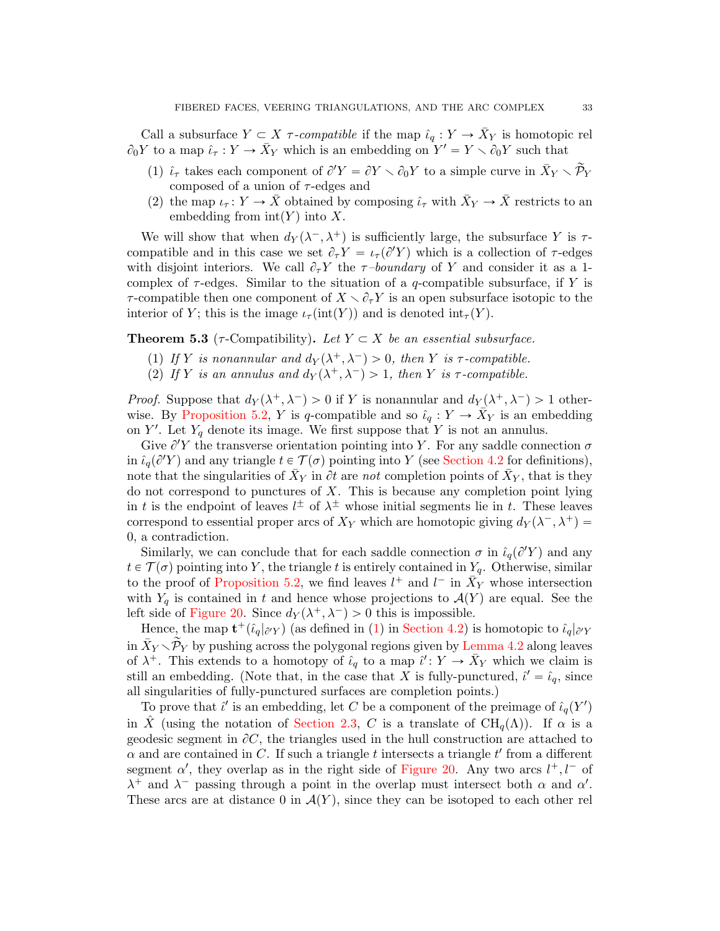Call a subsurface  $Y \subset X$   $\tau$ -compatible if the map  $\hat{\iota}_q : Y \to \bar{X}_Y$  is homotopic rel  $\partial_0 Y$  to a map  $\hat{\iota}_{\tau} : Y \to \bar{X}_Y$  which is an embedding on  $Y' = Y \setminus \partial_0 Y$  such that

- (1)  $\hat{\iota}_{\tau}$  takes each component of  $\partial'Y = \partial Y \setminus \partial_0 Y$  to a simple curve in  $\bar{X}_Y \setminus \tilde{\mathcal{P}}_Y$ composed of a union of  $\tau$ -edges and
- (2) the map  $\iota_{\tau}: Y \to \bar{X}$  obtained by composing  $\hat{\iota}_{\tau}$  with  $\bar{X}_Y \to \bar{X}$  restricts to an embedding from  $\text{int}(Y)$  into X.

We will show that when  $d_Y(\lambda^-, \lambda^+)$  is sufficiently large, the subsurface Y is  $\tau$ compatible and in this case we set  $\partial_{\tau}Y = \iota_{\tau}(\partial'Y)$  which is a collection of  $\tau$ -edges with disjoint interiors. We call  $\partial_{\tau}Y$  the  $\tau$ -boundary of Y and consider it as a 1complex of  $\tau$ -edges. Similar to the situation of a  $q$ -compatible subsurface, if Y is  $\tau$ -compatible then one component of  $X \setminus \partial_{\tau} Y$  is an open subsurface isotopic to the interior of Y; this is the image  $\iota_{\tau}(\text{int}(Y))$  and is denoted  $\text{int}_{\tau}(Y)$ .

<span id="page-32-0"></span>**Theorem 5.3** ( $\tau$ -Compatibility). Let  $Y \subset X$  be an essential subsurface.

- (1) If Y is nonannular and  $d_Y(\lambda^+, \lambda^-) > 0$ , then Y is  $\tau$ -compatible.
- (2) If Y is an annulus and  $d_Y(\lambda^+, \lambda^-) > 1$ , then Y is  $\tau$ -compatible.

*Proof.* Suppose that  $d_Y(\lambda^+, \lambda^-) > 0$  if Y is nonannular and  $d_Y(\lambda^+, \lambda^-) > 1$  other-wise. By [Proposition 5.2,](#page-27-0) Y is q-compatible and so  $\hat{\iota}_q : Y \to \overline{X}_Y$  is an embedding on Y'. Let  $Y_q$  denote its image. We first suppose that Y is not an annulus.

Give  $\partial' Y$  the transverse orientation pointing into Y. For any saddle connection  $\sigma$ in  $\hat{\iota}_q(\partial Y)$  and any triangle  $t \in \mathcal{T}(\sigma)$  pointing into Y (see [Section 4.2](#page-23-0) for definitions), note that the singularities of  $\bar{X}_Y$  in  $\partial t$  are not completion points of  $\bar{X}_Y$ , that is they do not correspond to punctures of  $X$ . This is because any completion point lying in t is the endpoint of leaves  $l^{\pm}$  of  $\lambda^{\pm}$  whose initial segments lie in t. These leaves correspond to essential proper arcs of  $X_Y$  which are homotopic giving  $d_Y(\lambda^-, \lambda^+) =$ 0, a contradiction.

Similarly, we can conclude that for each saddle connection  $\sigma$  in  $\hat{\iota}_q(\partial Y)$  and any  $t \in \mathcal{T}(\sigma)$  pointing into Y, the triangle t is entirely contained in  $Y_q$ . Otherwise, similar to the proof of [Proposition 5.2,](#page-27-0) we find leaves  $l^+$  and  $l^-$  in  $\bar{X}_Y$  whose intersection with  $Y_q$  is contained in t and hence whose projections to  $\mathcal{A}(Y)$  are equal. See the left side of [Figure 20.](#page-33-1) Since  $d_Y(\lambda^+, \lambda^-) > 0$  this is impossible.

Hence, the map  $\mathbf{t}^+(\hat{\iota}_q|_{\partial'Y})$  (as defined in [\(1\)](#page-24-1) in [Section 4.2\)](#page-23-0) is homotopic to  $\hat{\iota}_q|_{\partial'Y}$ in  $\overline{X}_Y \setminus \overline{\mathcal{P}}_Y$  by pushing across the polygonal regions given by [Lemma 4.2](#page-23-2) along leaves of  $\lambda^+$ . This extends to a homotopy of  $\hat{\iota}_q$  to a map  $\hat{\iota}' : Y \to \bar{X}_Y$  which we claim is still an embedding. (Note that, in the case that X is fully-punctured,  $i' = \hat{i}_q$ , since all singularities of fully-punctured surfaces are completion points.)

To prove that  $\hat{\iota}'$  is an embedding, let C be a component of the preimage of  $\hat{\iota}_q(Y')$ in X<sup>o</sup> (using the notation of [Section 2.3,](#page-8-1) C is a translate of  $\text{CH}_q(\Lambda)$ ). If  $\alpha$  is a geodesic segment in  $\partial C$ , the triangles used in the hull construction are attached to  $\alpha$  and are contained in C. If such a triangle t intersects a triangle t' from a different segment  $\alpha'$ , they overlap as in the right side of [Figure 20.](#page-33-1) Any two arcs  $l^+, l^-$  of  $\lambda^+$  and  $\lambda^-$  passing through a point in the overlap must intersect both  $\alpha$  and  $\alpha'$ . These arcs are at distance 0 in  $\mathcal{A}(Y)$ , since they can be isotoped to each other rel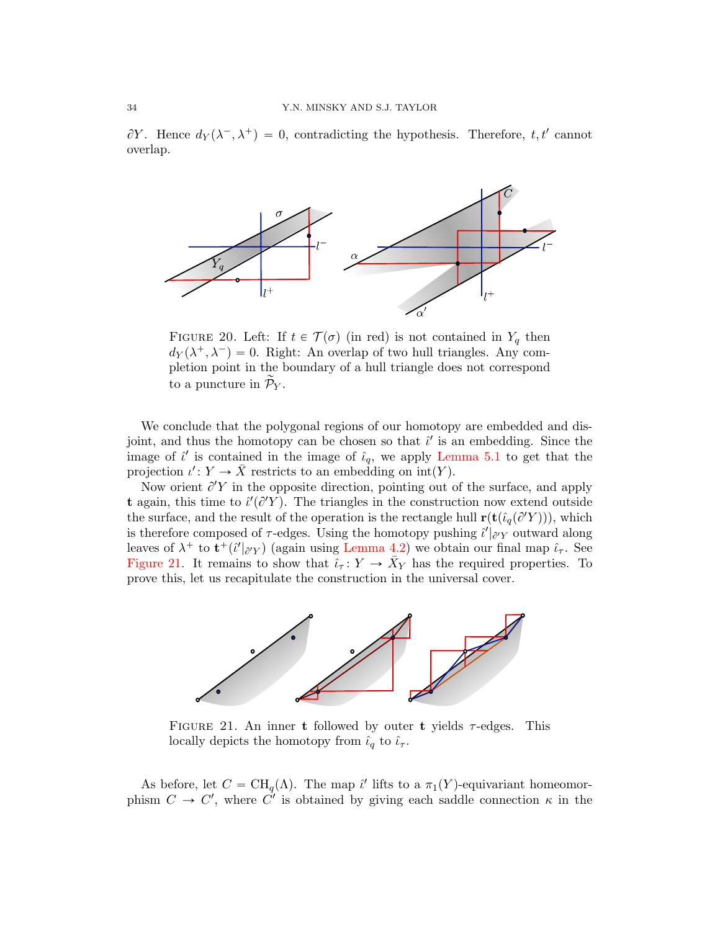$\partial Y$ . Hence  $d_Y(\lambda^-, \lambda^+) = 0$ , contradicting the hypothesis. Therefore, t, t' cannot overlap.



<span id="page-33-1"></span>FIGURE 20. Left: If  $t \in \mathcal{T}(\sigma)$  (in red) is not contained in  $Y_q$  then  $d_Y(\lambda^+, \lambda^-) = 0$ . Right: An overlap of two hull triangles. Any completion point in the boundary of a hull triangle does not correspond to a puncture in  $\widetilde{\mathcal{P}}_{Y}$ .

We conclude that the polygonal regions of our homotopy are embedded and disjoint, and thus the homotopy can be chosen so that  $\hat{\iota}'$  is an embedding. Since the image of  $\hat{i}'$  is contained in the image of  $\hat{i}_q$ , we apply [Lemma 5.1](#page-26-2) to get that the projection  $\iota' : Y \to \overline{X}$  restricts to an embedding on  $\text{int}(Y)$ .

Now orient  $\partial' Y$  in the opposite direction, pointing out of the surface, and apply t again, this time to  $\ell'(\partial'Y)$ . The triangles in the construction now extend outside the surface, and the result of the operation is the rectangle hull  $\mathbf{r}(\mathbf{t}(\hat{i}_q(\partial Y))),$  which is therefore composed of  $\tau$ -edges. Using the homotopy pushing  $\hat{i}'|_{\partial'Y}$  outward along leaves of  $\lambda^+$  to  $\mathbf{t}^+(\hat{\iota}'|_{\partial'Y})$  (again using [Lemma 4.2\)](#page-23-2) we obtain our final map  $\hat{\iota}_{\tau}$ . See [Figure 21.](#page-33-0) It remains to show that  $\tilde{\iota}_{\tau}: Y \to \bar{X}_Y$  has the required properties. To prove this, let us recapitulate the construction in the universal cover.



<span id="page-33-0"></span>FIGURE 21. An inner t followed by outer t yields  $\tau$ -edges. This locally depicts the homotopy from  $\hat{\iota}_q$  to  $\hat{\iota}_\tau$ .

As before, let  $C = \text{CH}_q(\Lambda)$ . The map  $\hat{\iota}'$  lifts to a  $\pi_1(Y)$ -equivariant homeomorphism  $C \to C'$ , where  $C'$  is obtained by giving each saddle connection  $\kappa$  in the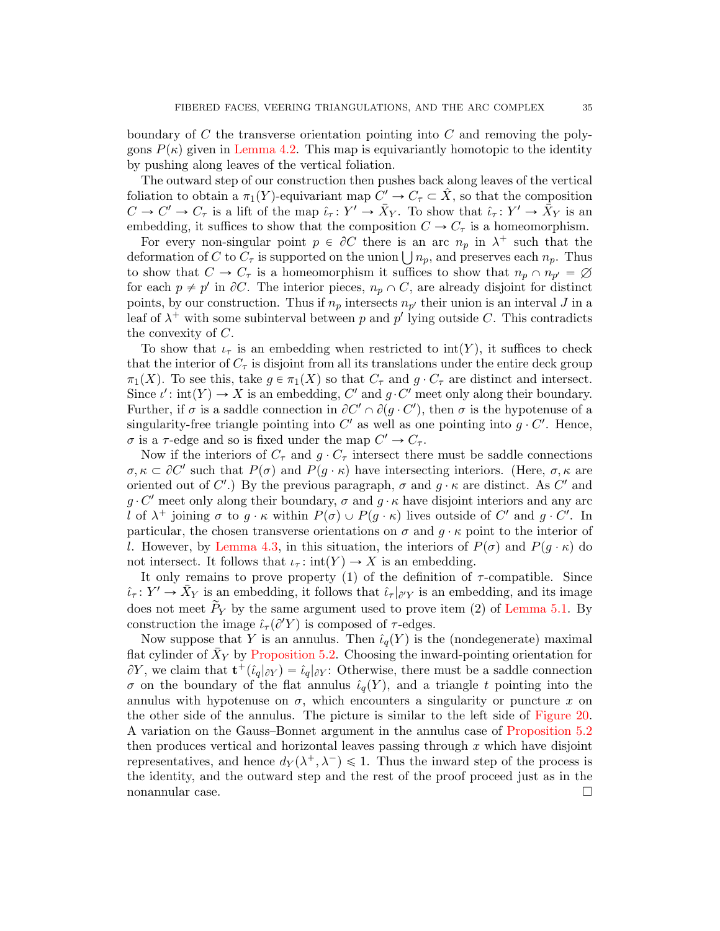boundary of C the transverse orientation pointing into C and removing the polygons  $P(\kappa)$  given in [Lemma 4.2.](#page-23-2) This map is equivariantly homotopic to the identity by pushing along leaves of the vertical foliation.

The outward step of our construction then pushes back along leaves of the vertical foliation to obtain a  $\pi_1(Y)$ -equivariant map  $C' \to C_{\tau} \subset \hat{X}$ , so that the composition  $C \to C' \to C_{\tau}$  is a lift of the map  $\hat{\iota}_{\tau} \colon Y' \to \bar{X}_{Y}$ . To show that  $\hat{\iota}_{\tau} \colon Y' \to \bar{X}_{Y}$  is an embedding, it suffices to show that the composition  $C \to C_{\tau}$  is a homeomorphism.

For every non-singular point  $p \in \partial C$  there is an arc  $n_p$  in  $\lambda^+$  such that the For every non-singular point  $p \in \partial C$  there is an arc  $n_p$  in  $\lambda^+$  such that the deformation of C to  $C_{\tau}$  is supported on the union  $\bigcup n_p$ , and preserves each  $n_p$ . Thus to show that  $C \to C_{\tau}$  is a homeomorphism it suffices to show that  $n_p \cap n_{p'} = \emptyset$ for each  $p \neq p'$  in  $\partial C$ . The interior pieces,  $n_p \cap C$ , are already disjoint for distinct points, by our construction. Thus if  $n_p$  intersects  $n_{p'}$  their union is an interval J in a leaf of  $\lambda^+$  with some subinterval between p and p' lying outside C. This contradicts the convexity of C.

To show that  $\iota_{\tau}$  is an embedding when restricted to int(Y), it suffices to check that the interior of  $C_{\tau}$  is disjoint from all its translations under the entire deck group  $\pi_1(X)$ . To see this, take  $g \in \pi_1(X)$  so that  $C_{\tau}$  and  $g \cdot C_{\tau}$  are distinct and intersect. Since  $\iota'$ : int $(Y) \to X$  is an embedding, C' and  $g \cdot C'$  meet only along their boundary. Further, if  $\sigma$  is a saddle connection in  $\partial C' \cap \partial (g \cdot C')$ , then  $\sigma$  is the hypotenuse of a singularity-free triangle pointing into  $C'$  as well as one pointing into  $g \cdot C'$ . Hence,  $\sigma$  is a  $\tau$ -edge and so is fixed under the map  $C' \to C_{\tau}$ .

Now if the interiors of  $C_{\tau}$  and  $g \cdot C_{\tau}$  intersect there must be saddle connections  $\sigma, \kappa \subset \partial C'$  such that  $P(\sigma)$  and  $P(g \cdot \kappa)$  have intersecting interiors. (Here,  $\sigma, \kappa$  are oriented out of C'.) By the previous paragraph,  $\sigma$  and  $g \cdot \kappa$  are distinct. As C' and  $g \cdot C'$  meet only along their boundary,  $\sigma$  and  $g \cdot \kappa$  have disjoint interiors and any arc l of  $\lambda^+$  joining  $\sigma$  to  $g \cdot \kappa$  within  $P(\sigma) \cup P(g \cdot \kappa)$  lives outside of  $C'$  and  $g \cdot C'$ . In particular, the chosen transverse orientations on  $\sigma$  and  $g \cdot \kappa$  point to the interior of l. However, by [Lemma 4.3,](#page-24-2) in this situation, the interiors of  $P(\sigma)$  and  $P(q \cdot \kappa)$  do not intersect. It follows that  $\iota_{\tau} : \text{int}(Y) \to X$  is an embedding.

It only remains to prove property (1) of the definition of  $\tau$ -compatible. Since  $\hat{\iota}_{\tau}: Y' \to \bar{X}_Y$  is an embedding, it follows that  $\hat{\iota}_{\tau}|_{\partial'Y}$  is an embedding, and its image does not meet  $\widetilde{P}_Y$  by the same argument used to prove item (2) of [Lemma 5.1.](#page-26-2) By construction the image  $\hat{\iota}_{\tau}(\partial'Y)$  is composed of  $\tau$ -edges.

<span id="page-34-0"></span>Now suppose that Y is an annulus. Then  $\hat{\iota}_q(Y)$  is the (nondegenerate) maximal flat cylinder of  $\bar{X}_Y$  by [Proposition 5.2.](#page-27-0) Choosing the inward-pointing orientation for  $\partial Y$ , we claim that  $\mathbf{t}^+(\hat{\iota}_q|_{\partial Y}) = \hat{\iota}_q|_{\partial Y}$ : Otherwise, there must be a saddle connection  $\sigma$  on the boundary of the flat annulus  $\hat{\iota}_q(Y)$ , and a triangle t pointing into the annulus with hypotenuse on  $\sigma$ , which encounters a singularity or puncture x on the other side of the annulus. The picture is similar to the left side of [Figure 20.](#page-33-1) A variation on the Gauss–Bonnet argument in the annulus case of [Proposition 5.2](#page-27-0) then produces vertical and horizontal leaves passing through  $x$  which have disjoint representatives, and hence  $d_Y(\lambda^+, \lambda^-) \leq 1$ . Thus the inward step of the process is the identity, and the outward step and the rest of the proof proceed just as in the nonannular case.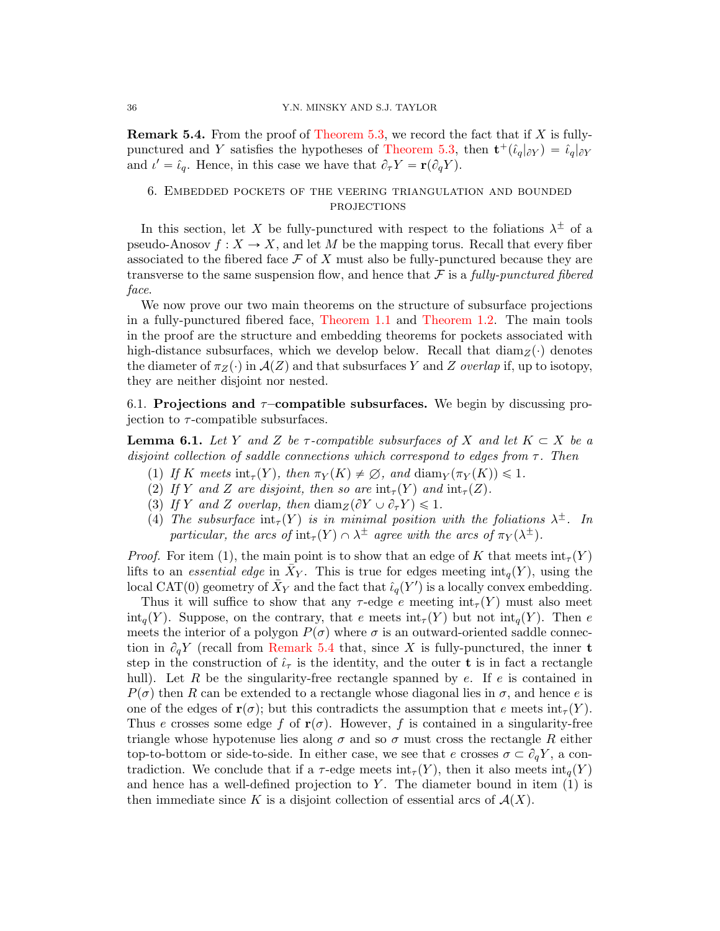**Remark 5.4.** From the proof of [Theorem 5.3,](#page-32-0) we record the fact that if  $X$  is fully-punctured and Y satisfies the hypotheses of [Theorem 5.3,](#page-32-0) then  $\mathbf{t}^+(\hat{\iota}_q|_{\partial Y}) = \hat{\iota}_q|_{\partial Y}$ and  $\iota' = \hat{\iota}_q$ . Hence, in this case we have that  $\partial_{\tau} Y = \mathbf{r}(\partial_q Y)$ .

# <span id="page-35-0"></span>6. Embedded pockets of the veering triangulation and bounded **PROJECTIONS**

In this section, let X be fully-punctured with respect to the foliations  $\lambda^{\pm}$  of a pseudo-Anosov  $f: X \to X$ , and let M be the mapping torus. Recall that every fiber associated to the fibered face  $\mathcal F$  of X must also be fully-punctured because they are transverse to the same suspension flow, and hence that  $\mathcal F$  is a fully-punctured fibered face.

We now prove our two main theorems on the structure of subsurface projections in a fully-punctured fibered face, [Theorem 1.1](#page-1-1) and [Theorem 1.2.](#page-1-0) The main tools in the proof are the structure and embedding theorems for pockets associated with high-distance subsurfaces, which we develop below. Recall that  $\text{diam}_z(\cdot)$  denotes the diameter of  $\pi_Z(\cdot)$  in  $\mathcal{A}(Z)$  and that subsurfaces Y and Z overlap if, up to isotopy, they are neither disjoint nor nested.

6.1. Projections and  $\tau$ -compatible subsurfaces. We begin by discussing projection to  $\tau$ -compatible subsurfaces.

<span id="page-35-1"></span>**Lemma 6.1.** Let Y and Z be  $\tau$ -compatible subsurfaces of X and let  $K \subset X$  be a disjoint collection of saddle connections which correspond to edges from  $\tau$ . Then

- (1) If K meets  $\text{int}_{\tau}(Y)$ , then  $\pi_Y(K) \neq \emptyset$ , and  $\text{diam}_Y(\pi_Y(K)) \leq 1$ .
- (2) If Y and Z are disjoint, then so are  $\text{int}_{\tau}(Y)$  and  $\text{int}_{\tau}(Z)$ .
- (3) If Y and Z overlap, then  $\text{diam}_Z(\partial Y \cup \partial_\tau Y) \leq 1$ .
- (4) The subsurface  $\text{int}_{\tau}(Y)$  is in minimal position with the foliations  $\lambda^{\pm}$ . In particular, the arcs of  $\text{int}_{\tau}(Y) \cap \lambda^{\pm}$  agree with the arcs of  $\pi_Y(\lambda^{\pm})$ .

*Proof.* For item (1), the main point is to show that an edge of K that meets  $int_{\tau}(Y)$ lifts to an essential edge in  $\bar{X}_Y$ . This is true for edges meeting  $\text{int}_q(Y)$ , using the local CAT(0) geometry of  $\bar{X}_Y$  and the fact that  $\hat{\iota}_q(Y')$  is a locally convex embedding.

Thus it will suffice to show that any  $\tau$ -edge e meeting  $\text{int}_{\tau}(Y)$  must also meet  $\text{int}_{q}(Y)$ . Suppose, on the contrary, that e meets  $\text{int}_{\tau}(Y)$  but not  $\text{int}_{q}(Y)$ . Then e meets the interior of a polygon  $P(\sigma)$  where  $\sigma$  is an outward-oriented saddle connection in  $\partial_q Y$  (recall from [Remark 5.4](#page-34-0) that, since X is fully-punctured, the inner t step in the construction of  $\hat{\iota}_{\tau}$  is the identity, and the outer **t** is in fact a rectangle hull). Let R be the singularity-free rectangle spanned by  $e$ . If  $e$  is contained in  $P(\sigma)$  then R can be extended to a rectangle whose diagonal lies in  $\sigma$ , and hence e is one of the edges of  $\mathbf{r}(\sigma)$ ; but this contradicts the assumption that e meets  $\text{int}_{\tau}(Y)$ . Thus e crosses some edge f of  $r(\sigma)$ . However, f is contained in a singularity-free triangle whose hypotenuse lies along  $\sigma$  and so  $\sigma$  must cross the rectangle R either top-to-bottom or side-to-side. In either case, we see that e crosses  $\sigma \subset \partial_q Y$ , a contradiction. We conclude that if a  $\tau$ -edge meets int<sub> $\tau$ </sub>(Y), then it also meets int<sub>q</sub>(Y) and hence has a well-defined projection to Y. The diameter bound in item  $(1)$  is then immediate since K is a disjoint collection of essential arcs of  $\mathcal{A}(X)$ .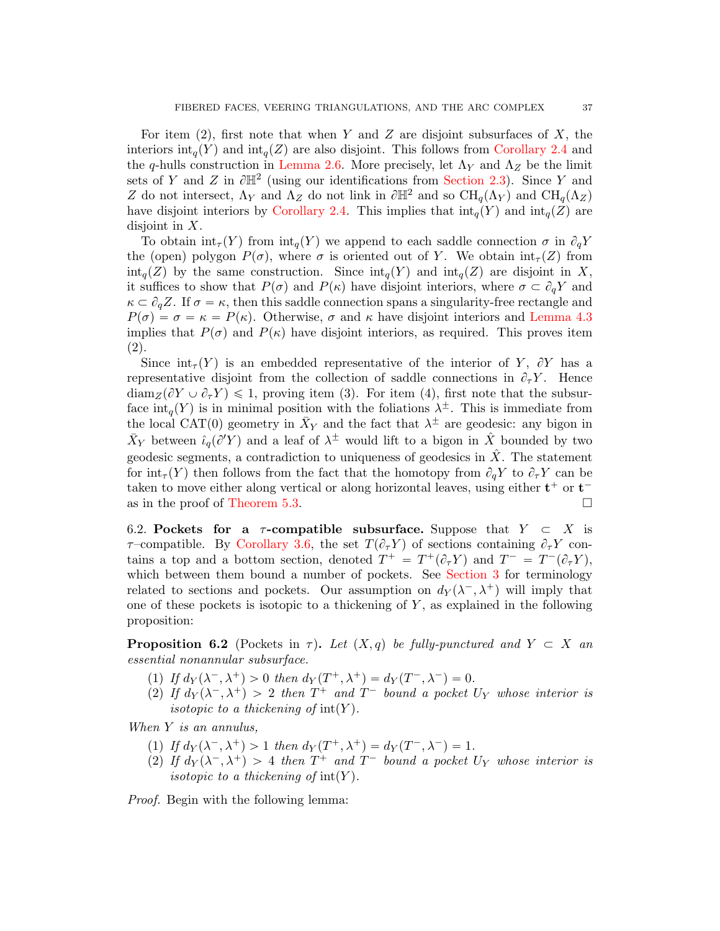For item (2), first note that when Y and Z are disjoint subsurfaces of X, the interiors  $\text{int}_q(Y)$  and  $\text{int}_q(Z)$  are also disjoint. This follows from [Corollary 2.4](#page-11-0) and the q-hulls construction in [Lemma 2.6.](#page-14-0) More precisely, let  $\Lambda_Y$  and  $\Lambda_Z$  be the limit sets of Y and Z in  $\partial \mathbb{H}^2$  (using our identifications from [Section 2.3\)](#page-8-1). Since Y and Z do not intersect,  $\Lambda_Y$  and  $\Lambda_Z$  do not link in  $\partial \mathbb{H}^2$  and so  $\text{CH}_q(\Lambda_Y)$  and  $\text{CH}_q(\Lambda_Z)$ have disjoint interiors by [Corollary 2.4.](#page-11-0) This implies that  $\text{int}_q(Y)$  and  $\text{int}_q(Z)$  are disjoint in X.

To obtain  $\text{int}_{\tau}(Y)$  from  $\text{int}_{q}(Y)$  we append to each saddle connection  $\sigma$  in  $\partial_q Y$ the (open) polygon  $P(\sigma)$ , where  $\sigma$  is oriented out of Y. We obtain  $\text{int}_{\tau}(Z)$  from  $\text{int}_q(Z)$  by the same construction. Since  $\text{int}_q(Y)$  and  $\text{int}_q(Z)$  are disjoint in X, it suffices to show that  $P(\sigma)$  and  $P(\kappa)$  have disjoint interiors, where  $\sigma \subset \partial_{\sigma} Y$  and  $\kappa \subset \partial_q Z$ . If  $\sigma = \kappa$ , then this saddle connection spans a singularity-free rectangle and  $P(\sigma) = \sigma = \kappa = P(\kappa)$ . Otherwise,  $\sigma$  and  $\kappa$  have disjoint interiors and [Lemma 4.3](#page-24-2) implies that  $P(\sigma)$  and  $P(\kappa)$  have disjoint interiors, as required. This proves item (2).

Since  $\text{int}_{\tau}(Y)$  is an embedded representative of the interior of Y,  $\partial Y$  has a representative disjoint from the collection of saddle connections in  $\partial_{\tau}Y$ . Hence  $\dim_Z(\partial Y \cup \partial_\tau Y) \leq 1$ , proving item (3). For item (4), first note that the subsurface  $\text{int}_q(Y)$  is in minimal position with the foliations  $\lambda^{\pm}$ . This is immediate from the local CAT(0) geometry in  $\bar{X}_Y$  and the fact that  $\lambda^{\pm}$  are geodesic: any bigon in  $\bar{X}_Y$  between  $\hat{\iota}_q(\partial'Y)$  and a leaf of  $\lambda^{\pm}$  would lift to a bigon in  $\hat{X}$  bounded by two geodesic segments, a contradiction to uniqueness of geodesics in  $\hat{X}$ . The statement for  $\int f(r)$  then follows from the fact that the homotopy from  $\partial_q Y$  to  $\partial_{\tau} Y$  can be taken to move either along vertical or along horizontal leaves, using either  $t^+$  or  $t^-$ as in the proof of [Theorem 5.3.](#page-32-0)  $\Box$ 

6.2. Pockets for a  $\tau$ -compatible subsurface. Suppose that  $Y \subset X$  is  $\tau$ –compatible. By [Corollary 3.6,](#page-20-0) the set  $T(\partial_\tau Y)$  of sections containing  $\partial_\tau Y$  contains a top and a bottom section, denoted  $T^+ = T^+(\partial_\tau Y)$  and  $T^- = T^-(\partial_\tau Y)$ , which between them bound a number of pockets. See [Section 3](#page-17-0) for terminology related to sections and pockets. Our assumption on  $d_Y(\lambda^-, \lambda^+)$  will imply that one of these pockets is isotopic to a thickening of  $Y$ , as explained in the following proposition:

<span id="page-36-0"></span>**Proposition 6.2** (Pockets in  $\tau$ ). Let  $(X, q)$  be fully-punctured and  $Y \subset X$  and essential nonannular subsurface.

- (1) If  $d_Y(\lambda^-, \lambda^+) > 0$  then  $d_Y(T^+, \lambda^+) = d_Y(T^-, \lambda^-) = 0$ .
- (2) If  $d_Y(\lambda^-,\lambda^+) > 2$  then  $T^+$  and  $T^-$  bound a pocket  $U_Y$  whose interior is isotopic to a thickening of  $\text{int}(Y)$ .

When Y is an annulus,

- (1) If  $d_Y(\lambda^-, \lambda^+) > 1$  then  $d_Y(T^+, \lambda^+) = d_Y(T^-, \lambda^-) = 1$ .
- (2) If  $d_Y(\lambda^-,\lambda^+) > 4$  then  $T^+$  and  $T^-$  bound a pocket  $U_Y$  whose interior is isotopic to a thickening of  $\text{int}(Y)$ .

<span id="page-36-1"></span>Proof. Begin with the following lemma: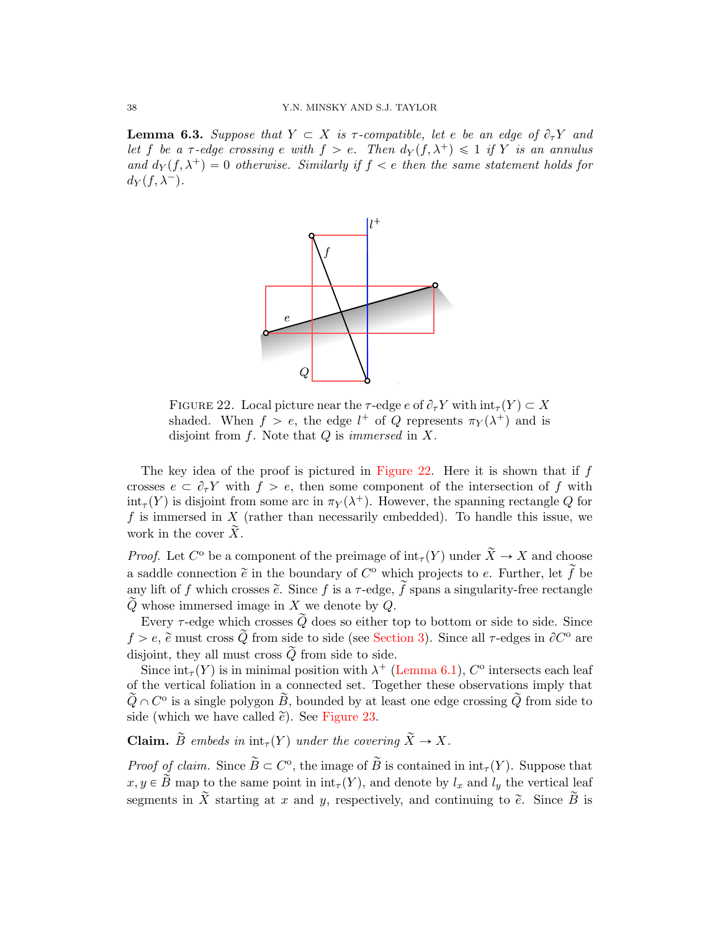**Lemma 6.3.** Suppose that  $Y \subset X$  is  $\tau$ -compatible, let e be an edge of  $\partial_{\tau}Y$  and let f be a  $\tau$ -edge crossing e with  $f > e$ . Then  $d_Y(f, \lambda^+) \leq 1$  if Y is an annulus and  $d_Y(f, \lambda^+) = 0$  otherwise. Similarly if  $f < e$  then the same statement holds for  $d_Y(f, \lambda^-).$ 



<span id="page-37-0"></span>FIGURE 22. Local picture near the  $\tau$ -edge e of  $\partial_{\tau}Y$  with  $\text{int}_{\tau}(Y) \subset X$ shaded. When  $f > e$ , the edge  $l^+$  of Q represents  $\pi_Y(\lambda^+)$  and is disjoint from  $f$ . Note that  $Q$  is *immersed* in  $X$ .

The key idea of the proof is pictured in [Figure 22.](#page-37-0) Here it is shown that if  $f$ crosses  $e \subset \partial_{\tau} Y$  with  $f > e$ , then some component of the intersection of f with  $\text{int}_{\tau}(Y)$  is disjoint from some arc in  $\pi_Y(\lambda^+)$ . However, the spanning rectangle Q for f is immersed in  $X$  (rather than necessarily embedded). To handle this issue, we work in the cover  $\tilde{X}$ .

*Proof.* Let  $C^{\circ}$  be a component of the preimage of  $\text{int}_{\tau}(Y)$  under  $\widetilde{X} \to X$  and choose a saddle connection  $\tilde{e}$  in the boundary of  $C^{\circ}$  which projects to e. Further, let  $\tilde{f}$  be any lift of f which crosses  $\tilde{e}$ . Since f is a  $\tau$ -edge,  $\tilde{f}$  spans a singularity-free rectangle  $\widetilde{Q}$  whose immersed image in X we denote by Q.

Every  $\tau$ -edge which crosses  $\widetilde{Q}$  does so either top to bottom or side to side. Since  $f > e$ ,  $\tilde{e}$  must cross  $\tilde{Q}$  from side to side (see [Section 3\)](#page-17-0). Since all  $\tau$ -edges in  $\partial C^{\circ}$  are disjoint, they all must cross  $\tilde{Q}$  from side to side.

Since  $\text{int}_{\tau}(Y)$  is in minimal position with  $\lambda^+$  [\(Lemma 6.1\)](#page-35-1),  $C^{\circ}$  intersects each leaf of the vertical foliation in a connected set. Together these observations imply that  $\widetilde{Q} \cap C^{\circ}$  is a single polygon  $\widetilde{B}$ , bounded by at least one edge crossing  $\widetilde{Q}$  from side to side (which we have called  $\tilde{e}$ ). See [Figure 23.](#page-38-0)

**Claim.**  $\widetilde{B}$  embeds in  $\text{int}_{\tau}(Y)$  under the covering  $\widetilde{X} \to X$ .

*Proof of claim.* Since  $\widetilde{B} \subset C^{\circ}$ , the image of  $\widetilde{B}$  is contained in  $\text{int}_{\tau}(Y)$ . Suppose that  $x, y \in \tilde{B}$  map to the same point in  $\text{int}_{\tau}(Y)$ , and denote by  $l_x$  and  $l_y$  the vertical leaf segments in  $\widetilde{X}$  starting at x and y, respectively, and continuing to  $\widetilde{e}$ . Since  $\widetilde{B}$  is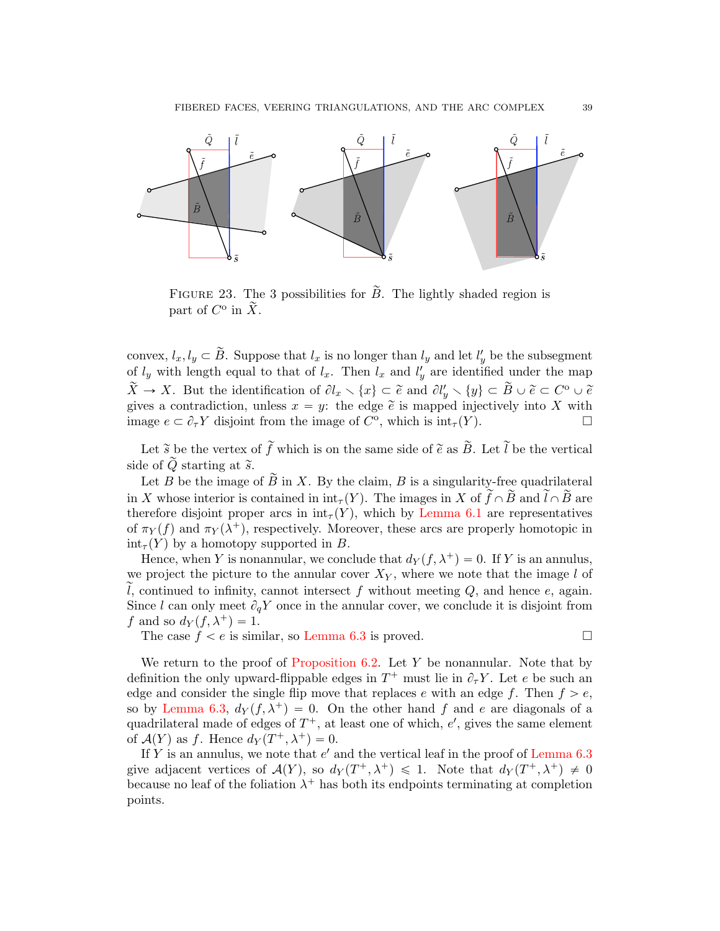

<span id="page-38-0"></span>FIGURE 23. The 3 possibilities for  $\tilde{B}$ . The lightly shaded region is part of  $C^{\circ}$  in  $\widetilde{X}$ .

convex,  $l_x, l_y \subset \tilde{B}$ . Suppose that  $l_x$  is no longer than  $l_y$  and let  $l'_y$  be the subsegment of  $l_y$  with length equal to that of  $l_x$ . Then  $l_x$  and  $l'_y$  are identified under the map  $\widetilde{X} \to X$ . But the identification of  $\partial l_x \setminus \{x\} \subset \widetilde{e}$  and  $\partial l_y' \setminus \{y\} \subset \widetilde{B} \cup \widetilde{e} \subset C^{\circ} \cup \widetilde{e}$ gives a contradiction, unless  $x = y$ : the edge  $\tilde{e}$  is mapped injectively into X with image  $e \subset \partial_{\tau} Y$  disjoint from the image of  $C^{\circ}$ , which is  $\text{int}_{\tau} (Y)$ .

Let  $\tilde{s}$  be the vertex of  $\tilde{f}$  which is on the same side of  $\tilde{e}$  as  $\tilde{B}$ . Let  $\tilde{l}$  be the vertical side of  $\tilde{Q}$  starting at  $\tilde{s}$ .

Let B be the image of B in X. By the claim, B is a singularity-free quadrilateral in X whose interior is contained in  $\text{int}_{\tau}(Y)$ . The images in X of  $\tilde{f} \cap \tilde{B}$  and  $\tilde{l} \cap \tilde{B}$  are therefore disjoint proper arcs in  $\text{int}_{\tau}(Y)$ , which by [Lemma 6.1](#page-35-1) are representatives of  $\pi_Y(f)$  and  $\pi_Y(\lambda^+)$ , respectively. Moreover, these arcs are properly homotopic in  $\text{int}_{\tau}(Y)$  by a homotopy supported in B.

Hence, when Y is nonannular, we conclude that  $d_Y(f, \lambda^+) = 0$ . If Y is an annulus, we project the picture to the annular cover  $X_Y$ , where we note that the image l of l, continued to infinity, cannot intersect f without meeting  $Q$ , and hence  $e$ , again. Since l can only meet  $\partial_q Y$  once in the annular cover, we conclude it is disjoint from f and so  $d_Y(f, \lambda^+) = 1$ .

The case  $f < e$  is similar, so [Lemma 6.3](#page-36-1) is proved.

We return to the proof of [Proposition 6.2.](#page-36-0) Let  $Y$  be nonannular. Note that by definition the only upward-flippable edges in  $T^+$  must lie in  $\partial_\tau Y$ . Let e be such an edge and consider the single flip move that replaces e with an edge f. Then  $f > e$ , so by [Lemma 6.3,](#page-36-1)  $d_Y(f, \lambda^+) = 0$ . On the other hand f and e are diagonals of a quadrilateral made of edges of  $T^+$ , at least one of which,  $e'$ , gives the same element of  $\mathcal{A}(Y)$  as f. Hence  $d_Y(T^+,\lambda^+) = 0$ .

If Y is an annulus, we note that  $e'$  and the vertical leaf in the proof of [Lemma 6.3](#page-36-1) give adjacent vertices of  $\mathcal{A}(Y)$ , so  $d_Y(T^+,\lambda^+) \leq 1$ . Note that  $d_Y(T^+,\lambda^+) \neq 0$ because no leaf of the foliation  $\lambda^+$  has both its endpoints terminating at completion points.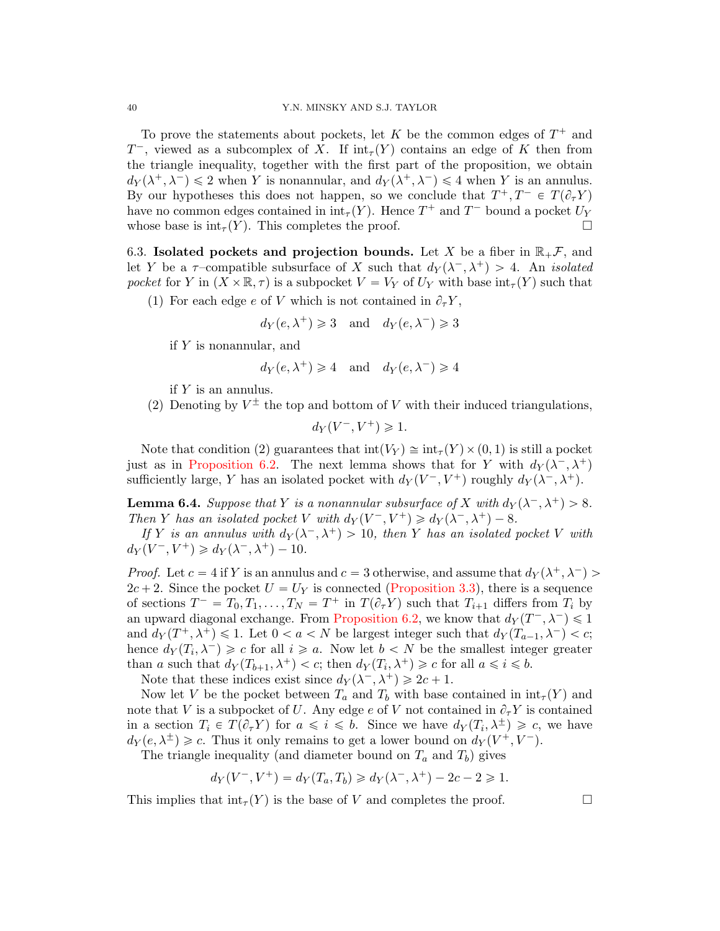To prove the statements about pockets, let K be the common edges of  $T^+$  and  $T^-$ , viewed as a subcomplex of X. If  $\text{int}_{\tau}(Y)$  contains an edge of K then from the triangle inequality, together with the first part of the proposition, we obtain  $d_Y(\lambda^+, \lambda^-) \leq 2$  when Y is nonannular, and  $d_Y(\lambda^+, \lambda^-) \leq 4$  when Y is an annulus. By our hypotheses this does not happen, so we conclude that  $T^+, T^- \in T(\partial_\tau Y)$ have no common edges contained in  $\text{int}_{\tau}(Y)$ . Hence  $T^+$  and  $T^-$  bound a pocket  $U_Y$ whose base is  $\text{int}_{\tau}(Y)$ . This completes the proof.

6.3. Isolated pockets and projection bounds. Let X be a fiber in  $\mathbb{R}_+$ , and let Y be a  $\tau$ -compatible subsurface of X such that  $d_Y(\lambda^-, \lambda^+) > 4$ . An *isolated* pocket for Y in  $(X \times \mathbb{R}, \tau)$  is a subpocket  $V = V_Y$  of  $U_Y$  with base  $\text{int}_{\tau}(Y)$  such that

(1) For each edge e of V which is not contained in  $\partial_{\tau}Y$ ,

$$
d_Y(e, \lambda^+) \ge 3
$$
 and  $d_Y(e, \lambda^-) \ge 3$ 

if  $Y$  is nonannular, and

$$
d_Y(e, \lambda^+) \ge 4
$$
 and  $d_Y(e, \lambda^-) \ge 4$ 

if  $Y$  is an annulus.

(2) Denoting by  $V^{\pm}$  the top and bottom of V with their induced triangulations,

$$
d_Y(V^-, V^+) \ge 1.
$$

Note that condition (2) guarantees that  $\text{int}(V_Y) \cong \text{int}_{\tau}(Y) \times (0, 1)$  is still a pocket just as in [Proposition 6.2.](#page-36-0) The next lemma shows that for Y with  $d_Y(\lambda^-, \lambda^+)$ sufficiently large, Y has an isolated pocket with  $d_Y(V^-, V^+)$  roughly  $d_Y(\lambda^-, \lambda^+)$ .

<span id="page-39-0"></span>**Lemma 6.4.** Suppose that Y is a nonannular subsurface of X with  $d_Y(\lambda^-, \lambda^+) > 8$ . Then Y has an isolated pocket V with  $d_Y(V^-, V^+) \ge d_Y(\lambda^-, \lambda^+) - 8$ .

If Y is an annulus with  $d_Y(\lambda^-, \lambda^+) > 10$ , then Y has an isolated pocket V with  $d_Y(V^-, V^+) \geq d_Y(\lambda^-, \lambda^+) - 10.$ 

*Proof.* Let  $c = 4$  if Y is an annulus and  $c = 3$  otherwise, and assume that  $d_Y(\lambda^+, \lambda^-)$  $2c + 2$ . Since the pocket  $U = U<sub>Y</sub>$  is connected [\(Proposition 3.3\)](#page-18-1), there is a sequence of sections  $T^- = T_0, T_1, \ldots, T_N = T^+$  in  $T(\partial_\tau Y)$  such that  $T_{i+1}$  differs from  $T_i$  by an upward diagonal exchange. From [Proposition 6.2,](#page-36-0) we know that  $d_Y(T^-, \lambda^-) \leq 1$ and  $d_Y(T^+,\lambda^+) \leq 1$ . Let  $0 < a < N$  be largest integer such that  $d_Y(T_{a-1},\lambda^-) < c$ ; hence  $d_Y(T_i, \lambda^-) \geq c$  for all  $i \geq a$ . Now let  $b < N$  be the smallest integer greater than a such that  $d_Y(T_{b+1}, \lambda^+) < c$ ; then  $d_Y(T_i, \lambda^+) \geq c$  for all  $a \leq i \leq b$ .

Note that these indices exist since  $d_Y(\lambda^-, \lambda^+) \geq 2c + 1$ .

Now let V be the pocket between  $T_a$  and  $T_b$  with base contained in  $\text{int}_{\tau}(Y)$  and note that V is a subpocket of U. Any edge e of V not contained in  $\partial_{\tau}Y$  is contained in a section  $T_i \in T(\partial_\tau Y)$  for  $a \leqslant i \leqslant b$ . Since we have  $d_Y(T_i, \lambda^{\pm}) \geqslant c$ , we have  $d_Y(e, \lambda^{\pm}) \geq c$ . Thus it only remains to get a lower bound on  $d_Y(V^+, V^-)$ .

The triangle inequality (and diameter bound on  $T_a$  and  $T_b$ ) gives

$$
d_Y(V^-, V^+) = d_Y(T_a, T_b) \ge d_Y(\lambda^-, \lambda^+) - 2c - 2 \ge 1.
$$

This implies that  $\text{int}_{\tau}(Y)$  is the base of V and completes the proof.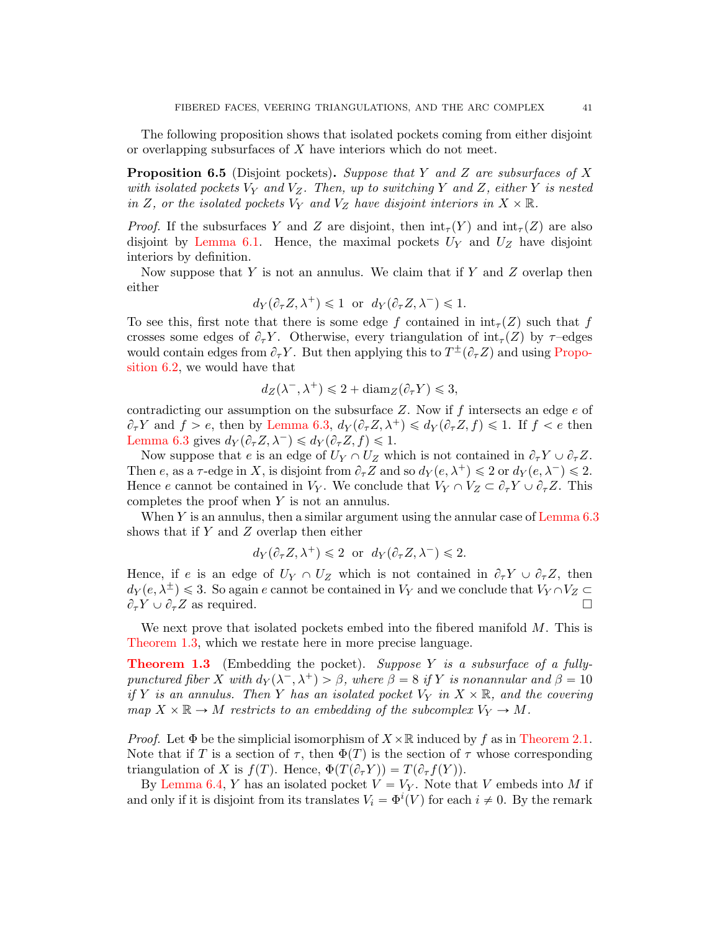The following proposition shows that isolated pockets coming from either disjoint or overlapping subsurfaces of X have interiors which do not meet.

<span id="page-40-0"></span>**Proposition 6.5** (Disjoint pockets). Suppose that Y and Z are subsurfaces of X with isolated pockets  $V_Y$  and  $V_Z$ . Then, up to switching Y and Z, either Y is nested in Z, or the isolated pockets  $V_Y$  and  $V_Z$  have disjoint interiors in  $X \times \mathbb{R}$ .

*Proof.* If the subsurfaces Y and Z are disjoint, then  $\text{int}_{\tau}(Y)$  and  $\text{int}_{\tau}(Z)$  are also disjoint by [Lemma 6.1.](#page-35-1) Hence, the maximal pockets  $U_Y$  and  $U_Z$  have disjoint interiors by definition.

Now suppose that Y is not an annulus. We claim that if Y and Z overlap then either

$$
d_Y(\partial_\tau Z, \lambda^+) \leq 1
$$
 or  $d_Y(\partial_\tau Z, \lambda^-) \leq 1$ .

To see this, first note that there is some edge f contained in  $\text{int}_{\tau}(Z)$  such that f crosses some edges of  $\partial_{\tau}Y$ . Otherwise, every triangulation of  $\text{int}_{\tau}(Z)$  by  $\tau$ -edges would contain edges from  $\partial_{\tau} Y$ . But then applying this to  $T^{\pm}(\partial_{\tau} Z)$  and using [Propo](#page-36-0)[sition 6.2,](#page-36-0) we would have that

$$
d_Z(\lambda^-,\lambda^+) \leq 2 + \operatorname{diam}_Z(\partial_\tau Y) \leq 3,
$$

contradicting our assumption on the subsurface  $Z$ . Now if  $f$  intersects an edge  $e$  of  $\partial_{\tau} Y$  and  $f > e$ , then by [Lemma 6.3,](#page-36-1)  $d_Y(\partial_{\tau} Z, \lambda^+) \leq d_Y(\partial_{\tau} Z, f) \leq 1$ . If  $f < e$  then [Lemma 6.3](#page-36-1) gives  $d_Y(\partial_\tau Z, \lambda^-) \leq d_Y(\partial_\tau Z, f) \leq 1$ .

Now suppose that e is an edge of  $U_Y \cap U_Z$  which is not contained in  $\partial_{\tau} Y \cup \partial_{\tau} Z$ . Then e, as a  $\tau$ -edge in X, is disjoint from  $\partial_{\tau}Z$  and so  $d_Y(e, \lambda^+) \leq 2$  or  $d_Y(e, \lambda^-) \leq 2$ . Hence e cannot be contained in  $V_Y$ . We conclude that  $V_Y \cap V_Z \subset \partial_\tau Y \cup \partial_\tau Z$ . This completes the proof when Y is not an annulus.

When  $Y$  is an annulus, then a similar argument using the annular case of Lemma  $6.3$ shows that if  $Y$  and  $Z$  overlap then either

$$
d_Y(\partial_\tau Z, \lambda^+) \leq 2
$$
 or  $d_Y(\partial_\tau Z, \lambda^-) \leq 2$ .

Hence, if e is an edge of  $U_Y \cap U_Z$  which is not contained in  $\partial_\tau Y \cup \partial_\tau Z$ , then  $d_Y(e, \lambda^{\pm}) \leq 3$ . So again e cannot be contained in  $V_Y$  and we conclude that  $V_Y \cap V_Z \subset$  $\partial_{\tau} Y \cup \partial_{\tau} Z$  as required.

We next prove that isolated pockets embed into the fibered manifold  $M$ . This is [Theorem 1.3,](#page-2-0) which we restate here in more precise language.

**[Theorem 1.3](#page-2-0)** (Embedding the pocket). Suppose Y is a subsurface of a fullypunctured fiber X with  $d_Y(\lambda^-, \lambda^+) > \beta$ , where  $\beta = 8$  if Y is nonannular and  $\beta = 10$ if Y is an annulus. Then Y has an isolated pocket  $V_Y$  in  $X \times \mathbb{R}$ , and the covering map  $X \times \mathbb{R} \to M$  restricts to an embedding of the subcomplex  $V_Y \to M$ .

*Proof.* Let  $\Phi$  be the simplicial isomorphism of  $X \times \mathbb{R}$  induced by f as in [Theorem 2.1.](#page-5-2) Note that if T is a section of  $\tau$ , then  $\Phi(T)$  is the section of  $\tau$  whose corresponding triangulation of X is  $f(T)$ . Hence,  $\Phi(T(\partial_\tau Y)) = T(\partial_\tau f(Y))$ .

By [Lemma 6.4,](#page-39-0) Y has an isolated pocket  $V = V_Y$ . Note that V embeds into M if and only if it is disjoint from its translates  $V_i = \Phi^i(V)$  for each  $i \neq 0$ . By the remark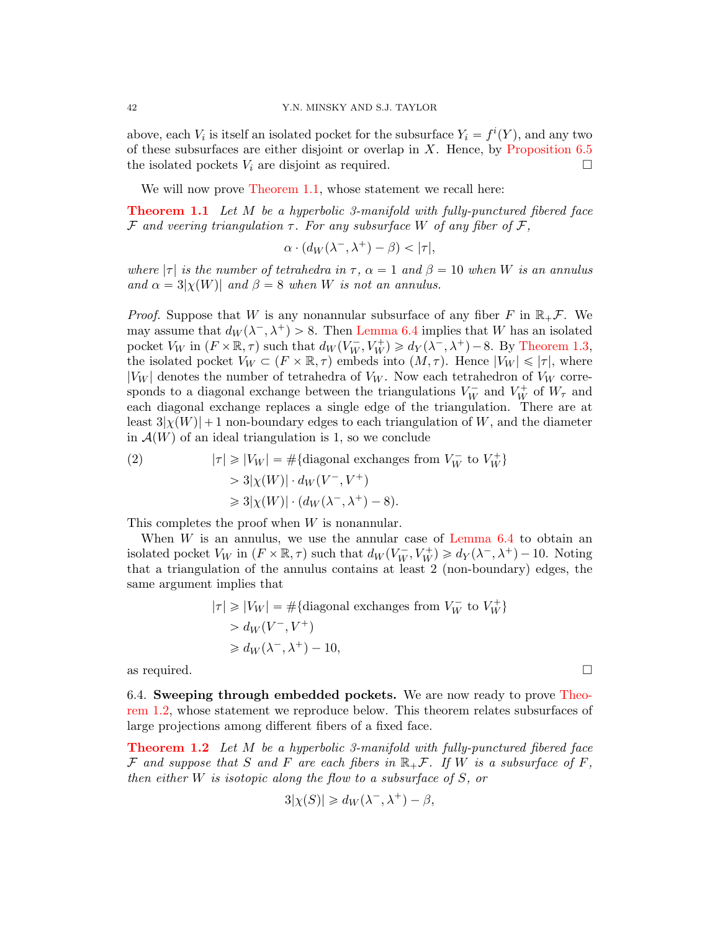above, each  $V_i$  is itself an isolated pocket for the subsurface  $Y_i = f^i(Y)$ , and any two of these subsurfaces are either disjoint or overlap in  $X$ . Hence, by [Proposition 6.5](#page-40-0) the isolated pockets  $V_i$  are disjoint as required.  $\Box$ 

We will now prove [Theorem 1.1,](#page-1-1) whose statement we recall here:

**[Theorem 1.1](#page-1-1)** Let M be a hyperbolic 3-manifold with fully-punctured fibered face F and veering triangulation  $\tau$ . For any subsurface W of any fiber of F,

$$
\alpha \cdot (d_W(\lambda^-,\lambda^+) - \beta) < |\tau|,
$$

where  $|\tau|$  is the number of tetrahedra in  $\tau$ ,  $\alpha = 1$  and  $\beta = 10$  when W is an annulus and  $\alpha = 3|\chi(W)|$  and  $\beta = 8$  when W is not an annulus.

*Proof.* Suppose that W is any nonannular subsurface of any fiber F in  $\mathbb{R}_+$ F. We may assume that  $d_W(\lambda^-, \lambda^+) > 8$ . Then [Lemma 6.4](#page-39-0) implies that W has an isolated pocket  $V_W$  in  $(F \times \mathbb{R}, \tau)$  such that  $d_W(V_W^-, V_W^+) \ge d_Y(\lambda^-, \lambda^+) - 8$ . By [Theorem 1.3,](#page-2-0) the isolated pocket  $V_W \subset (F \times \mathbb{R}, \tau)$  embeds into  $(M, \tau)$ . Hence  $|V_W| \leq |\tau|$ , where  $|V_W|$  denotes the number of tetrahedra of  $V_W$ . Now each tetrahedron of  $V_W$  corresponds to a diagonal exchange between the triangulations  $V_W^-$  and  $V_W^+$  of  $W_\tau$  and each diagonal exchange replaces a single edge of the triangulation. There are at least  $3|\chi(W)| + 1$  non-boundary edges to each triangulation of W, and the diameter in  $\mathcal{A}(W)$  of an ideal triangulation is 1, so we conclude

(2) 
$$
|\tau| \ge |V_W| = \#\{\text{diagonal exchanges from } V_W^- \text{ to } V_W^+\}
$$

$$
> 3|\chi(W)| \cdot d_W(V^-, V^+)
$$

$$
\ge 3|\chi(W)| \cdot (d_W(\lambda^-, \lambda^+) - 8).
$$

This completes the proof when W is nonannular.

When  $W$  is an annulus, we use the annular case of [Lemma 6.4](#page-39-0) to obtain an isolated pocket  $V_W$  in  $(F \times \mathbb{R}, \tau)$  such that  $d_W(V_W^-, V_W^+) \ge d_Y(\lambda^-, \lambda^+) - 10$ . Noting that a triangulation of the annulus contains at least 2 (non-boundary) edges, the same argument implies that

$$
|\tau| \ge |V_W| = \#\{\text{diagonal exchanges from } V_W^- \text{ to } V_W^+\}
$$
  
>  $d_W(V^-, V^+)$   
 $\ge d_W(\lambda^-, \lambda^+) - 10,$ 

as required.  $\Box$ 

6.4. Sweeping through embedded pockets. We are now ready to prove [Theo](#page-1-0)[rem 1.2,](#page-1-0) whose statement we reproduce below. This theorem relates subsurfaces of large projections among different fibers of a fixed face.

**[Theorem 1.2](#page-1-0)** Let M be a hyperbolic 3-manifold with fully-punctured fibered face F and suppose that S and F are each fibers in  $\mathbb{R}_+$ F. If W is a subsurface of F, then either W is isotopic along the flow to a subsurface of S, or

$$
3|\chi(S)| \ge d_W(\lambda^-,\lambda^+) - \beta,
$$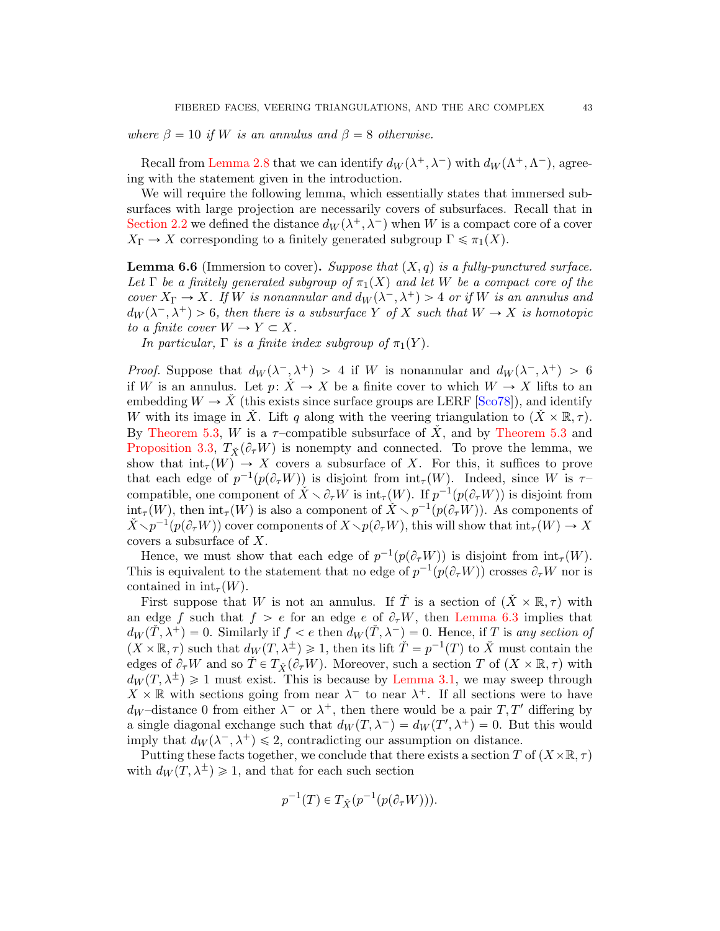where  $\beta = 10$  if W is an annulus and  $\beta = 8$  otherwise.

Recall from [Lemma 2.8](#page-16-1) that we can identify  $d_W(\lambda^+, \lambda^-)$  with  $d_W(\Lambda^+, \Lambda^-)$ , agreeing with the statement given in the introduction.

We will require the following lemma, which essentially states that immersed subsurfaces with large projection are necessarily covers of subsurfaces. Recall that in [Section 2.2](#page-7-1) we defined the distance  $d_W(\lambda^+, \lambda^-)$  when W is a compact core of a cover  $X_{\Gamma} \to X$  corresponding to a finitely generated subgroup  $\Gamma \leq \pi_1(X)$ .

<span id="page-42-0"></span>**Lemma 6.6** (Immersion to cover). Suppose that  $(X, q)$  is a fully-punctured surface. Let  $\Gamma$  be a finitely generated subgroup of  $\pi_1(X)$  and let W be a compact core of the cover  $X_{\Gamma} \to X$ . If W is nonannular and  $d_W(\lambda^-, \lambda^+) > 4$  or if W is an annulus and  $d_W(\lambda^-, \lambda^+) > 6$ , then there is a subsurface Y of X such that  $W \to X$  is homotopic to a finite cover  $W \to Y \subset X$ .

In particular,  $\Gamma$  is a finite index subgroup of  $\pi_1(Y)$ .

*Proof.* Suppose that  $d_W(\lambda^-, \lambda^+) > 4$  if W is nonannular and  $d_W(\lambda^-, \lambda^+) > 6$ if W is an annulus. Let  $p: X \to X$  be a finite cover to which  $W \to X$  lifts to an embedding  $W \to \dot{X}$  (this exists since surface groups are LERF [\[Sco78\]](#page-45-9)), and identify W with its image in X. Lift q along with the veering triangulation to  $(X \times \mathbb{R}, \tau)$ . By [Theorem 5.3,](#page-32-0) W is a  $\tau$ -compatible subsurface of  $\check{X}$ , and by [Theorem 5.3](#page-32-0) and [Proposition 3.3,](#page-18-1)  $T_{\check{X}}(\partial_{\tau}W)$  is nonempty and connected. To prove the lemma, we show that  $\text{int}_{\tau}(W) \to X$  covers a subsurface of X. For this, it suffices to prove that each edge of  $p^{-1}(p(\partial_\tau W))$  is disjoint from  $\mathrm{int}_{\tau}(W)$ . Indeed, since W is  $\tau$ compatible, one component of  $\check{X} \setminus \partial_{\tau}W$  is  $\text{int}_{\tau}(W)$ . If  $p^{-1}(p(\partial_{\tau}W))$  is disjoint from  $\text{int}_{\tau}(W)$ , then  $\text{int}_{\tau}(W)$  is also a component of  $\check{X} \setminus p^{-1}(p(\partial_{\tau}W))$ . As components of  $\check{X}\setminus p^{-1}(p(\partial_\tau W))$  cover components of  $X\setminus p(\partial_\tau W)$ , this will show that  $\mathrm{int}_\tau(W)\to X$ covers a subsurface of X.

Hence, we must show that each edge of  $p^{-1}(p(\partial_{\tau}W))$  is disjoint from  $\text{int}_{\tau}(W)$ . This is equivalent to the statement that no edge of  $p^{-1}(p(\partial_\tau W))$  crosses  $\partial_\tau W$  nor is contained in  $\text{int}_{\tau}(W)$ .

First suppose that W is not an annulus. If  $\check{T}$  is a section of  $(\check{X} \times \mathbb{R}, \tau)$  with an edge f such that  $f > e$  for an edge e of  $\partial_{\tau}W$ , then [Lemma 6.3](#page-36-1) implies that  $d_W(\dot{T}, \lambda^+) = 0$ . Similarly if  $f < e$  then  $d_W(\dot{T}, \lambda^-) = 0$ . Hence, if T is any section of  $(X \times \mathbb{R}, \tau)$  such that  $d_W(T, \lambda^{\pm}) \geq 1$ , then its lift  $\tilde{T} = p^{-1}(T)$  to  $\check{X}$  must contain the edges of  $\partial_{\tau}W$  and so  $\check{T} \in T_{\check{X}}(\partial_{\tau}W)$ . Moreover, such a section T of  $(X \times \mathbb{R}, \tau)$  with  $d_W(T, \lambda^{\pm}) \geq 1$  must exist. This is because by [Lemma 3.1,](#page-18-2) we may sweep through  $X \times \mathbb{R}$  with sections going from near  $\lambda^-$  to near  $\lambda^+$ . If all sections were to have  $d_W$ -distance 0 from either  $\lambda^-$  or  $\lambda^+$ , then there would be a pair  $T, T'$  differing by a single diagonal exchange such that  $d_W(T, \lambda^-) = d_W(T', \lambda^+) = 0$ . But this would imply that  $d_W(\lambda^-, \lambda^+) \leq 2$ , contradicting our assumption on distance.

Putting these facts together, we conclude that there exists a section T of  $(X\times\mathbb{R}, \tau)$ with  $d_W(T, \lambda^{\pm}) \geq 1$ , and that for each such section

$$
p^{-1}(T) \in T_{\check{X}}(p^{-1}(p(\partial_{\tau}W))).
$$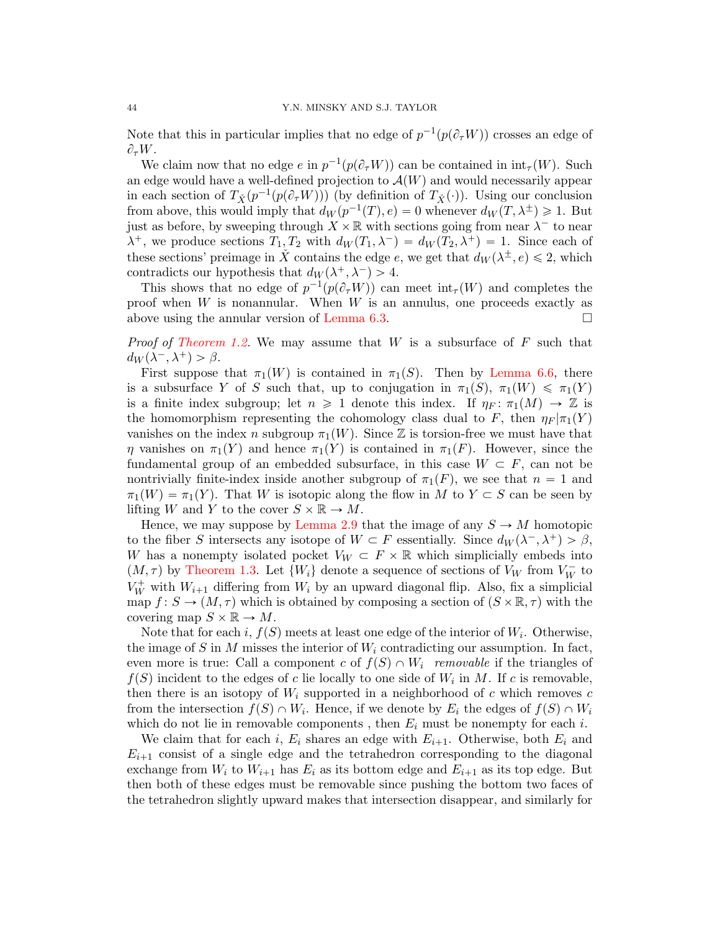Note that this in particular implies that no edge of  $p^{-1}(p(\partial_{\tau}W))$  crosses an edge of  $\partial_{\tau}W.$ 

We claim now that no edge  $e$  in  $p^{-1}(p(\partial_\tau W))$  can be contained in  $\text{int}_{\tau}(W)$ . Such an edge would have a well-defined projection to  $\mathcal{A}(W)$  and would necessarily appear in each section of  $T_{\check{X}}(p^{-1}(p(\partial_{\tau}W)))$  (by definition of  $T_{\check{X}}(\cdot)$ ). Using our conclusion from above, this would imply that  $d_W(p^{-1}(T), e) = 0$  whenever  $d_W(T, \lambda^{\pm}) \geq 1$ . But just as before, by sweeping through  $X \times \mathbb{R}$  with sections going from near  $\lambda^-$  to near  $\lambda^+$ , we produce sections  $T_1, T_2$  with  $d_W(T_1, \lambda^-) = d_W(T_2, \lambda^+) = 1$ . Since each of these sections' preimage in  $\check{X}$  contains the edge e, we get that  $d_W(\lambda^{\pm}, e) \leq 2$ , which contradicts our hypothesis that  $d_W(\lambda^+, \lambda^-) > 4$ .

This shows that no edge of  $p^{-1}(p(\partial_\tau W))$  can meet  $\text{int}_{\tau}(W)$  and completes the proof when  $W$  is nonannular. When  $W$  is an annulus, one proceeds exactly as above using the annular version of [Lemma 6.3.](#page-36-1)

*Proof of [Theorem 1.2.](#page-1-0)* We may assume that  $W$  is a subsurface of  $F$  such that  $d_W(\lambda^-, \lambda^+) > \beta.$ 

First suppose that  $\pi_1(W)$  is contained in  $\pi_1(S)$ . Then by [Lemma 6.6,](#page-42-0) there is a subsurface Y of S such that, up to conjugation in  $\pi_1(S)$ ,  $\pi_1(W) \leq \pi_1(Y)$ is a finite index subgroup; let  $n \geq 1$  denote this index. If  $\eta_F \colon \pi_1(M) \to \mathbb{Z}$  is the homomorphism representing the cohomology class dual to F, then  $\eta_F|\pi_1(Y)$ vanishes on the index n subgroup  $\pi_1(W)$ . Since Z is torsion-free we must have that  $\eta$  vanishes on  $\pi_1(Y)$  and hence  $\pi_1(Y)$  is contained in  $\pi_1(F)$ . However, since the fundamental group of an embedded subsurface, in this case  $W \subset F$ , can not be nontrivially finite-index inside another subgroup of  $\pi_1(F)$ , we see that  $n = 1$  and  $\pi_1(W) = \pi_1(Y)$ . That W is isotopic along the flow in M to  $Y \subset S$  can be seen by lifting W and Y to the cover  $S \times \mathbb{R} \to M$ .

Hence, we may suppose by [Lemma 2.9](#page-16-2) that the image of any  $S \to M$  homotopic to the fiber S intersects any isotope of  $W \subset F$  essentially. Since  $d_W(\lambda^-, \lambda^+) > \beta$ , W has a nonempty isolated pocket  $V_W \subset F \times \mathbb{R}$  which simplicially embeds into  $(M, \tau)$  by [Theorem 1.3.](#page-2-0) Let  $\{W_i\}$  denote a sequence of sections of  $V_W$  from  $V_W^-$  to  $V_W^+$  with  $W_{i+1}$  differing from  $W_i$  by an upward diagonal flip. Also, fix a simplicial map  $f: S \to (M, \tau)$  which is obtained by composing a section of  $(S \times \mathbb{R}, \tau)$  with the covering map  $S \times \mathbb{R} \to M$ .

Note that for each i,  $f(S)$  meets at least one edge of the interior of  $W_i$ . Otherwise, the image of S in M misses the interior of  $W_i$  contradicting our assumption. In fact, even more is true: Call a component c of  $f(S) \cap W_i$  removable if the triangles of  $f(S)$  incident to the edges of c lie locally to one side of  $W_i$  in M. If c is removable, then there is an isotopy of  $W_i$  supported in a neighborhood of c which removes c from the intersection  $f(S) \cap W_i$ . Hence, if we denote by  $E_i$  the edges of  $f(S) \cap W_i$ which do not lie in removable components, then  $E_i$  must be nonempty for each i.

We claim that for each i,  $E_i$  shares an edge with  $E_{i+1}$ . Otherwise, both  $E_i$  and  $E_{i+1}$  consist of a single edge and the tetrahedron corresponding to the diagonal exchange from  $W_i$  to  $W_{i+1}$  has  $E_i$  as its bottom edge and  $E_{i+1}$  as its top edge. But then both of these edges must be removable since pushing the bottom two faces of the tetrahedron slightly upward makes that intersection disappear, and similarly for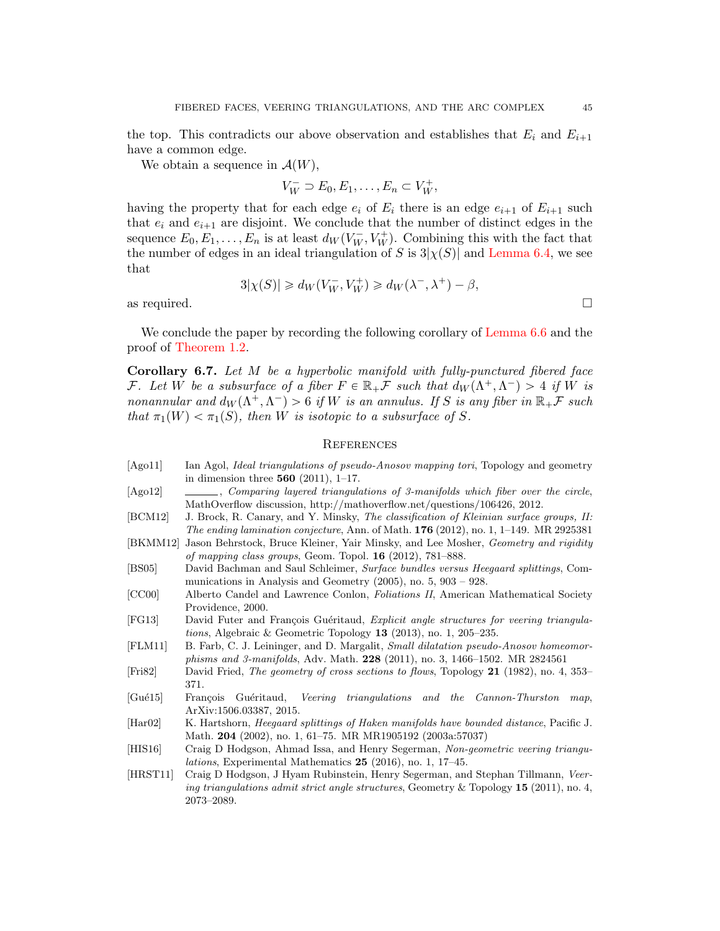the top. This contradicts our above observation and establishes that  $E_i$  and  $E_{i+1}$ have a common edge.

We obtain a sequence in  $\mathcal{A}(W)$ ,

$$
V_W^- \supset E_0, E_1, \ldots, E_n \subset V_W^+,
$$

having the property that for each edge  $e_i$  of  $E_i$  there is an edge  $e_{i+1}$  of  $E_{i+1}$  such that  $e_i$  and  $e_{i+1}$  are disjoint. We conclude that the number of distinct edges in the sequence  $E_0, E_1, \ldots, E_n$  is at least  $d_W(V_W^-, V_W^+)$ . Combining this with the fact that the number of edges in an ideal triangulation of S is  $3|\chi(S)|$  and [Lemma 6.4,](#page-39-0) we see that

$$
3|\chi(S)| \geq d_W(V_W^-,V_W^+) \geq d_W(\lambda^-,\lambda^+) - \beta,
$$

as required.  $\Box$ 

We conclude the paper by recording the following corollary of [Lemma 6.6](#page-42-0) and the proof of [Theorem 1.2.](#page-1-0)

<span id="page-44-4"></span>**Corollary 6.7.** Let  $M$  be a hyperbolic manifold with fully-punctured fibered face F. Let W be a subsurface of a fiber  $F \in \mathbb{R}_+$ F such that  $d_W(\Lambda^+, \Lambda^-) > 4$  if W is nonannular and  $d_W(\Lambda^+,\Lambda^-) > 6$  if W is an annulus. If S is any fiber in  $\mathbb{R}_+$  F such that  $\pi_1(W) < \pi_1(S)$ , then W is isotopic to a subsurface of S.

### **REFERENCES**

- <span id="page-44-2"></span>[Ago11] Ian Agol, *Ideal triangulations of pseudo-Anosov mapping tori*, Topology and geometry in dimension three 560 (2011), 1–17.
- <span id="page-44-13"></span>[Ago12] , Comparing layered triangulations of 3-manifolds which fiber over the circle, MathOverflow discussion, http://mathoverflow.net/questions/106426, 2012.
- <span id="page-44-1"></span>[BCM12] J. Brock, R. Canary, and Y. Minsky, The classification of Kleinian surface groups, II: The ending lamination conjecture, Ann. of Math. 176 (2012), no. 1, 1–149. MR 2925381
- <span id="page-44-0"></span>[BKMM12] Jason Behrstock, Bruce Kleiner, Yair Minsky, and Lee Mosher, Geometry and rigidity of mapping class groups, Geom. Topol. 16 (2012), 781–888.
- <span id="page-44-7"></span>[BS05] David Bachman and Saul Schleimer, Surface bundles versus Heegaard splittings, Communications in Analysis and Geometry (2005), no. 5, 903 – 928.
- <span id="page-44-11"></span>[CC00] Alberto Candel and Lawrence Conlon, Foliations II, American Mathematical Society Providence, 2000.
- <span id="page-44-9"></span>[FG13] David Futer and François Guéritaud, *Explicit angle structures for veering triangula*tions, Algebraic & Geometric Topology 13 (2013), no. 1, 205–235.
- <span id="page-44-5"></span>[FLM11] B. Farb, C. J. Leininger, and D. Margalit, Small dilatation pseudo-Anosov homeomorphisms and 3-manifolds, Adv. Math. 228 (2011), no. 3, 1466–1502. MR 2824561
- <span id="page-44-12"></span>[Fri82] David Fried, The geometry of cross sections to flows, Topology 21 (1982), no. 4, 353– 371.
- <span id="page-44-3"></span>[Gué15] François Guéritaud, Veering triangulations and the Cannon-Thurston map, ArXiv:1506.03387, 2015.
- <span id="page-44-6"></span>[Har02] K. Hartshorn, *Heegaard splittings of Haken manifolds have bounded distance*, Pacific J. Math. 204 (2002), no. 1, 61–75. MR MR1905192 (2003a:57037)
- <span id="page-44-10"></span>[HIS16] Craig D Hodgson, Ahmad Issa, and Henry Segerman, Non-geometric veering triangulations, Experimental Mathematics 25 (2016), no. 1, 17–45.
- <span id="page-44-8"></span>[HRST11] Craig D Hodgson, J Hyam Rubinstein, Henry Segerman, and Stephan Tillmann, Veering triangulations admit strict angle structures, Geometry & Topology  $15$  (2011), no. 4, 2073–2089.